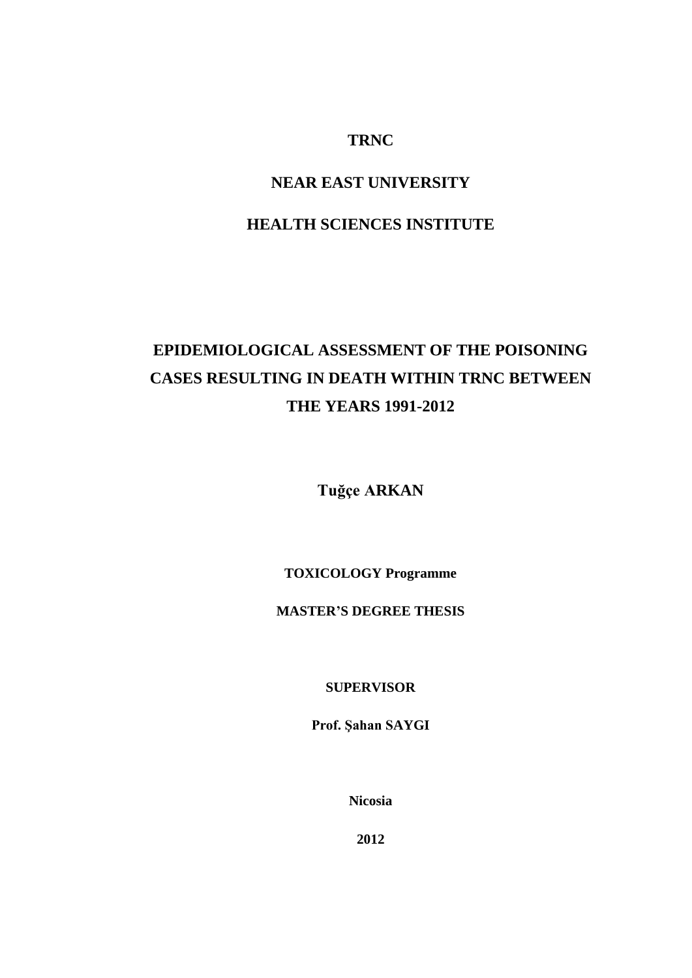## **TRNC**

## **NEAR EAST UNIVERSITY**

## **HEALTH SCIENCES INSTITUTE**

# **EPIDEMIOLOGICAL ASSESSMENT OF THE POISONING CASES RESULTING IN DEATH WITHIN TRNC BETWEEN THE YEARS 1991-2012**

**Tuğçe ARKAN**

**TOXICOLOGY Programme**

**MASTER'S DEGREE THESIS**

**SUPERVISOR**

**Prof. Şahan SAYGI**

**Nicosia**

**2012**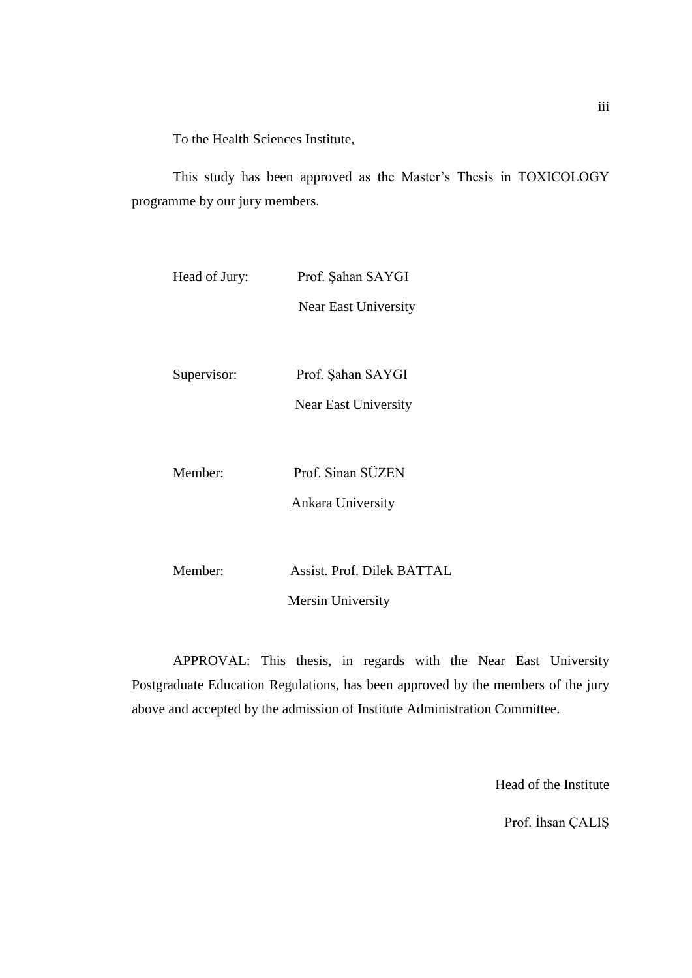To the Health Sciences Institute,

This study has been approved as the Master's Thesis in TOXICOLOGY programme by our jury members.

| Head of Jury: | Prof. Şahan SAYGI          |
|---------------|----------------------------|
|               | Near East University       |
|               |                            |
| Supervisor:   | Prof. Sahan SAYGI          |
|               | Near East University       |
|               |                            |
| Member:       | Prof. Sinan SÜZEN          |
|               | Ankara University          |
|               |                            |
| Member:       | Assist. Prof. Dilek BATTAL |
|               | <b>Mersin University</b>   |

APPROVAL: This thesis, in regards with the Near East University Postgraduate Education Regulations, has been approved by the members of the jury above and accepted by the admission of Institute Administration Committee.

Head of the Institute

Prof. İhsan ÇALIŞ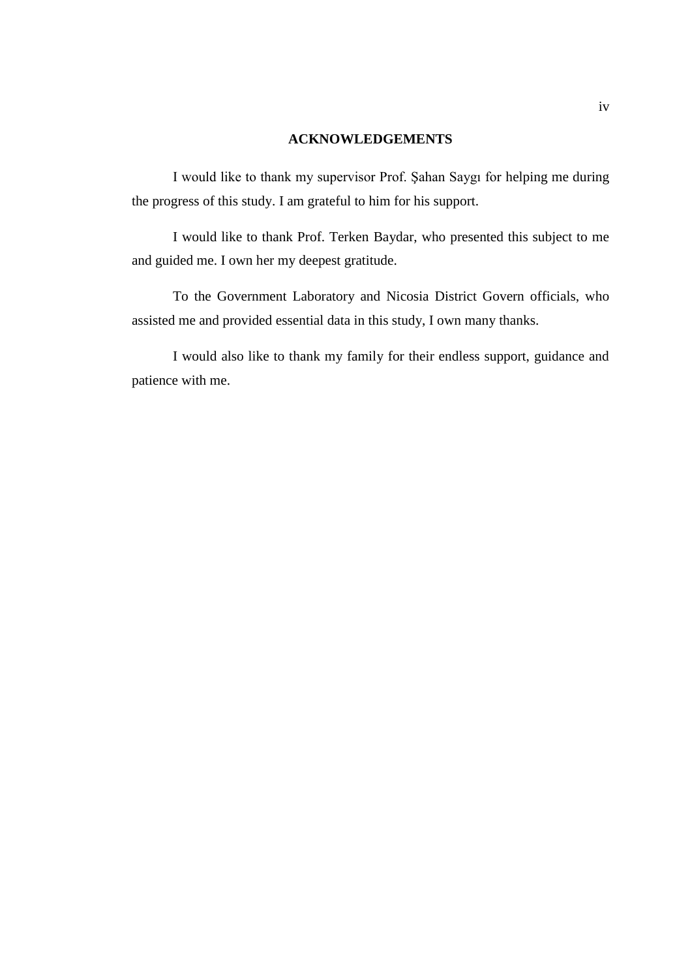#### **ACKNOWLEDGEMENTS**

I would like to thank my supervisor Prof. Şahan Saygı for helping me during the progress of this study. I am grateful to him for his support.

I would like to thank Prof. Terken Baydar, who presented this subject to me and guided me. I own her my deepest gratitude.

To the Government Laboratory and Nicosia District Govern officials, who assisted me and provided essential data in this study, I own many thanks.

I would also like to thank my family for their endless support, guidance and patience with me.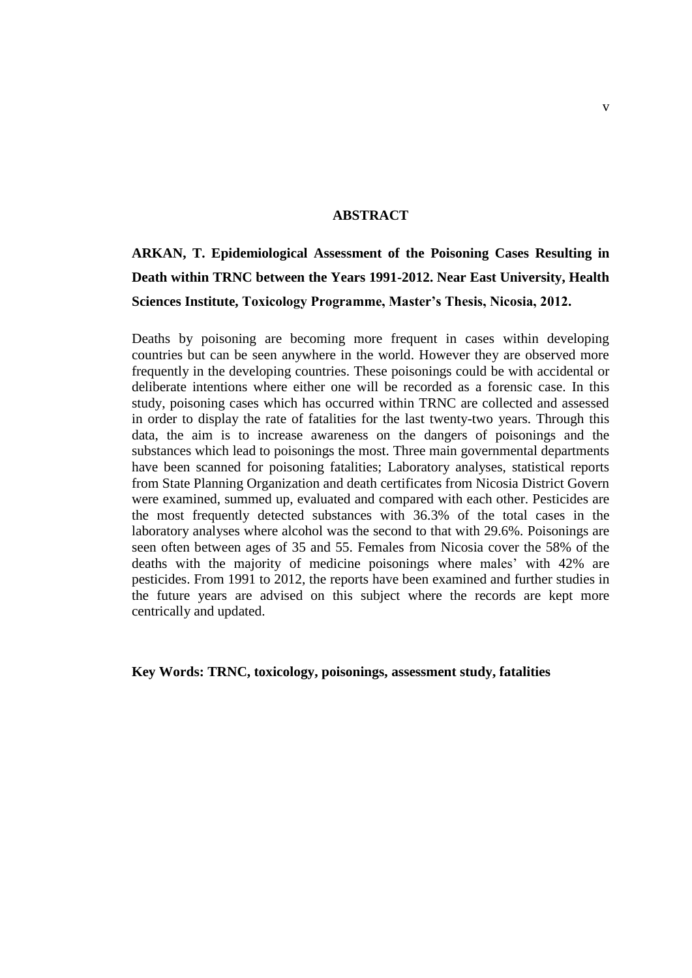#### **ABSTRACT**

## **ARKAN, T. Epidemiological Assessment of the Poisoning Cases Resulting in Death within TRNC between the Years 1991-2012. Near East University, Health Sciences Institute, Toxicology Programme, Master's Thesis, Nicosia, 2012.**

Deaths by poisoning are becoming more frequent in cases within developing countries but can be seen anywhere in the world. However they are observed more frequently in the developing countries. These poisonings could be with accidental or deliberate intentions where either one will be recorded as a forensic case. In this study, poisoning cases which has occurred within TRNC are collected and assessed in order to display the rate of fatalities for the last twenty-two years. Through this data, the aim is to increase awareness on the dangers of poisonings and the substances which lead to poisonings the most. Three main governmental departments have been scanned for poisoning fatalities; Laboratory analyses, statistical reports from State Planning Organization and death certificates from Nicosia District Govern were examined, summed up, evaluated and compared with each other. Pesticides are the most frequently detected substances with 36.3% of the total cases in the laboratory analyses where alcohol was the second to that with 29.6%. Poisonings are seen often between ages of 35 and 55. Females from Nicosia cover the 58% of the deaths with the majority of medicine poisonings where males' with 42% are pesticides. From 1991 to 2012, the reports have been examined and further studies in the future years are advised on this subject where the records are kept more centrically and updated.

**Key Words: TRNC, toxicology, poisonings, assessment study, fatalities**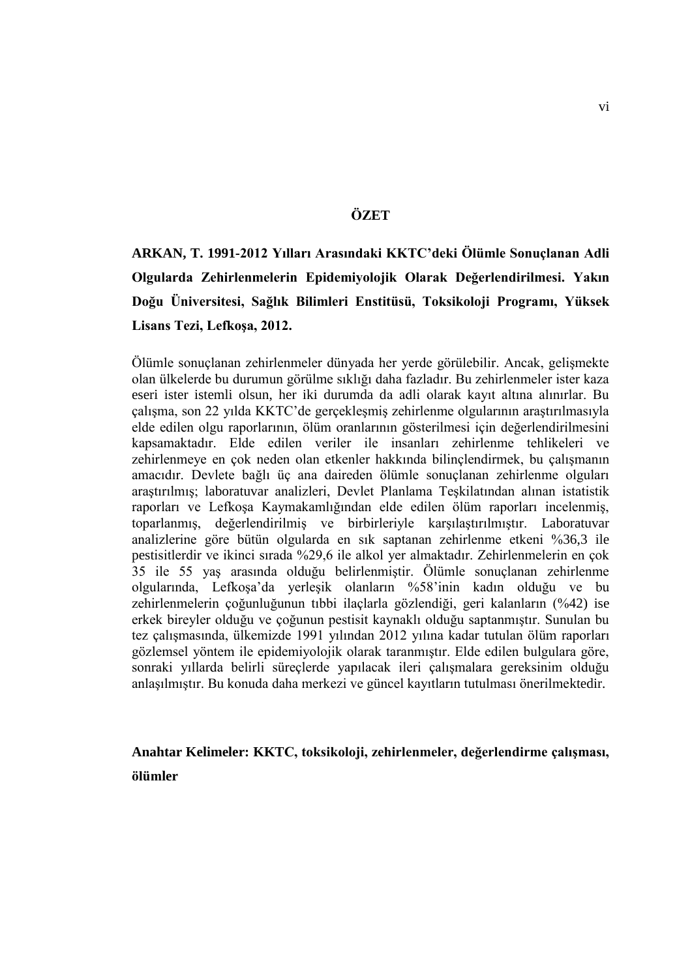### **ÖZET**

## **ARKAN, T. 1991-2012 Yılları Arasındaki KKTC'deki Ölümle Sonuçlanan Adli Olgularda Zehirlenmelerin Epidemiyolojik Olarak Değerlendirilmesi. Yakın Doğu Üniversitesi, Sağlık Bilimleri Enstitüsü, Toksikoloji Programı, Yüksek Lisans Tezi, Lefkoşa, 2012.**

Ölümle sonuçlanan zehirlenmeler dünyada her yerde görülebilir. Ancak, gelişmekte olan ülkelerde bu durumun görülme sıklığı daha fazladır. Bu zehirlenmeler ister kaza eseri ister istemli olsun, her iki durumda da adli olarak kayıt altına alınırlar. Bu çalışma, son 22 yılda KKTC'de gerçekleşmiş zehirlenme olgularının araştırılmasıyla elde edilen olgu raporlarının, ölüm oranlarının gösterilmesi için değerlendirilmesini kapsamaktadır. Elde edilen veriler ile insanları zehirlenme tehlikeleri ve zehirlenmeye en çok neden olan etkenler hakkında bilinçlendirmek, bu çalışmanın amacıdır. Devlete bağlı üç ana daireden ölümle sonuçlanan zehirlenme olguları araştırılmış; laboratuvar analizleri, Devlet Planlama Teşkilatından alınan istatistik raporları ve Lefkoşa Kaymakamlığından elde edilen ölüm raporları incelenmiş, toparlanmış, değerlendirilmiş ve birbirleriyle karşılaştırılmıştır. Laboratuvar analizlerine göre bütün olgularda en sık saptanan zehirlenme etkeni %36,3 ile pestisitlerdir ve ikinci sırada %29,6 ile alkol yer almaktadır. Zehirlenmelerin en çok 35 ile 55 yaş arasında olduğu belirlenmiştir. Ölümle sonuçlanan zehirlenme olgularında, Lefkoşa'da yerleşik olanların %58'inin kadın olduğu ve bu zehirlenmelerin çoğunluğunun tıbbi ilaçlarla gözlendiği, geri kalanların (%42) ise erkek bireyler olduğu ve çoğunun pestisit kaynaklı olduğu saptanmıştır. Sunulan bu tez çalışmasında, ülkemizde 1991 yılından 2012 yılına kadar tutulan ölüm raporları gözlemsel yöntem ile epidemiyolojik olarak taranmıştır. Elde edilen bulgulara göre, sonraki yıllarda belirli süreçlerde yapılacak ileri çalışmalara gereksinim olduğu anlaşılmıştır. Bu konuda daha merkezi ve güncel kayıtların tutulması önerilmektedir.

## **Anahtar Kelimeler: KKTC, toksikoloji, zehirlenmeler, değerlendirme çalışması, ölümler**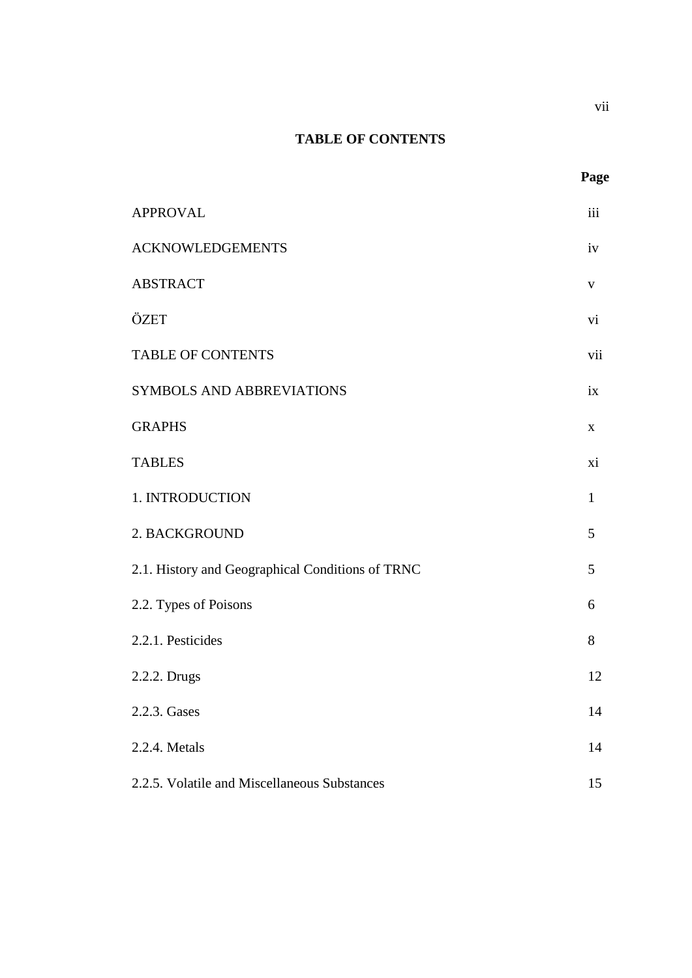## **TABLE OF CONTENTS**

**Page**

| <b>APPROVAL</b>                                  | iii          |
|--------------------------------------------------|--------------|
| <b>ACKNOWLEDGEMENTS</b>                          | iv           |
| <b>ABSTRACT</b>                                  | $\mathbf V$  |
| ÖZET                                             | vi           |
| <b>TABLE OF CONTENTS</b>                         | vii          |
| SYMBOLS AND ABBREVIATIONS                        | ix           |
| <b>GRAPHS</b>                                    | X            |
| <b>TABLES</b>                                    | xi           |
| 1. INTRODUCTION                                  | $\mathbf{1}$ |
| 2. BACKGROUND                                    | 5            |
| 2.1. History and Geographical Conditions of TRNC | 5            |
| 2.2. Types of Poisons                            | 6            |
| 2.2.1. Pesticides                                | 8            |
| 2.2.2. Drugs                                     | 12           |
| 2.2.3. Gases                                     | 14           |
| 2.2.4. Metals                                    | 14           |
| 2.2.5. Volatile and Miscellaneous Substances     | 15           |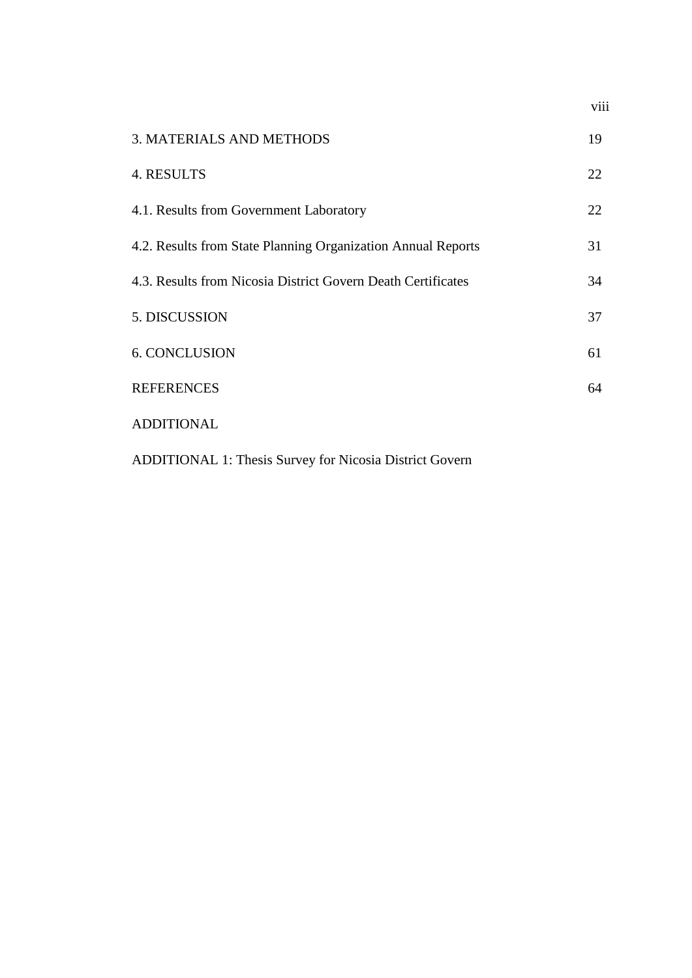| <b>3. MATERIALS AND METHODS</b>                              | 19 |
|--------------------------------------------------------------|----|
| 4. RESULTS                                                   | 22 |
| 4.1. Results from Government Laboratory                      | 22 |
| 4.2. Results from State Planning Organization Annual Reports | 31 |
| 4.3. Results from Nicosia District Govern Death Certificates | 34 |
| 5. DISCUSSION                                                | 37 |
| <b>6. CONCLUSION</b>                                         | 61 |
| <b>REFERENCES</b>                                            | 64 |
| <b>ADDITIONAL</b>                                            |    |

viii

ADDITIONAL 1: Thesis Survey for Nicosia District Govern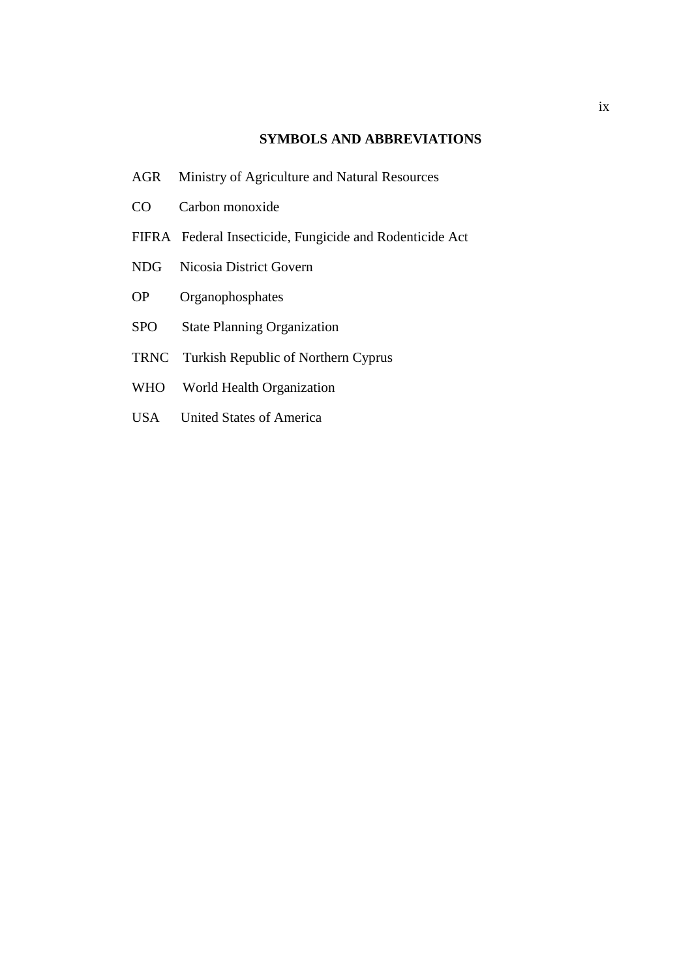### **SYMBOLS AND ABBREVIATIONS**

- AGR Ministry of Agriculture and Natural Resources
- CO Carbon monoxide
- FIFRA Federal Insecticide, Fungicide and Rodenticide Act
- NDG Nicosia District Govern
- OP Organophosphates
- SPO State Planning Organization
- TRNC Turkish Republic of Northern Cyprus
- WHO World Health Organization
- USA United States of America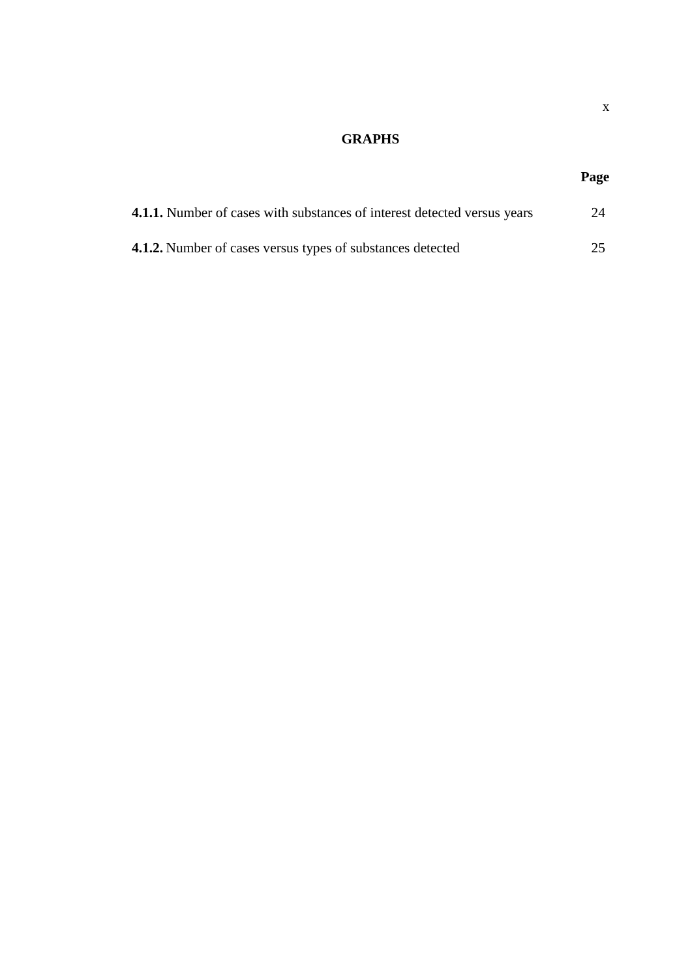## **GRAPHS**

## **Page**

| <b>4.1.1.</b> Number of cases with substances of interest detected versus years | 24 |
|---------------------------------------------------------------------------------|----|
| <b>4.1.2.</b> Number of cases versus types of substances detected               | 25 |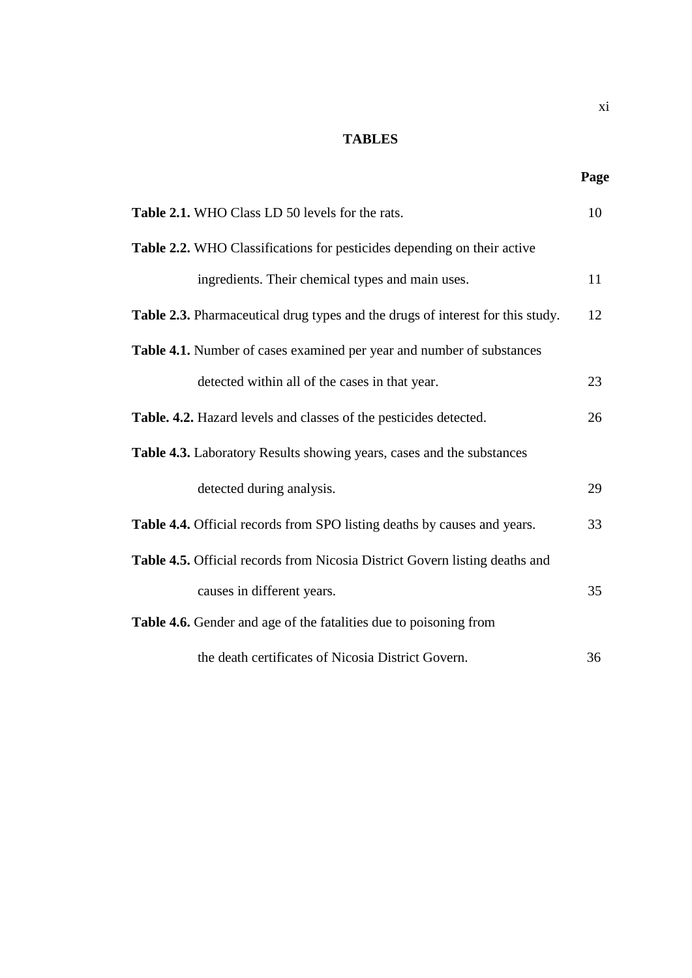## **TABLES**

|                                                                                | Page |
|--------------------------------------------------------------------------------|------|
| Table 2.1. WHO Class LD 50 levels for the rats.                                | 10   |
| Table 2.2. WHO Classifications for pesticides depending on their active        |      |
| ingredients. Their chemical types and main uses.                               | 11   |
| Table 2.3. Pharmaceutical drug types and the drugs of interest for this study. | 12   |
| Table 4.1. Number of cases examined per year and number of substances          |      |
| detected within all of the cases in that year.                                 | 23   |
| Table. 4.2. Hazard levels and classes of the pesticides detected.              | 26   |
| Table 4.3. Laboratory Results showing years, cases and the substances          |      |
| detected during analysis.                                                      | 29   |
| Table 4.4. Official records from SPO listing deaths by causes and years.       | 33   |
| Table 4.5. Official records from Nicosia District Govern listing deaths and    |      |
| causes in different years.                                                     | 35   |
| Table 4.6. Gender and age of the fatalities due to poisoning from              |      |
| the death certificates of Nicosia District Govern.                             | 36   |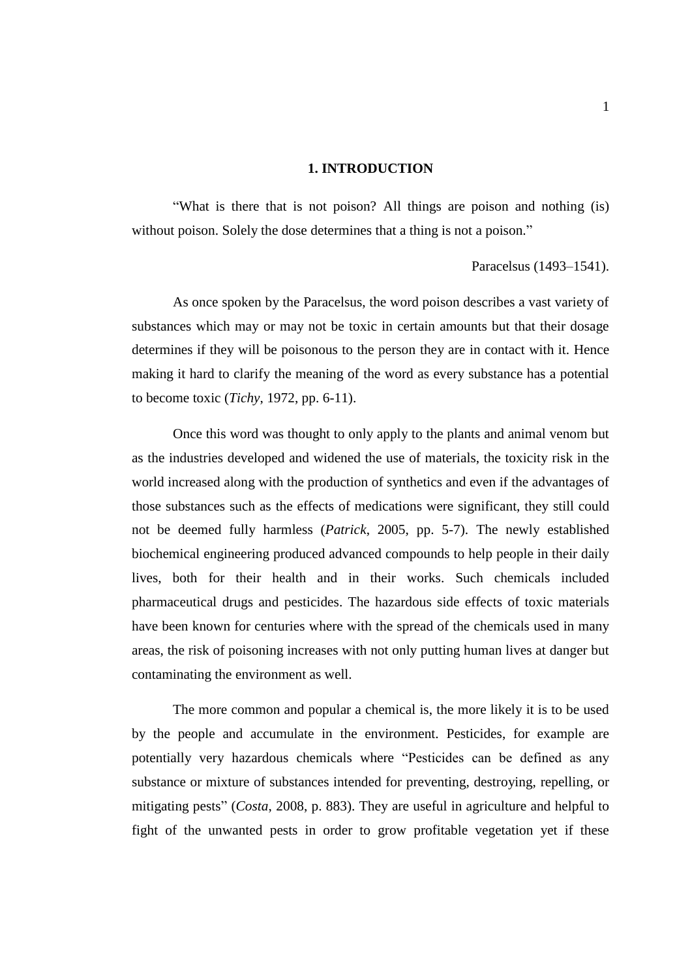#### **1. INTRODUCTION**

"What is there that is not poison? All things are poison and nothing (is) without poison. Solely the dose determines that a thing is not a poison."

#### Paracelsus (1493–1541).

As once spoken by the Paracelsus, the word poison describes a vast variety of substances which may or may not be toxic in certain amounts but that their dosage determines if they will be poisonous to the person they are in contact with it. Hence making it hard to clarify the meaning of the word as every substance has a potential to become toxic (*Tichy*, 1972, pp. 6-11).

Once this word was thought to only apply to the plants and animal venom but as the industries developed and widened the use of materials, the toxicity risk in the world increased along with the production of synthetics and even if the advantages of those substances such as the effects of medications were significant, they still could not be deemed fully harmless (*Patrick*, 2005, pp. 5-7). The newly established biochemical engineering produced advanced compounds to help people in their daily lives, both for their health and in their works. Such chemicals included pharmaceutical drugs and pesticides. The hazardous side effects of toxic materials have been known for centuries where with the spread of the chemicals used in many areas, the risk of poisoning increases with not only putting human lives at danger but contaminating the environment as well.

The more common and popular a chemical is, the more likely it is to be used by the people and accumulate in the environment. Pesticides, for example are potentially very hazardous chemicals where "Pesticides can be defined as any substance or mixture of substances intended for preventing, destroying, repelling, or mitigating pests" (*Costa*, 2008, p. 883). They are useful in agriculture and helpful to fight of the unwanted pests in order to grow profitable vegetation yet if these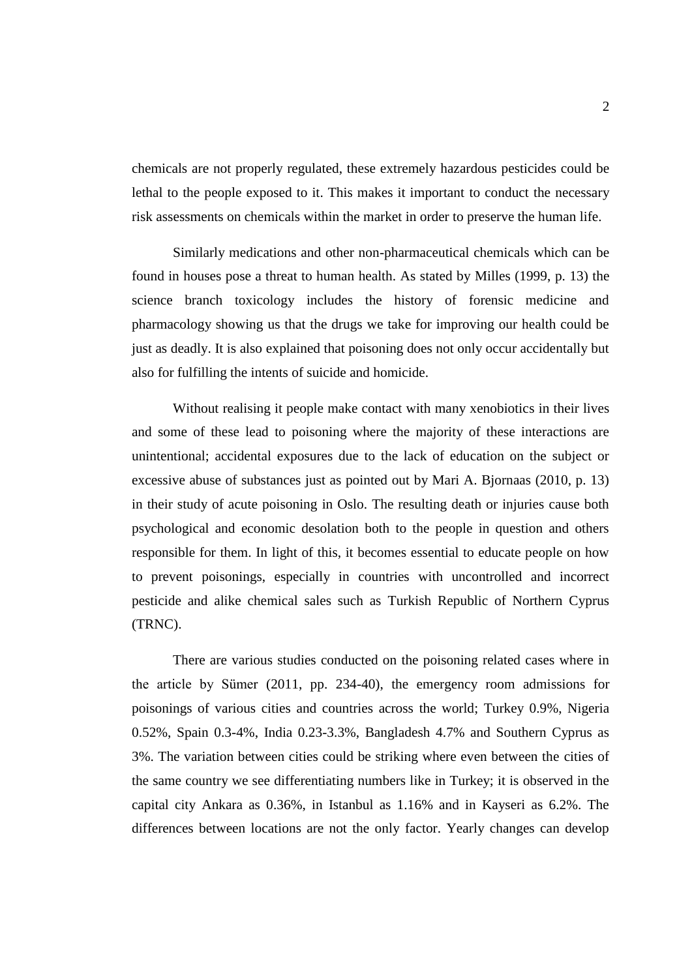chemicals are not properly regulated, these extremely hazardous pesticides could be lethal to the people exposed to it. This makes it important to conduct the necessary risk assessments on chemicals within the market in order to preserve the human life.

Similarly medications and other non-pharmaceutical chemicals which can be found in houses pose a threat to human health. As stated by Milles (1999, p. 13) the science branch toxicology includes the history of forensic medicine and pharmacology showing us that the drugs we take for improving our health could be just as deadly. It is also explained that poisoning does not only occur accidentally but also for fulfilling the intents of suicide and homicide.

Without realising it people make contact with many xenobiotics in their lives and some of these lead to poisoning where the majority of these interactions are unintentional; accidental exposures due to the lack of education on the subject or excessive abuse of substances just as pointed out by Mari A. Bjornaas (2010, p. 13) in their study of acute poisoning in Oslo. The resulting death or injuries cause both psychological and economic desolation both to the people in question and others responsible for them. In light of this, it becomes essential to educate people on how to prevent poisonings, especially in countries with uncontrolled and incorrect pesticide and alike chemical sales such as Turkish Republic of Northern Cyprus (TRNC).

There are various studies conducted on the poisoning related cases where in the article by Sümer (2011, pp. 234-40), the emergency room admissions for poisonings of various cities and countries across the world; Turkey 0.9%, Nigeria 0.52%, Spain 0.3-4%, India 0.23-3.3%, Bangladesh 4.7% and Southern Cyprus as 3%. The variation between cities could be striking where even between the cities of the same country we see differentiating numbers like in Turkey; it is observed in the capital city Ankara as 0.36%, in Istanbul as 1.16% and in Kayseri as 6.2%. The differences between locations are not the only factor. Yearly changes can develop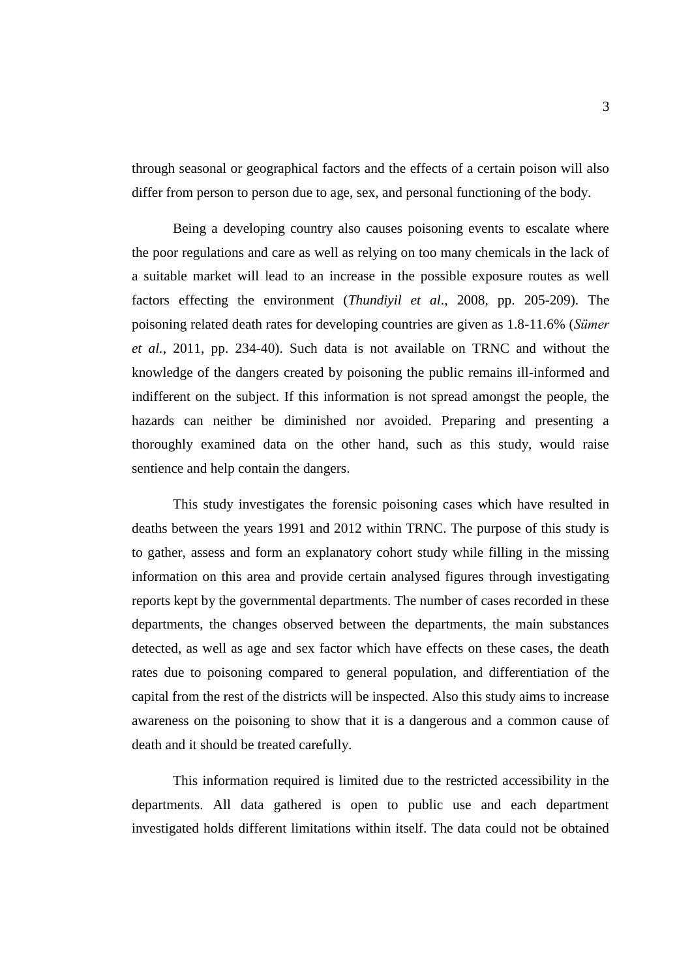through seasonal or geographical factors and the effects of a certain poison will also differ from person to person due to age, sex, and personal functioning of the body.

Being a developing country also causes poisoning events to escalate where the poor regulations and care as well as relying on too many chemicals in the lack of a suitable market will lead to an increase in the possible exposure routes as well factors effecting the environment (*Thundiyil et al*., 2008, pp. 205-209). The poisoning related death rates for developing countries are given as 1.8-11.6% (*Sümer et al.*, 2011, pp. 234-40). Such data is not available on TRNC and without the knowledge of the dangers created by poisoning the public remains ill-informed and indifferent on the subject. If this information is not spread amongst the people, the hazards can neither be diminished nor avoided. Preparing and presenting a thoroughly examined data on the other hand, such as this study, would raise sentience and help contain the dangers.

This study investigates the forensic poisoning cases which have resulted in deaths between the years 1991 and 2012 within TRNC. The purpose of this study is to gather, assess and form an explanatory cohort study while filling in the missing information on this area and provide certain analysed figures through investigating reports kept by the governmental departments. The number of cases recorded in these departments, the changes observed between the departments, the main substances detected, as well as age and sex factor which have effects on these cases, the death rates due to poisoning compared to general population, and differentiation of the capital from the rest of the districts will be inspected. Also this study aims to increase awareness on the poisoning to show that it is a dangerous and a common cause of death and it should be treated carefully.

This information required is limited due to the restricted accessibility in the departments. All data gathered is open to public use and each department investigated holds different limitations within itself. The data could not be obtained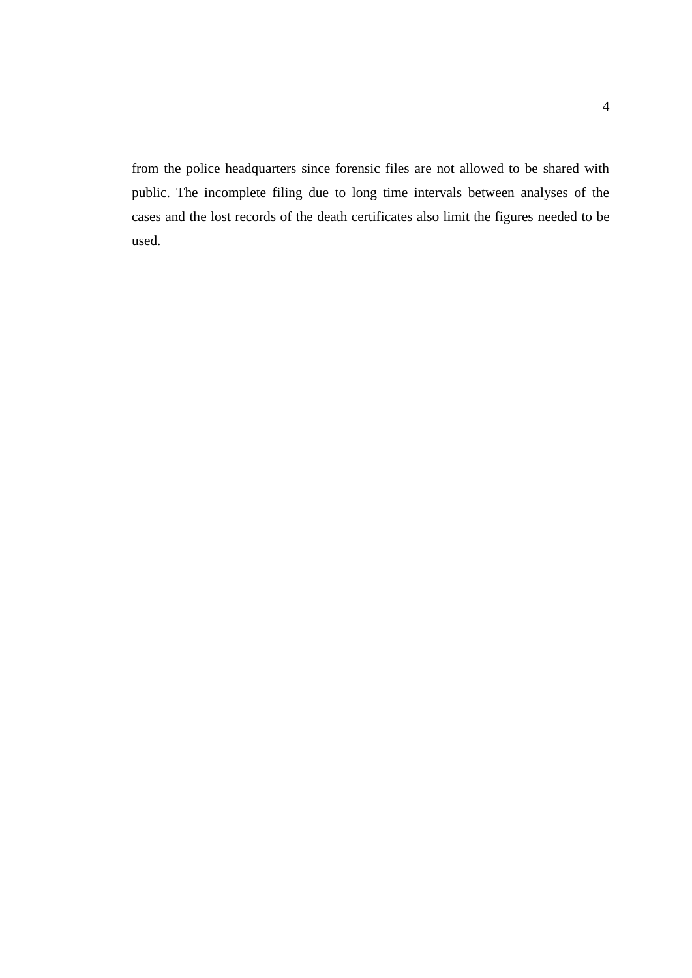from the police headquarters since forensic files are not allowed to be shared with public. The incomplete filing due to long time intervals between analyses of the cases and the lost records of the death certificates also limit the figures needed to be used.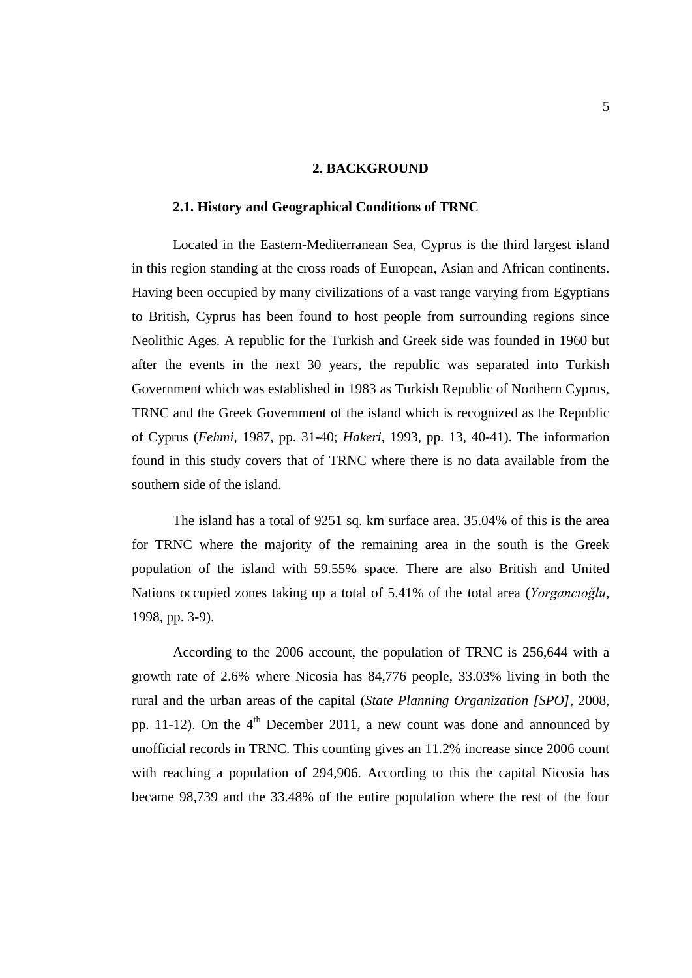#### **2. BACKGROUND**

#### **2.1. History and Geographical Conditions of TRNC**

Located in the Eastern-Mediterranean Sea, Cyprus is the third largest island in this region standing at the cross roads of European, Asian and African continents. Having been occupied by many civilizations of a vast range varying from Egyptians to British, Cyprus has been found to host people from surrounding regions since Neolithic Ages. A republic for the Turkish and Greek side was founded in 1960 but after the events in the next 30 years, the republic was separated into Turkish Government which was established in 1983 as Turkish Republic of Northern Cyprus, TRNC and the Greek Government of the island which is recognized as the Republic of Cyprus (*Fehmi*, 1987, pp. 31-40; *Hakeri*, 1993, pp. 13, 40-41). The information found in this study covers that of TRNC where there is no data available from the southern side of the island.

The island has a total of 9251 sq. km surface area. 35.04% of this is the area for TRNC where the majority of the remaining area in the south is the Greek population of the island with 59.55% space. There are also British and United Nations occupied zones taking up a total of 5.41% of the total area (*Yorgancıoğlu*, 1998, pp. 3-9).

According to the 2006 account, the population of TRNC is 256,644 with a growth rate of 2.6% where Nicosia has 84,776 people, 33.03% living in both the rural and the urban areas of the capital (*State Planning Organization [SPO]*, 2008, pp. 11-12). On the  $4<sup>th</sup>$  December 2011, a new count was done and announced by unofficial records in TRNC. This counting gives an 11.2% increase since 2006 count with reaching a population of 294,906. According to this the capital Nicosia has became 98,739 and the 33.48% of the entire population where the rest of the four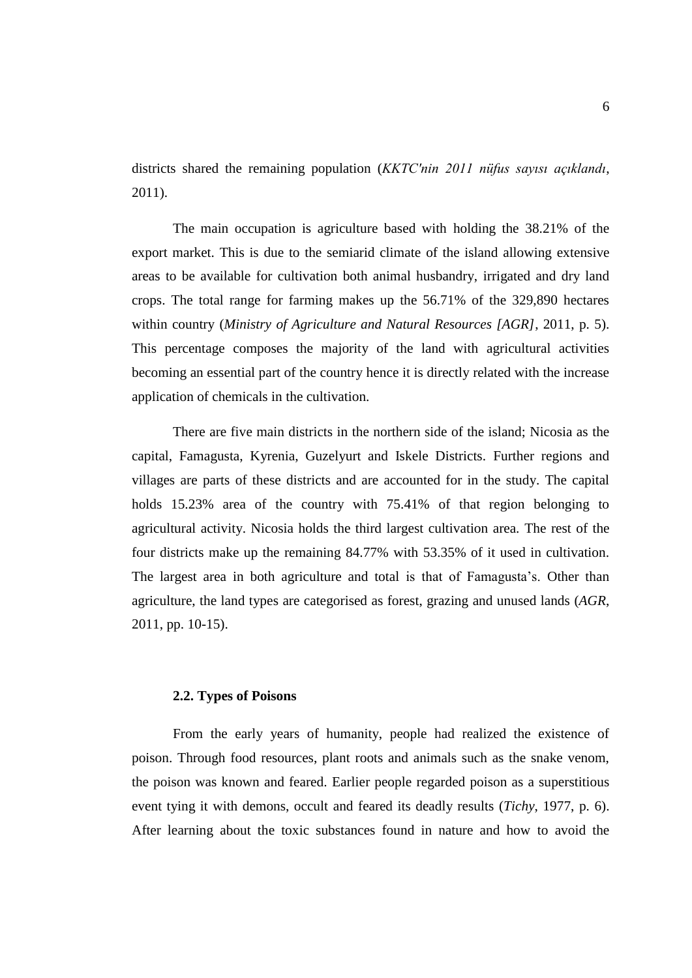districts shared the remaining population (*KKTC'nin 2011 nüfus sayısı açıklandı*, 2011).

The main occupation is agriculture based with holding the 38.21% of the export market. This is due to the semiarid climate of the island allowing extensive areas to be available for cultivation both animal husbandry, irrigated and dry land crops. The total range for farming makes up the 56.71% of the 329,890 hectares within country (*Ministry of Agriculture and Natural Resources [AGR]*, 2011, p. 5). This percentage composes the majority of the land with agricultural activities becoming an essential part of the country hence it is directly related with the increase application of chemicals in the cultivation.

There are five main districts in the northern side of the island; Nicosia as the capital, Famagusta, Kyrenia, Guzelyurt and Iskele Districts. Further regions and villages are parts of these districts and are accounted for in the study. The capital holds 15.23% area of the country with 75.41% of that region belonging to agricultural activity. Nicosia holds the third largest cultivation area. The rest of the four districts make up the remaining 84.77% with 53.35% of it used in cultivation. The largest area in both agriculture and total is that of Famagusta's. Other than agriculture, the land types are categorised as forest, grazing and unused lands (*AGR*, 2011, pp. 10-15).

#### **2.2. Types of Poisons**

From the early years of humanity, people had realized the existence of poison. Through food resources, plant roots and animals such as the snake venom, the poison was known and feared. Earlier people regarded poison as a superstitious event tying it with demons, occult and feared its deadly results (*Tichy*, 1977, p. 6). After learning about the toxic substances found in nature and how to avoid the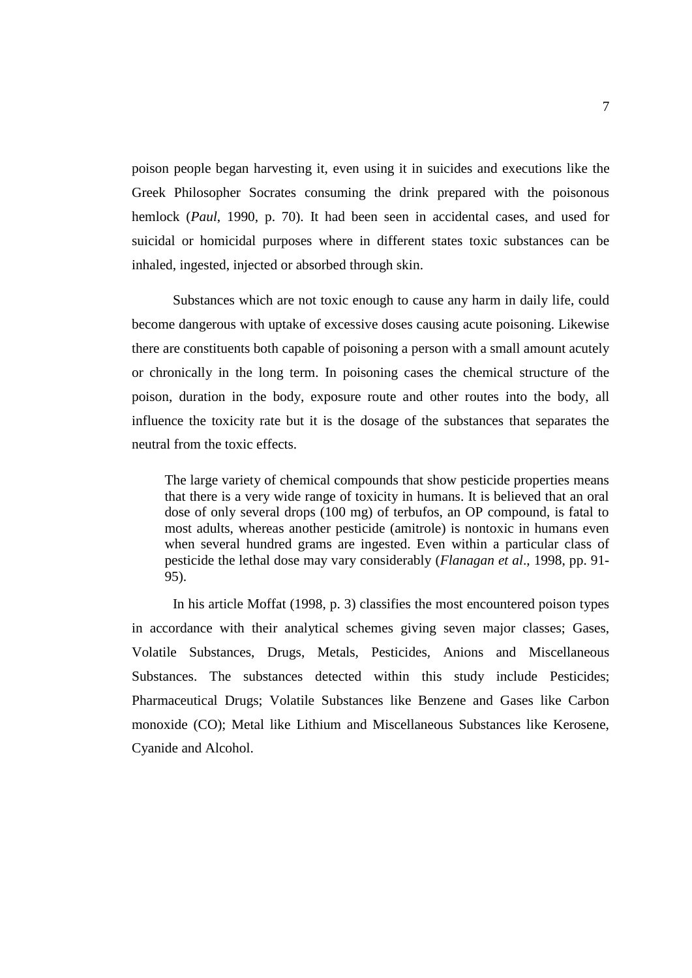poison people began harvesting it, even using it in suicides and executions like the Greek Philosopher Socrates consuming the drink prepared with the poisonous hemlock (*Paul*, 1990, p. 70). It had been seen in accidental cases, and used for suicidal or homicidal purposes where in different states toxic substances can be inhaled, ingested, injected or absorbed through skin.

Substances which are not toxic enough to cause any harm in daily life, could become dangerous with uptake of excessive doses causing acute poisoning. Likewise there are constituents both capable of poisoning a person with a small amount acutely or chronically in the long term. In poisoning cases the chemical structure of the poison, duration in the body, exposure route and other routes into the body, all influence the toxicity rate but it is the dosage of the substances that separates the neutral from the toxic effects.

The large variety of chemical compounds that show pesticide properties means that there is a very wide range of toxicity in humans. It is believed that an oral dose of only several drops (100 mg) of terbufos, an OP compound, is fatal to most adults, whereas another pesticide (amitrole) is nontoxic in humans even when several hundred grams are ingested. Even within a particular class of pesticide the lethal dose may vary considerably (*Flanagan et al*., 1998, pp. 91- 95).

In his article Moffat (1998, p. 3) classifies the most encountered poison types in accordance with their analytical schemes giving seven major classes; Gases, Volatile Substances, Drugs, Metals, Pesticides, Anions and Miscellaneous Substances. The substances detected within this study include Pesticides; Pharmaceutical Drugs; Volatile Substances like Benzene and Gases like Carbon monoxide (CO); Metal like Lithium and Miscellaneous Substances like Kerosene, Cyanide and Alcohol.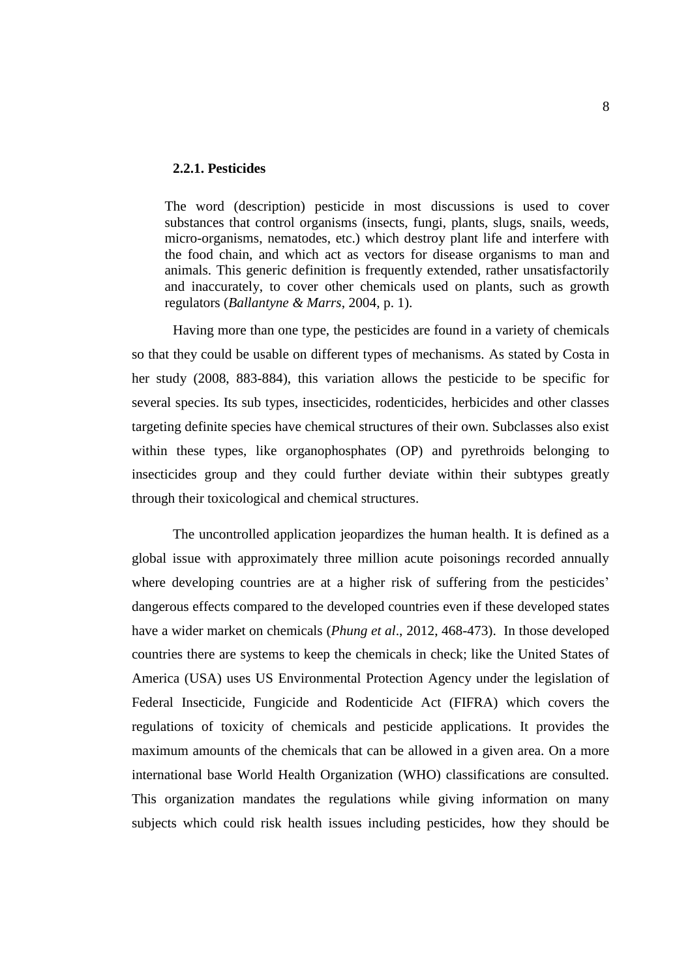#### **2.2.1. Pesticides**

The word (description) pesticide in most discussions is used to cover substances that control organisms (insects, fungi, plants, slugs, snails, weeds, micro-organisms, nematodes, etc.) which destroy plant life and interfere with the food chain, and which act as vectors for disease organisms to man and animals. This generic definition is frequently extended, rather unsatisfactorily and inaccurately, to cover other chemicals used on plants, such as growth regulators (*Ballantyne & Marrs*, 2004, p. 1).

Having more than one type, the pesticides are found in a variety of chemicals so that they could be usable on different types of mechanisms. As stated by Costa in her study (2008, 883-884), this variation allows the pesticide to be specific for several species. Its sub types, insecticides, rodenticides, herbicides and other classes targeting definite species have chemical structures of their own. Subclasses also exist within these types, like organophosphates (OP) and pyrethroids belonging to insecticides group and they could further deviate within their subtypes greatly through their toxicological and chemical structures.

The uncontrolled application jeopardizes the human health. It is defined as a global issue with approximately three million acute poisonings recorded annually where developing countries are at a higher risk of suffering from the pesticides' dangerous effects compared to the developed countries even if these developed states have a wider market on chemicals (*Phung et al*., 2012, 468-473). In those developed countries there are systems to keep the chemicals in check; like the United States of America (USA) uses US Environmental Protection Agency under the legislation of Federal Insecticide, Fungicide and Rodenticide Act (FIFRA) which covers the regulations of toxicity of chemicals and pesticide applications. It provides the maximum amounts of the chemicals that can be allowed in a given area. On a more international base World Health Organization (WHO) classifications are consulted. This organization mandates the regulations while giving information on many subjects which could risk health issues including pesticides, how they should be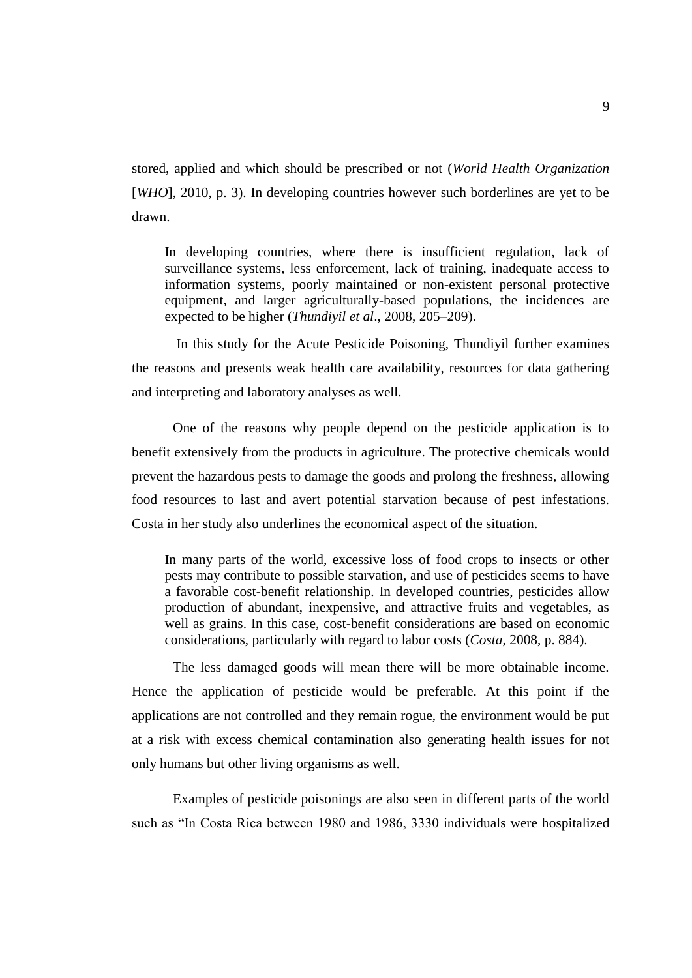stored, applied and which should be prescribed or not (*World Health Organization* [*WHO*], 2010, p. 3). In developing countries however such borderlines are yet to be drawn.

In developing countries, where there is insufficient regulation, lack of surveillance systems, less enforcement, lack of training, inadequate access to information systems, poorly maintained or non-existent personal protective equipment, and larger agriculturally-based populations, the incidences are expected to be higher (*Thundiyil et al*., 2008, 205–209).

In this study for the Acute Pesticide Poisoning, Thundiyil further examines the reasons and presents weak health care availability, resources for data gathering and interpreting and laboratory analyses as well.

One of the reasons why people depend on the pesticide application is to benefit extensively from the products in agriculture. The protective chemicals would prevent the hazardous pests to damage the goods and prolong the freshness, allowing food resources to last and avert potential starvation because of pest infestations. Costa in her study also underlines the economical aspect of the situation.

In many parts of the world, excessive loss of food crops to insects or other pests may contribute to possible starvation, and use of pesticides seems to have a favorable cost-benefit relationship. In developed countries, pesticides allow production of abundant, inexpensive, and attractive fruits and vegetables, as well as grains. In this case, cost-benefit considerations are based on economic considerations, particularly with regard to labor costs (*Costa*, 2008, p. 884).

The less damaged goods will mean there will be more obtainable income. Hence the application of pesticide would be preferable. At this point if the applications are not controlled and they remain rogue, the environment would be put at a risk with excess chemical contamination also generating health issues for not only humans but other living organisms as well.

Examples of pesticide poisonings are also seen in different parts of the world such as "In Costa Rica between 1980 and 1986, 3330 individuals were hospitalized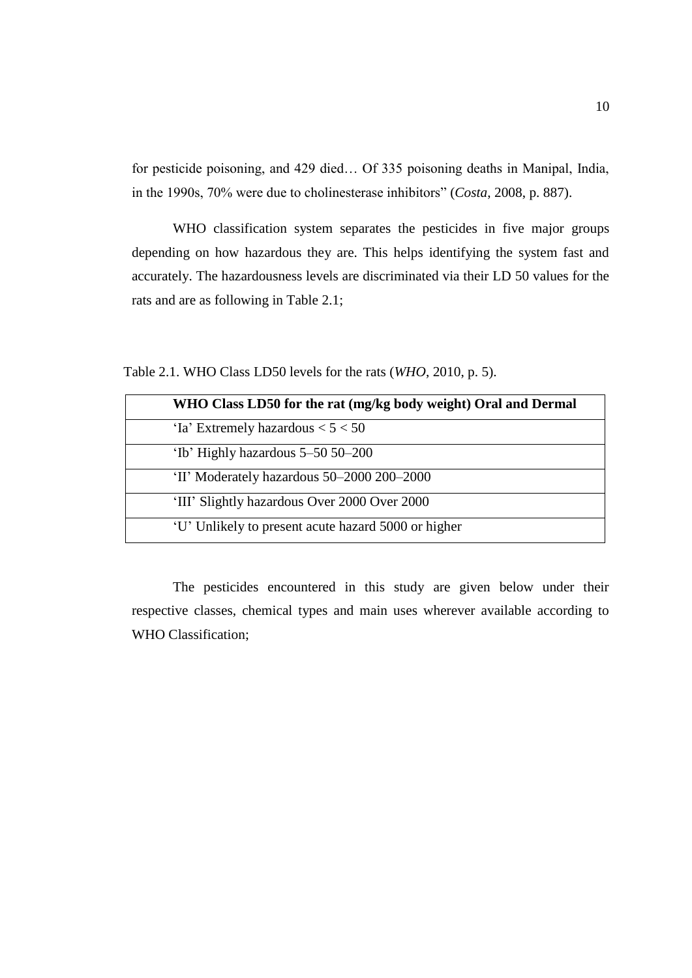for pesticide poisoning, and 429 died… Of 335 poisoning deaths in Manipal, India, in the 1990s, 70% were due to cholinesterase inhibitors" (*Costa*, 2008, p. 887).

WHO classification system separates the pesticides in five major groups depending on how hazardous they are. This helps identifying the system fast and accurately. The hazardousness levels are discriminated via their LD 50 values for the rats and are as following in Table 2.1;

Table 2.1. WHO Class LD50 levels for the rats (*WHO*, 2010, p. 5).

| WHO Class LD50 for the rat (mg/kg body weight) Oral and Dermal |
|----------------------------------------------------------------|
| 'Ia' Extremely hazardous $< 5 < 50$                            |
| 'Ib' Highly hazardous 5–50 50–200                              |
| 'II' Moderately hazardous 50-2000 200-2000                     |
| 'III' Slightly hazardous Over 2000 Over 2000                   |
| 'U' Unlikely to present acute hazard 5000 or higher            |

The pesticides encountered in this study are given below under their respective classes, chemical types and main uses wherever available according to WHO Classification;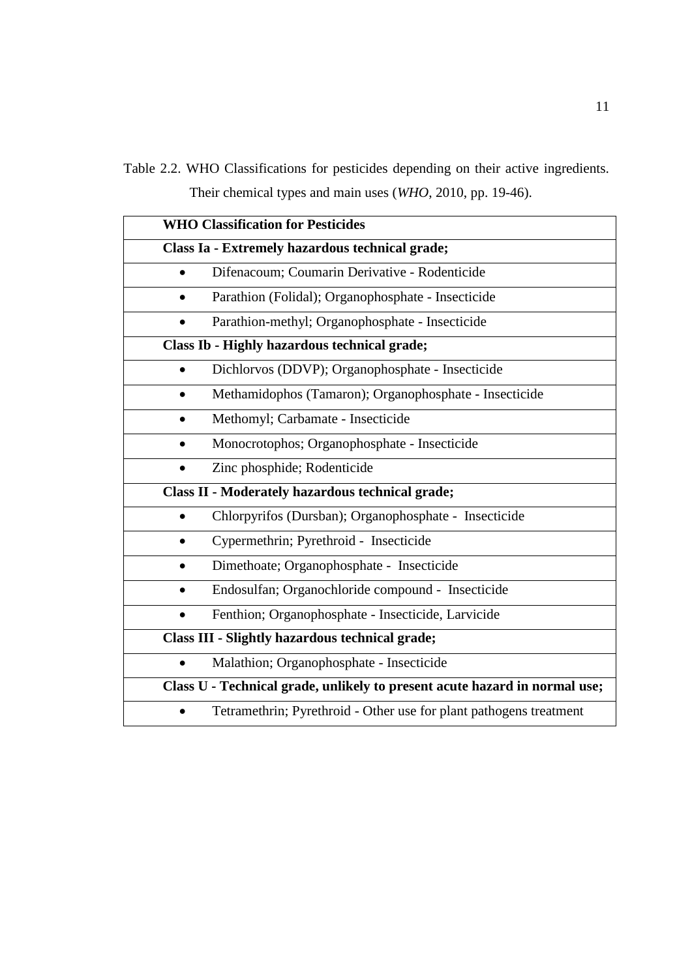Table 2.2. WHO Classifications for pesticides depending on their active ingredients. Their chemical types and main uses (*WHO*, 2010, pp. 19-46).

|           | <b>WHO Classification for Pesticides</b>                                   |  |  |
|-----------|----------------------------------------------------------------------------|--|--|
|           | Class Ia - Extremely hazardous technical grade;                            |  |  |
|           | Difenacoum; Coumarin Derivative - Rodenticide                              |  |  |
| $\bullet$ | Parathion (Folidal); Organophosphate - Insecticide                         |  |  |
|           | Parathion-methyl; Organophosphate - Insecticide                            |  |  |
|           | Class Ib - Highly hazardous technical grade;                               |  |  |
|           | Dichlorvos (DDVP); Organophosphate - Insecticide                           |  |  |
| $\bullet$ | Methamidophos (Tamaron); Organophosphate - Insecticide                     |  |  |
|           | Methomyl; Carbamate - Insecticide                                          |  |  |
|           | Monocrotophos; Organophosphate - Insecticide                               |  |  |
|           | Zinc phosphide; Rodenticide                                                |  |  |
|           | <b>Class II - Moderately hazardous technical grade;</b>                    |  |  |
|           | Chlorpyrifos (Dursban); Organophosphate - Insecticide                      |  |  |
|           | Cypermethrin; Pyrethroid - Insecticide                                     |  |  |
|           | Dimethoate; Organophosphate - Insecticide                                  |  |  |
|           | Endosulfan; Organochloride compound - Insecticide                          |  |  |
| $\bullet$ | Fenthion; Organophosphate - Insecticide, Larvicide                         |  |  |
|           | <b>Class III - Slightly hazardous technical grade;</b>                     |  |  |
|           | Malathion; Organophosphate - Insecticide                                   |  |  |
|           | Class U - Technical grade, unlikely to present acute hazard in normal use; |  |  |
|           | Tetramethrin; Pyrethroid - Other use for plant pathogens treatment         |  |  |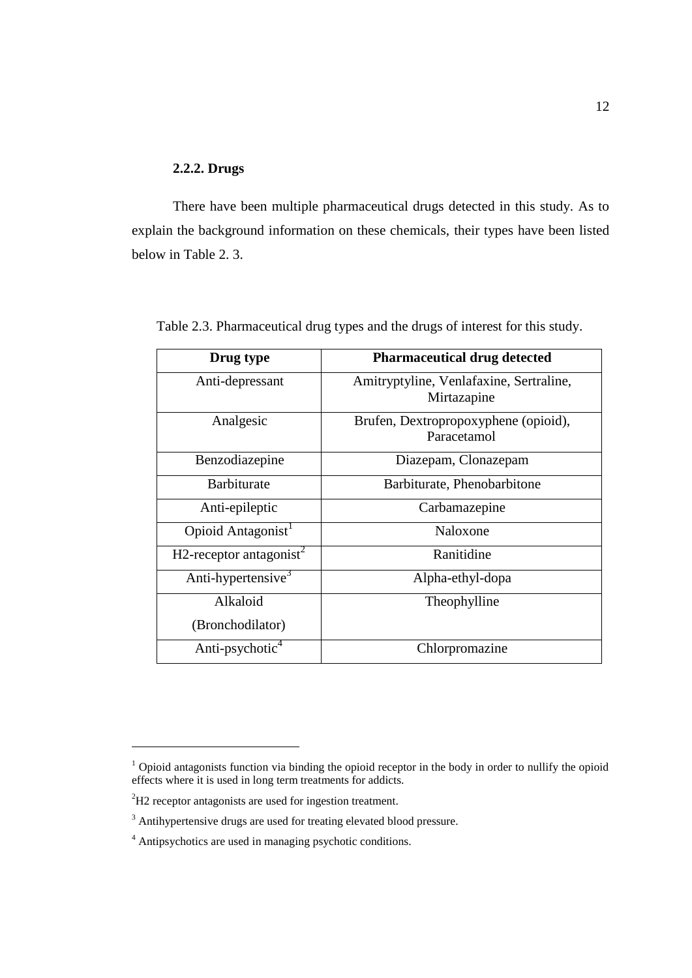#### **2.2.2. Drugs**

There have been multiple pharmaceutical drugs detected in this study. As to explain the background information on these chemicals, their types have been listed below in Table 2. 3.

| Drug type                           | <b>Pharmaceutical drug detected</b>                    |
|-------------------------------------|--------------------------------------------------------|
| Anti-depressant                     | Amitryptyline, Venlafaxine, Sertraline,<br>Mirtazapine |
| Analgesic                           | Brufen, Dextropropoxyphene (opioid),<br>Paracetamol    |
| Benzodiazepine                      | Diazepam, Clonazepam                                   |
| <b>Barbiturate</b>                  | Barbiturate, Phenobarbitone                            |
| Anti-epileptic                      | Carbamazepine                                          |
| Opioid Antagonist <sup>1</sup>      | Naloxone                                               |
| H2-receptor antagonist <sup>2</sup> | Ranitidine                                             |
| Anti-hypertensive <sup>3</sup>      | Alpha-ethyl-dopa                                       |
| Alkaloid                            | Theophylline                                           |
| (Bronchodilator)                    |                                                        |
| Anti-psychotic <sup>4</sup>         | Chlorpromazine                                         |

Table 2.3. Pharmaceutical drug types and the drugs of interest for this study.

 $\overline{a}$ 

<sup>&</sup>lt;sup>1</sup> Opioid antagonists function via binding the opioid receptor in the body in order to nullify the opioid effects where it is used in long term treatments for addicts.

<sup>&</sup>lt;sup>2</sup>H2 receptor antagonists are used for ingestion treatment.

<sup>&</sup>lt;sup>3</sup> Antihypertensive drugs are used for treating elevated blood pressure.

<sup>4</sup> Antipsychotics are used in managing psychotic conditions.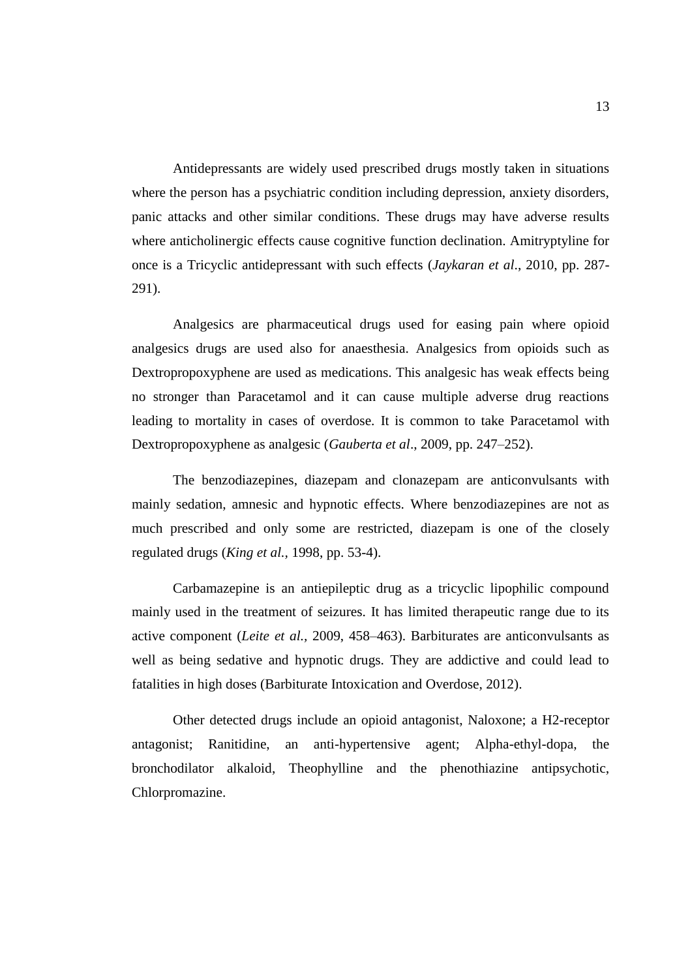Antidepressants are widely used prescribed drugs mostly taken in situations where the person has a psychiatric condition including depression, anxiety disorders, panic attacks and other similar conditions. These drugs may have adverse results where anticholinergic effects cause cognitive function declination. Amitryptyline for once is a Tricyclic antidepressant with such effects (*Jaykaran et al*., 2010, pp. 287- 291).

Analgesics are pharmaceutical drugs used for easing pain where opioid analgesics drugs are used also for anaesthesia. Analgesics from opioids such as Dextropropoxyphene are used as medications. This analgesic has weak effects being no stronger than Paracetamol and it can cause multiple adverse drug reactions leading to mortality in cases of overdose. It is common to take Paracetamol with Dextropropoxyphene as analgesic (*Gauberta et al*., 2009, pp. 247–252).

The benzodiazepines, diazepam and clonazepam are anticonvulsants with mainly sedation, amnesic and hypnotic effects. Where benzodiazepines are not as much prescribed and only some are restricted, diazepam is one of the closely regulated drugs (*King et al.,* 1998, pp. 53-4).

Carbamazepine is an antiepileptic drug as a tricyclic lipophilic compound mainly used in the treatment of seizures. It has limited therapeutic range due to its active component (*Leite et al.,* 2009, 458–463). Barbiturates are anticonvulsants as well as being sedative and hypnotic drugs. They are addictive and could lead to fatalities in high doses (Barbiturate Intoxication and Overdose, 2012).

Other detected drugs include an opioid antagonist, Naloxone; a H2-receptor antagonist; Ranitidine, an anti-hypertensive agent; Alpha-ethyl-dopa, the bronchodilator alkaloid, Theophylline and the phenothiazine antipsychotic, Chlorpromazine.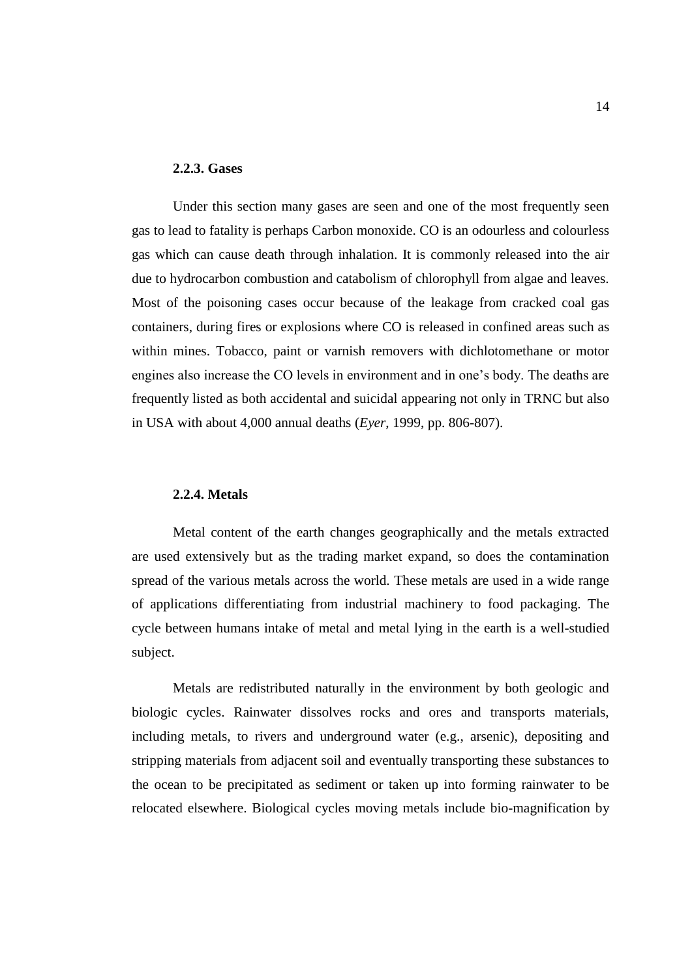#### **2.2.3. Gases**

Under this section many gases are seen and one of the most frequently seen gas to lead to fatality is perhaps Carbon monoxide. CO is an odourless and colourless gas which can cause death through inhalation. It is commonly released into the air due to hydrocarbon combustion and catabolism of chlorophyll from algae and leaves. Most of the poisoning cases occur because of the leakage from cracked coal gas containers, during fires or explosions where CO is released in confined areas such as within mines. Tobacco, paint or varnish removers with dichlotomethane or motor engines also increase the CO levels in environment and in one's body. The deaths are frequently listed as both accidental and suicidal appearing not only in TRNC but also in USA with about 4,000 annual deaths (*Eyer*, 1999, pp. 806-807).

#### **2.2.4. Metals**

Metal content of the earth changes geographically and the metals extracted are used extensively but as the trading market expand, so does the contamination spread of the various metals across the world. These metals are used in a wide range of applications differentiating from industrial machinery to food packaging. The cycle between humans intake of metal and metal lying in the earth is a well-studied subject.

Metals are redistributed naturally in the environment by both geologic and biologic cycles. Rainwater dissolves rocks and ores and transports materials, including metals, to rivers and underground water (e.g., arsenic), depositing and stripping materials from adjacent soil and eventually transporting these substances to the ocean to be precipitated as sediment or taken up into forming rainwater to be relocated elsewhere. Biological cycles moving metals include bio-magnification by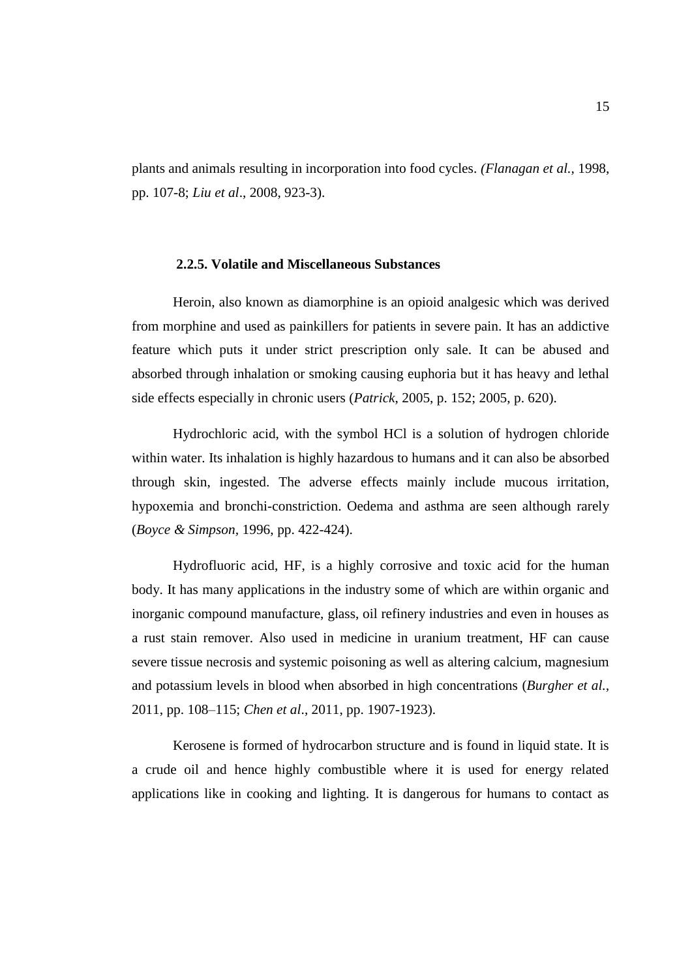plants and animals resulting in incorporation into food cycles. *(Flanagan et al.,* 1998, pp. 107-8; *Liu et al*., 2008, 923-3).

#### **2.2.5. Volatile and Miscellaneous Substances**

Heroin, also known as diamorphine is an opioid analgesic which was derived from morphine and used as painkillers for patients in severe pain. It has an addictive feature which puts it under strict prescription only sale. It can be abused and absorbed through inhalation or smoking causing euphoria but it has heavy and lethal side effects especially in chronic users (*Patrick*, 2005, p. 152; 2005, p. 620).

Hydrochloric acid, with the symbol HCl is a solution of hydrogen chloride within water. Its inhalation is highly hazardous to humans and it can also be absorbed through skin, ingested. The adverse effects mainly include mucous irritation, hypoxemia and bronchi-constriction. Oedema and asthma are seen although rarely (*Boyce & Simpson,* 1996, pp. 422-424).

Hydrofluoric acid, HF, is a highly corrosive and toxic acid for the human body. It has many applications in the industry some of which are within organic and inorganic compound manufacture, glass, oil refinery industries and even in houses as a rust stain remover. Also used in medicine in uranium treatment, HF can cause severe tissue necrosis and systemic poisoning as well as altering calcium, magnesium and potassium levels in blood when absorbed in high concentrations (*Burgher et al.,* 2011, pp. 108–115; *Chen et al*., 2011, pp. 1907-1923).

Kerosene is formed of hydrocarbon structure and is found in liquid state. It is a crude oil and hence highly combustible where it is used for energy related applications like in cooking and lighting. It is dangerous for humans to contact as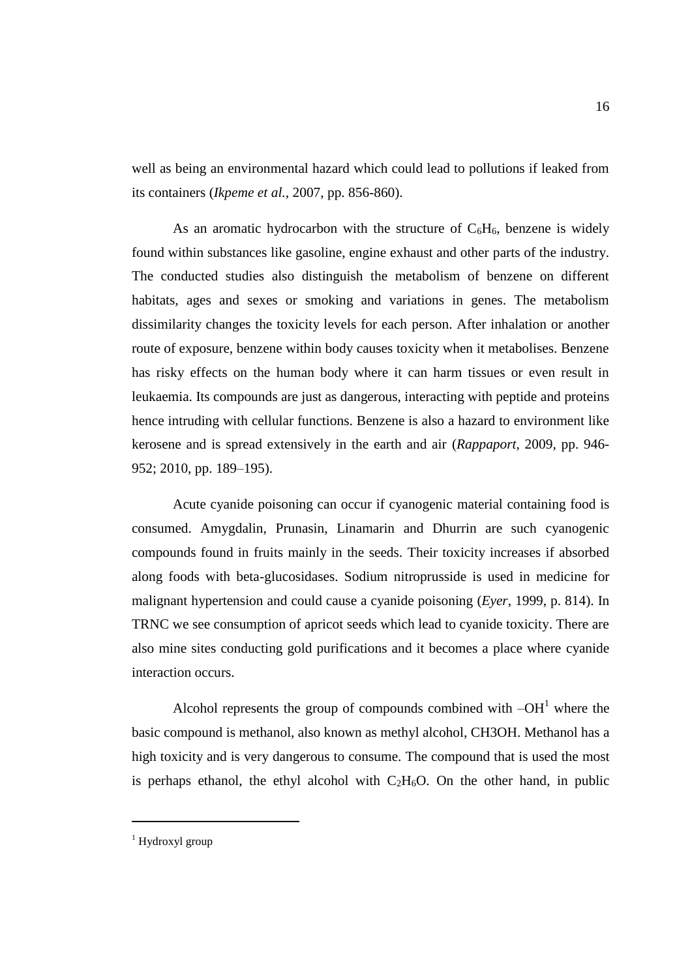well as being an environmental hazard which could lead to pollutions if leaked from its containers (*Ikpeme et al.,* 2007, pp. 856-860).

As an aromatic hydrocarbon with the structure of  $C_6H_6$ , benzene is widely found within substances like gasoline, engine exhaust and other parts of the industry. The conducted studies also distinguish the metabolism of benzene on different habitats, ages and sexes or smoking and variations in genes. The metabolism dissimilarity changes the toxicity levels for each person. After inhalation or another route of exposure, benzene within body causes toxicity when it metabolises. Benzene has risky effects on the human body where it can harm tissues or even result in leukaemia. Its compounds are just as dangerous, interacting with peptide and proteins hence intruding with cellular functions. Benzene is also a hazard to environment like kerosene and is spread extensively in the earth and air (*Rappaport*, 2009, pp. 946- 952; 2010, pp. 189–195).

Acute cyanide poisoning can occur if cyanogenic material containing food is consumed. Amygdalin, Prunasin, Linamarin and Dhurrin are such cyanogenic compounds found in fruits mainly in the seeds. Their toxicity increases if absorbed along foods with beta-glucosidases. Sodium nitroprusside is used in medicine for malignant hypertension and could cause a cyanide poisoning (*Eyer*, 1999, p. 814). In TRNC we see consumption of apricot seeds which lead to cyanide toxicity. There are also mine sites conducting gold purifications and it becomes a place where cyanide interaction occurs.

Alcohol represents the group of compounds combined with  $-OH<sup>1</sup>$  where the basic compound is methanol, also known as methyl alcohol, CH3OH. Methanol has a high toxicity and is very dangerous to consume. The compound that is used the most is perhaps ethanol, the ethyl alcohol with  $C_2H_6O$ . On the other hand, in public

 $\overline{a}$ 

 $1$  Hydroxyl group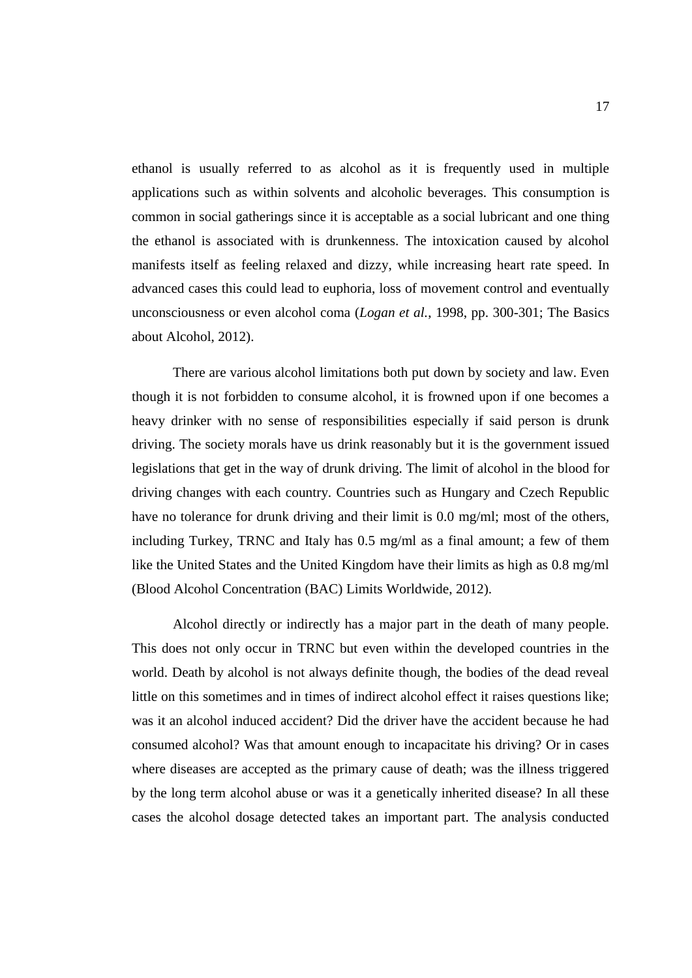ethanol is usually referred to as alcohol as it is frequently used in multiple applications such as within solvents and alcoholic beverages. This consumption is common in social gatherings since it is acceptable as a social lubricant and one thing the ethanol is associated with is drunkenness. The intoxication caused by alcohol manifests itself as feeling relaxed and dizzy, while increasing heart rate speed. In advanced cases this could lead to euphoria, loss of movement control and eventually unconsciousness or even alcohol coma (*Logan et al.*, 1998, pp. 300-301; The Basics about Alcohol, 2012).

There are various alcohol limitations both put down by society and law. Even though it is not forbidden to consume alcohol, it is frowned upon if one becomes a heavy drinker with no sense of responsibilities especially if said person is drunk driving. The society morals have us drink reasonably but it is the government issued legislations that get in the way of drunk driving. The limit of alcohol in the blood for driving changes with each country. Countries such as Hungary and Czech Republic have no tolerance for drunk driving and their limit is 0.0 mg/ml; most of the others, including Turkey, TRNC and Italy has 0.5 mg/ml as a final amount; a few of them like the United States and the United Kingdom have their limits as high as 0.8 mg/ml (Blood Alcohol Concentration (BAC) Limits Worldwide, 2012).

Alcohol directly or indirectly has a major part in the death of many people. This does not only occur in TRNC but even within the developed countries in the world. Death by alcohol is not always definite though, the bodies of the dead reveal little on this sometimes and in times of indirect alcohol effect it raises questions like; was it an alcohol induced accident? Did the driver have the accident because he had consumed alcohol? Was that amount enough to incapacitate his driving? Or in cases where diseases are accepted as the primary cause of death; was the illness triggered by the long term alcohol abuse or was it a genetically inherited disease? In all these cases the alcohol dosage detected takes an important part. The analysis conducted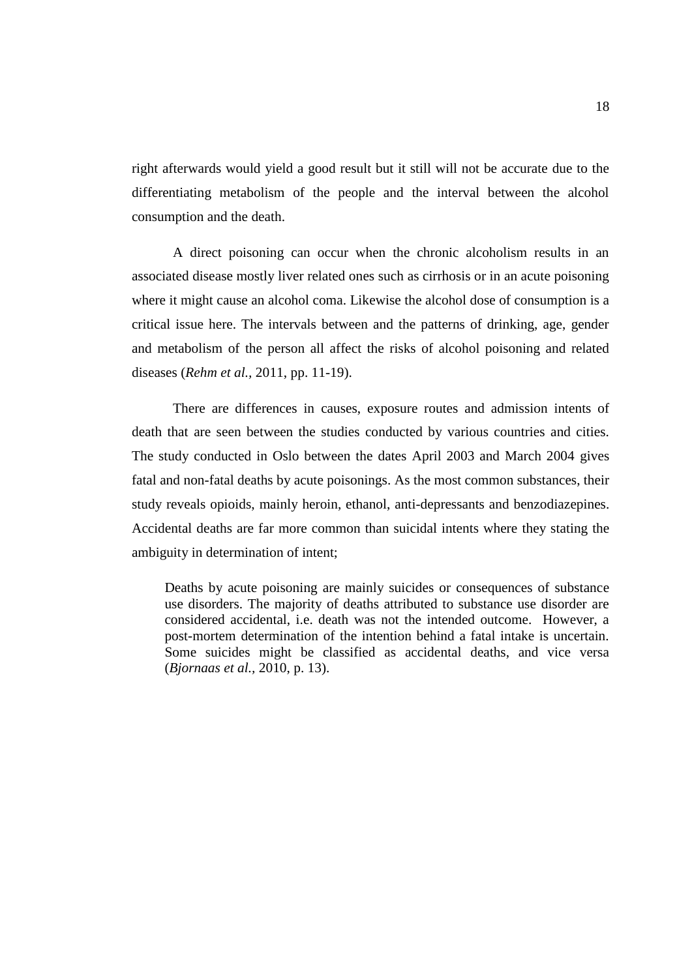right afterwards would yield a good result but it still will not be accurate due to the differentiating metabolism of the people and the interval between the alcohol consumption and the death.

A direct poisoning can occur when the chronic alcoholism results in an associated disease mostly liver related ones such as cirrhosis or in an acute poisoning where it might cause an alcohol coma. Likewise the alcohol dose of consumption is a critical issue here. The intervals between and the patterns of drinking, age, gender and metabolism of the person all affect the risks of alcohol poisoning and related diseases (*Rehm et al.,* 2011, pp. 11-19).

There are differences in causes, exposure routes and admission intents of death that are seen between the studies conducted by various countries and cities. The study conducted in Oslo between the dates April 2003 and March 2004 gives fatal and non-fatal deaths by acute poisonings. As the most common substances, their study reveals opioids, mainly heroin, ethanol, anti-depressants and benzodiazepines. Accidental deaths are far more common than suicidal intents where they stating the ambiguity in determination of intent;

Deaths by acute poisoning are mainly suicides or consequences of substance use disorders. The majority of deaths attributed to substance use disorder are considered accidental, i.e. death was not the intended outcome. However, a post-mortem determination of the intention behind a fatal intake is uncertain. Some suicides might be classified as accidental deaths, and vice versa (*Bjornaas et al.,* 2010, p. 13).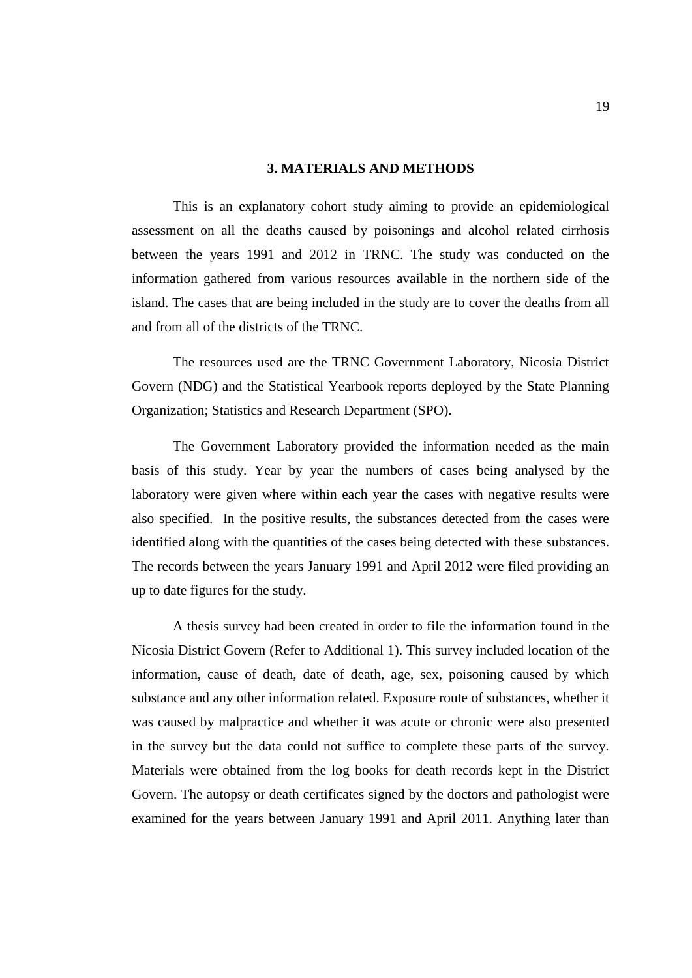#### **3. MATERIALS AND METHODS**

This is an explanatory cohort study aiming to provide an epidemiological assessment on all the deaths caused by poisonings and alcohol related cirrhosis between the years 1991 and 2012 in TRNC. The study was conducted on the information gathered from various resources available in the northern side of the island. The cases that are being included in the study are to cover the deaths from all and from all of the districts of the TRNC.

The resources used are the TRNC Government Laboratory, Nicosia District Govern (NDG) and the Statistical Yearbook reports deployed by the State Planning Organization; Statistics and Research Department (SPO).

The Government Laboratory provided the information needed as the main basis of this study. Year by year the numbers of cases being analysed by the laboratory were given where within each year the cases with negative results were also specified. In the positive results, the substances detected from the cases were identified along with the quantities of the cases being detected with these substances. The records between the years January 1991 and April 2012 were filed providing an up to date figures for the study.

A thesis survey had been created in order to file the information found in the Nicosia District Govern (Refer to Additional 1). This survey included location of the information, cause of death, date of death, age, sex, poisoning caused by which substance and any other information related. Exposure route of substances, whether it was caused by malpractice and whether it was acute or chronic were also presented in the survey but the data could not suffice to complete these parts of the survey. Materials were obtained from the log books for death records kept in the District Govern. The autopsy or death certificates signed by the doctors and pathologist were examined for the years between January 1991 and April 2011. Anything later than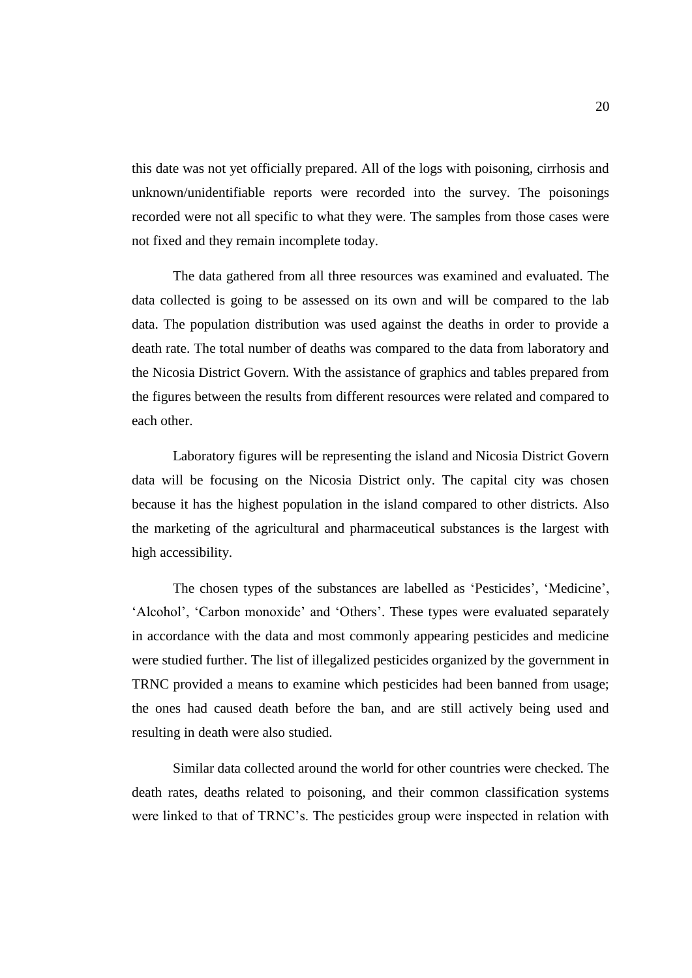this date was not yet officially prepared. All of the logs with poisoning, cirrhosis and unknown/unidentifiable reports were recorded into the survey. The poisonings recorded were not all specific to what they were. The samples from those cases were not fixed and they remain incomplete today.

The data gathered from all three resources was examined and evaluated. The data collected is going to be assessed on its own and will be compared to the lab data. The population distribution was used against the deaths in order to provide a death rate. The total number of deaths was compared to the data from laboratory and the Nicosia District Govern. With the assistance of graphics and tables prepared from the figures between the results from different resources were related and compared to each other.

Laboratory figures will be representing the island and Nicosia District Govern data will be focusing on the Nicosia District only. The capital city was chosen because it has the highest population in the island compared to other districts. Also the marketing of the agricultural and pharmaceutical substances is the largest with high accessibility.

The chosen types of the substances are labelled as 'Pesticides', 'Medicine', 'Alcohol', 'Carbon monoxide' and 'Others'. These types were evaluated separately in accordance with the data and most commonly appearing pesticides and medicine were studied further. The list of illegalized pesticides organized by the government in TRNC provided a means to examine which pesticides had been banned from usage; the ones had caused death before the ban, and are still actively being used and resulting in death were also studied.

Similar data collected around the world for other countries were checked. The death rates, deaths related to poisoning, and their common classification systems were linked to that of TRNC's. The pesticides group were inspected in relation with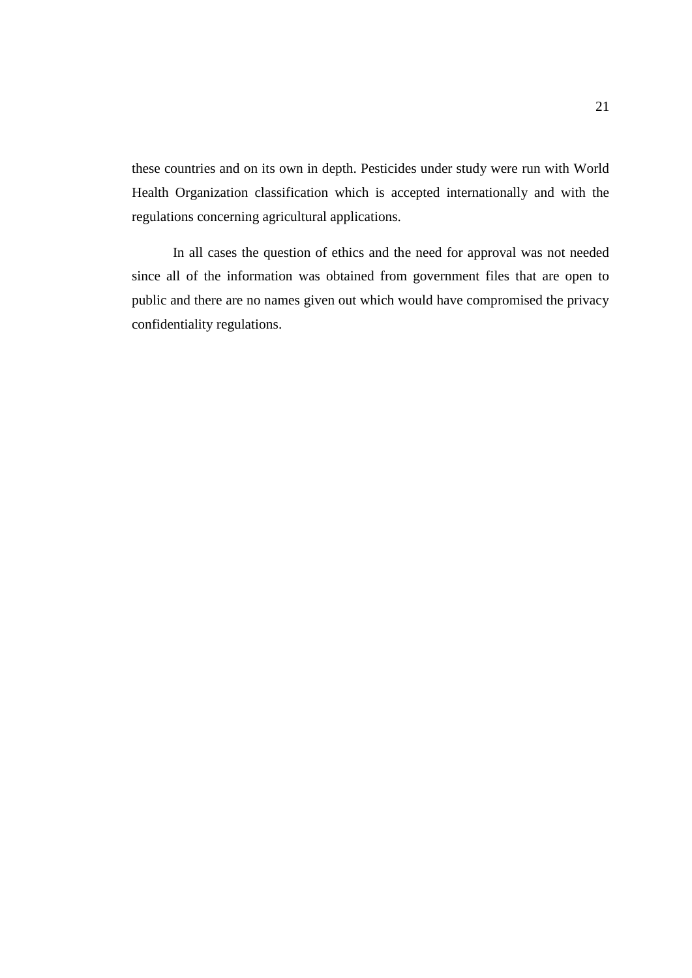these countries and on its own in depth. Pesticides under study were run with World Health Organization classification which is accepted internationally and with the regulations concerning agricultural applications.

In all cases the question of ethics and the need for approval was not needed since all of the information was obtained from government files that are open to public and there are no names given out which would have compromised the privacy confidentiality regulations.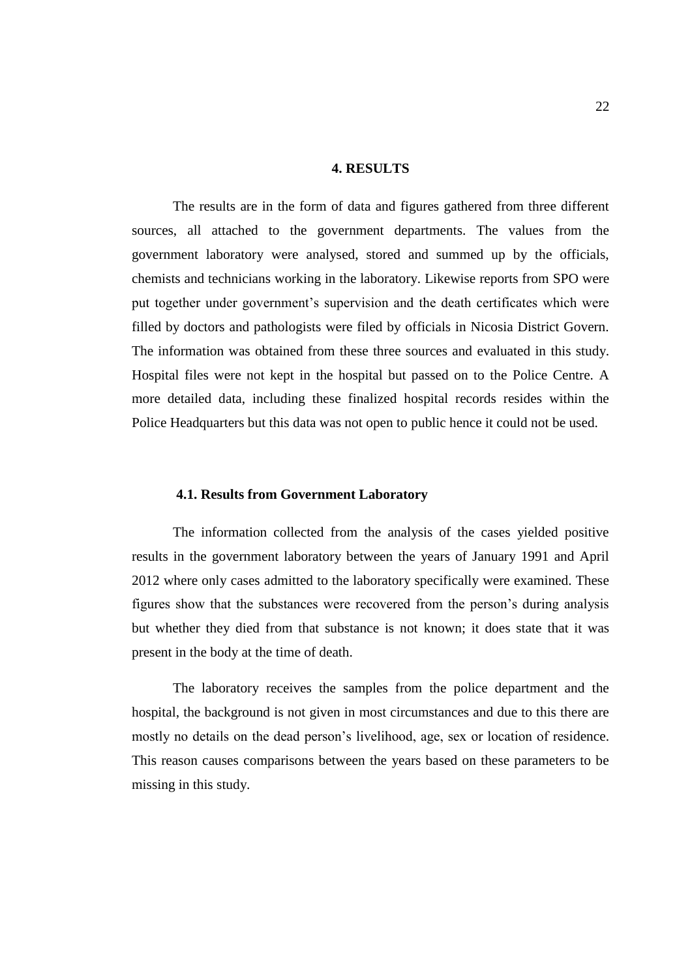#### **4. RESULTS**

The results are in the form of data and figures gathered from three different sources, all attached to the government departments. The values from the government laboratory were analysed, stored and summed up by the officials, chemists and technicians working in the laboratory. Likewise reports from SPO were put together under government's supervision and the death certificates which were filled by doctors and pathologists were filed by officials in Nicosia District Govern. The information was obtained from these three sources and evaluated in this study. Hospital files were not kept in the hospital but passed on to the Police Centre. A more detailed data, including these finalized hospital records resides within the Police Headquarters but this data was not open to public hence it could not be used.

#### **4.1. Results from Government Laboratory**

The information collected from the analysis of the cases yielded positive results in the government laboratory between the years of January 1991 and April 2012 where only cases admitted to the laboratory specifically were examined. These figures show that the substances were recovered from the person's during analysis but whether they died from that substance is not known; it does state that it was present in the body at the time of death.

The laboratory receives the samples from the police department and the hospital, the background is not given in most circumstances and due to this there are mostly no details on the dead person's livelihood, age, sex or location of residence. This reason causes comparisons between the years based on these parameters to be missing in this study.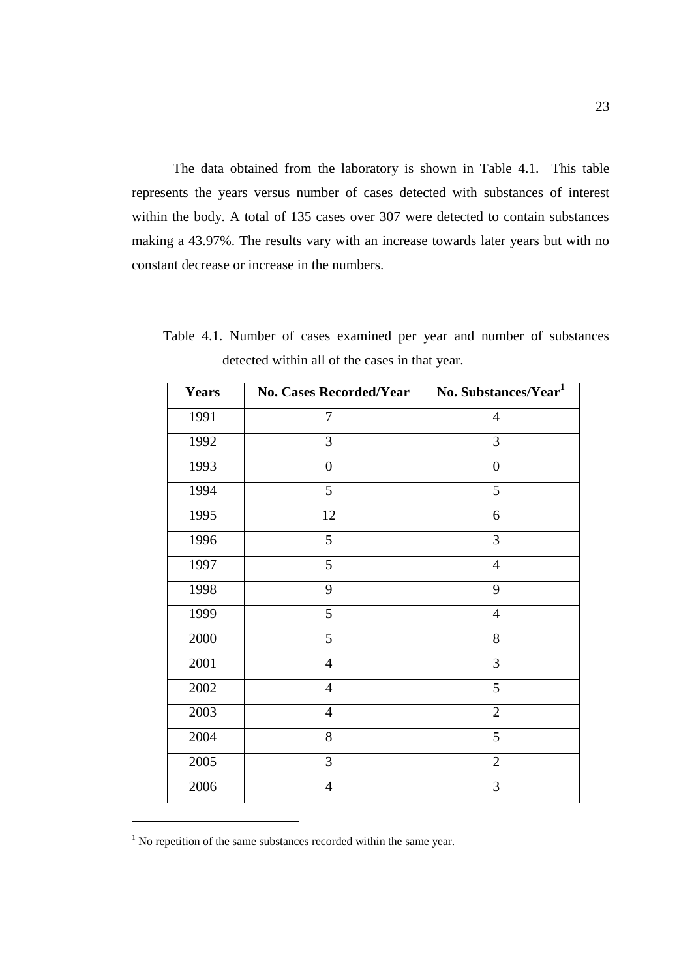The data obtained from the laboratory is shown in Table 4.1. This table represents the years versus number of cases detected with substances of interest within the body. A total of 135 cases over 307 were detected to contain substances making a 43.97%. The results vary with an increase towards later years but with no constant decrease or increase in the numbers.

| <b>Years</b> | No. Cases Recorded/Year | No. Substances/Year <sup>1</sup> |
|--------------|-------------------------|----------------------------------|
| 1991         | $\tau$                  | $\overline{4}$                   |
| 1992         | 3                       | 3                                |
| 1993         | $\boldsymbol{0}$        | $\boldsymbol{0}$                 |
| 1994         | 5                       | 5                                |
| 1995         | 12                      | 6                                |
| 1996         | 5                       | 3                                |
| 1997         | 5                       | $\overline{4}$                   |
| 1998         | 9                       | 9                                |
| 1999         | 5                       | $\overline{4}$                   |
| 2000         | 5                       | $8\,$                            |
| 2001         | $\overline{4}$          | 3                                |
| 2002         | $\overline{4}$          | 5                                |
| 2003         | $\overline{4}$          | $\overline{2}$                   |
| 2004         | 8                       | 5                                |
| 2005         | 3                       | $\overline{2}$                   |
| 2006         | $\overline{4}$          | 3                                |

Table 4.1. Number of cases examined per year and number of substances detected within all of the cases in that year.

 $\overline{a}$ 

No repetition of the same substances recorded within the same year.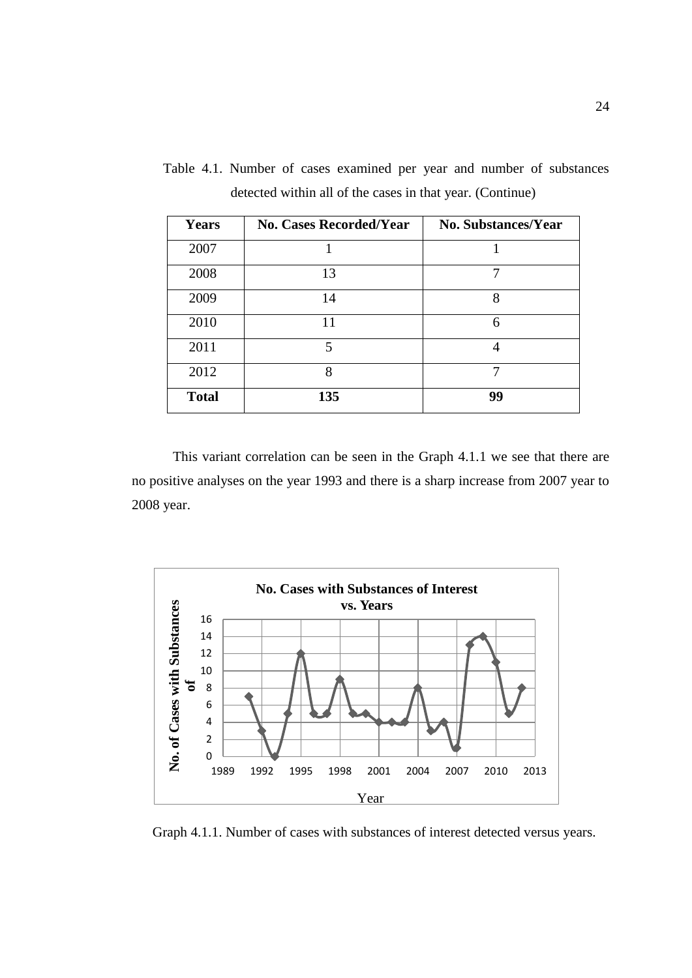| <b>Years</b> | <b>No. Cases Recorded/Year</b> | <b>No. Substances/Year</b> |  |
|--------------|--------------------------------|----------------------------|--|
| 2007         |                                |                            |  |
| 2008         | 13                             |                            |  |
| 2009         | 14                             | 8                          |  |
| 2010         | 11                             | 6                          |  |
| 2011         | $\overline{\mathbf{5}}$        |                            |  |
| 2012         | 8                              | 7                          |  |
| <b>Total</b> | 135                            | 99                         |  |

Table 4.1. Number of cases examined per year and number of substances detected within all of the cases in that year. (Continue)

This variant correlation can be seen in the Graph 4.1.1 we see that there are no positive analyses on the year 1993 and there is a sharp increase from 2007 year to 2008 year.



Graph 4.1.1. Number of cases with substances of interest detected versus years.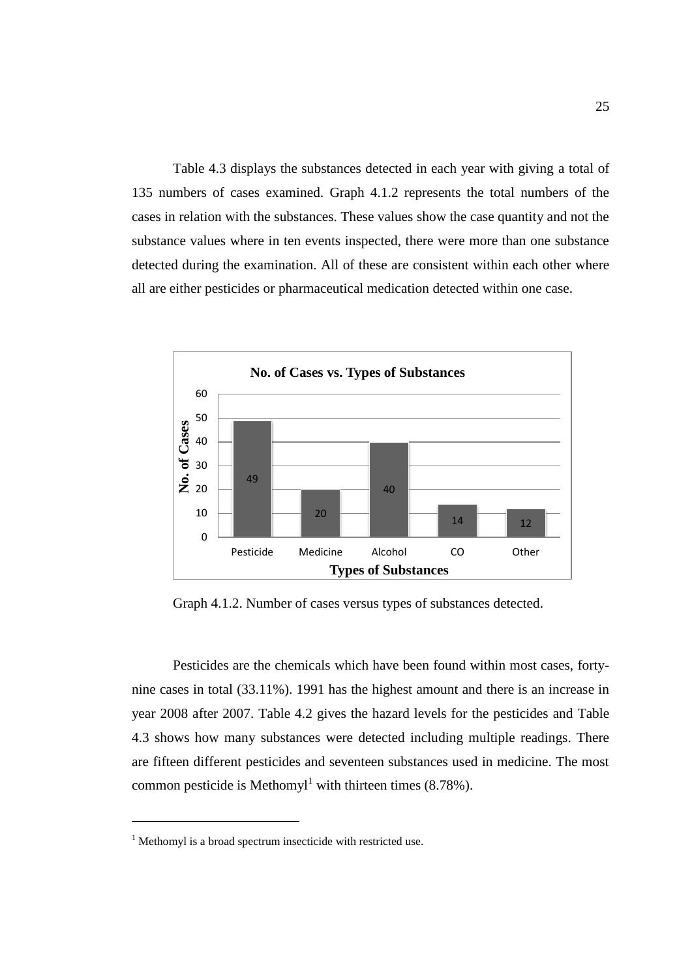Table 4.3 displays the substances detected in each year with giving a total of 135 numbers of cases examined. Graph 4.1.2 represents the total numbers of the cases in relation with the substances. These values show the case quantity and not the substance values where in ten events inspected, there were more than one substance detected during the examination. All of these are consistent within each other where all are either pesticides or pharmaceutical medication detected within one case.



Graph 4.1.2. Number of cases versus types of substances detected.

Pesticides are the chemicals which have been found within most cases, fortynine cases in total (33.11%). 1991 has the highest amount and there is an increase in year 2008 after 2007. Table 4.2 gives the hazard levels for the pesticides and Table 4.3 shows how many substances were detected including multiple readings. There are fifteen different pesticides and seventeen substances used in medicine. The most common pesticide is Methomyl<sup>1</sup> with thirteen times  $(8.78\%)$ .

 $\overline{a}$ 

 $1$  Methomyl is a broad spectrum insecticide with restricted use.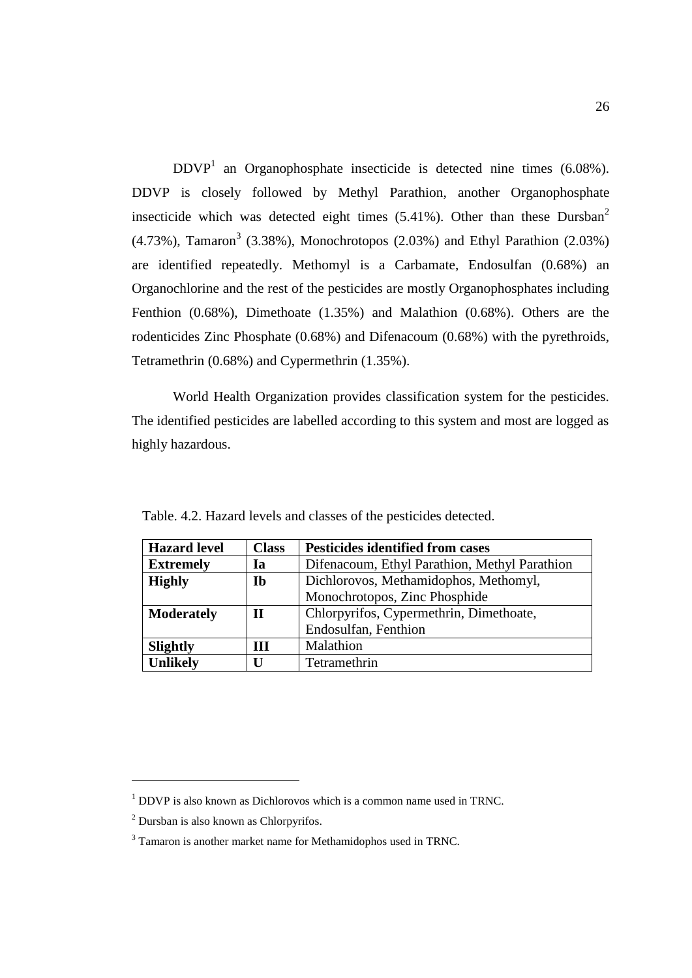$DDVP<sup>1</sup>$  an Organophosphate insecticide is detected nine times (6.08%). DDVP is closely followed by Methyl Parathion, another Organophosphate insecticide which was detected eight times  $(5.41\%)$ . Other than these Dursban<sup>2</sup>  $(4.73\%)$ , Tamaron<sup>3</sup> (3.38%), Monochrotopos (2.03%) and Ethyl Parathion (2.03%) are identified repeatedly. Methomyl is a Carbamate, Endosulfan (0.68%) an Organochlorine and the rest of the pesticides are mostly Organophosphates including Fenthion (0.68%), Dimethoate (1.35%) and Malathion (0.68%). Others are the rodenticides Zinc Phosphate (0.68%) and Difenacoum (0.68%) with the pyrethroids, Tetramethrin (0.68%) and Cypermethrin (1.35%).

World Health Organization provides classification system for the pesticides. The identified pesticides are labelled according to this system and most are logged as highly hazardous.

| <b>Hazard level</b> | <b>Class</b> | <b>Pesticides identified from cases</b>       |  |
|---------------------|--------------|-----------------------------------------------|--|
| <b>Extremely</b>    | Ia           | Difenacoum, Ethyl Parathion, Methyl Parathion |  |
| <b>Highly</b>       | Ib           | Dichlorovos, Methamidophos, Methomyl,         |  |
|                     |              | Monochrotopos, Zinc Phosphide                 |  |
| <b>Moderately</b>   | H            | Chlorpyrifos, Cypermethrin, Dimethoate,       |  |
|                     |              | Endosulfan, Fenthion                          |  |
| <b>Slightly</b>     | ш            | Malathion                                     |  |
| <b>Unlikely</b>     | П            | Tetramethrin                                  |  |

Table. 4.2. Hazard levels and classes of the pesticides detected.

 $\overline{\phantom{a}}$ 

<sup>&</sup>lt;sup>1</sup> DDVP is also known as Dichlorovos which is a common name used in TRNC.

<sup>2</sup> Dursban is also known as Chlorpyrifos.

 $3$  Tamaron is another market name for Methamidophos used in TRNC.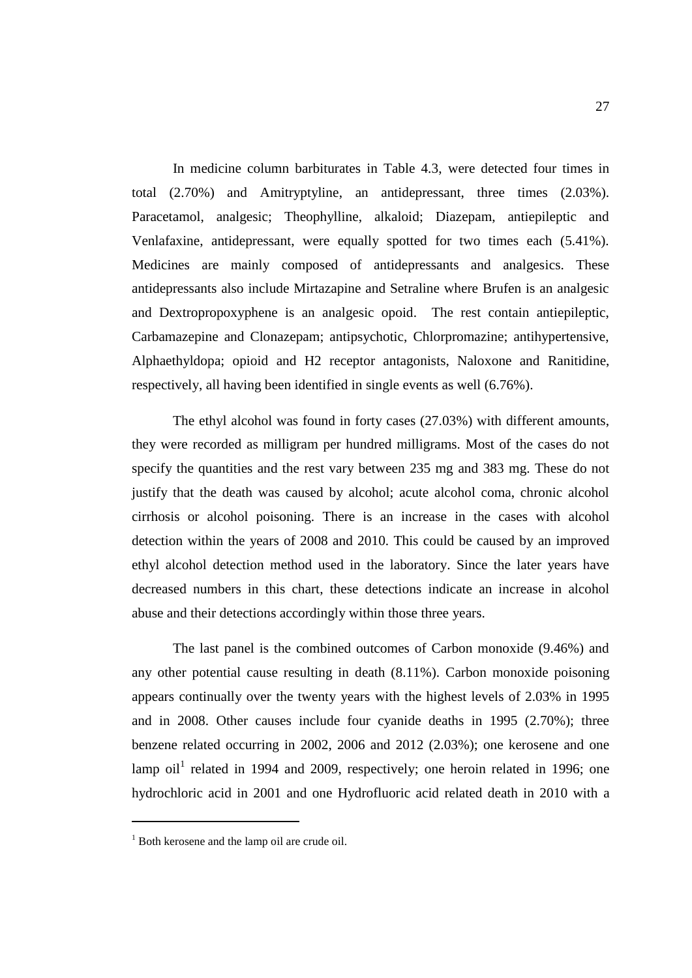In medicine column barbiturates in Table 4.3, were detected four times in total (2.70%) and Amitryptyline, an antidepressant, three times (2.03%). Paracetamol, analgesic; Theophylline, alkaloid; Diazepam, antiepileptic and Venlafaxine, antidepressant, were equally spotted for two times each (5.41%). Medicines are mainly composed of antidepressants and analgesics. These antidepressants also include Mirtazapine and Setraline where Brufen is an analgesic and Dextropropoxyphene is an analgesic opoid. The rest contain antiepileptic, Carbamazepine and Clonazepam; antipsychotic, Chlorpromazine; antihypertensive, Alphaethyldopa; opioid and H2 receptor antagonists, Naloxone and Ranitidine, respectively, all having been identified in single events as well (6.76%).

The ethyl alcohol was found in forty cases (27.03%) with different amounts, they were recorded as milligram per hundred milligrams. Most of the cases do not specify the quantities and the rest vary between 235 mg and 383 mg. These do not justify that the death was caused by alcohol; acute alcohol coma, chronic alcohol cirrhosis or alcohol poisoning. There is an increase in the cases with alcohol detection within the years of 2008 and 2010. This could be caused by an improved ethyl alcohol detection method used in the laboratory. Since the later years have decreased numbers in this chart, these detections indicate an increase in alcohol abuse and their detections accordingly within those three years.

The last panel is the combined outcomes of Carbon monoxide (9.46%) and any other potential cause resulting in death (8.11%). Carbon monoxide poisoning appears continually over the twenty years with the highest levels of 2.03% in 1995 and in 2008. Other causes include four cyanide deaths in 1995 (2.70%); three benzene related occurring in 2002, 2006 and 2012 (2.03%); one kerosene and one lamp oil<sup>1</sup> related in 1994 and 2009, respectively; one heroin related in 1996; one hydrochloric acid in 2001 and one Hydrofluoric acid related death in 2010 with a

 $\overline{a}$ 

 $1$  Both kerosene and the lamp oil are crude oil.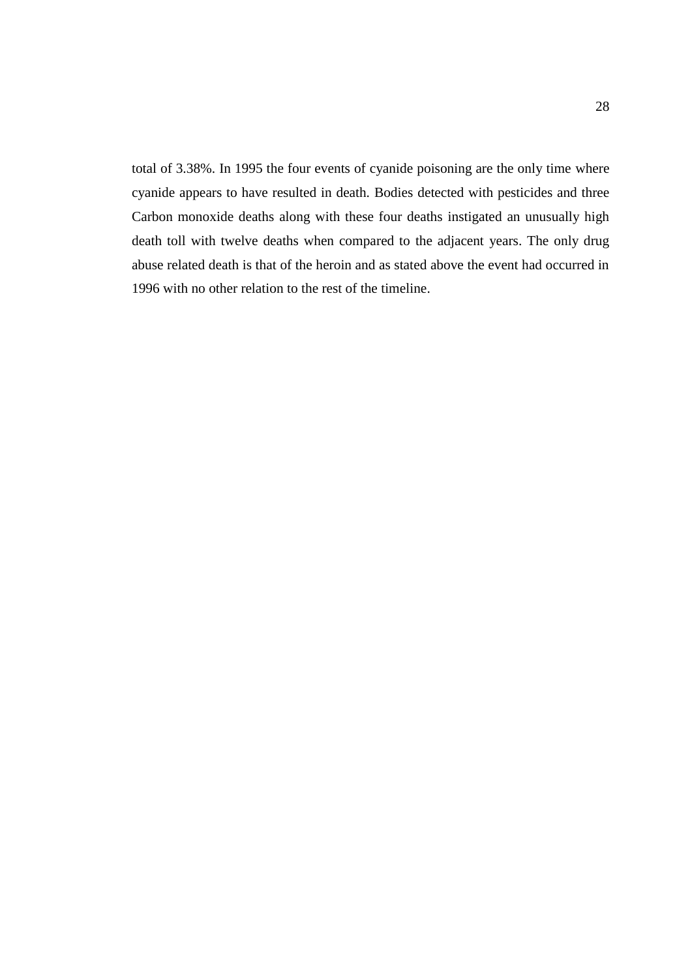total of 3.38%. In 1995 the four events of cyanide poisoning are the only time where cyanide appears to have resulted in death. Bodies detected with pesticides and three Carbon monoxide deaths along with these four deaths instigated an unusually high death toll with twelve deaths when compared to the adjacent years. The only drug abuse related death is that of the heroin and as stated above the event had occurred in 1996 with no other relation to the rest of the timeline.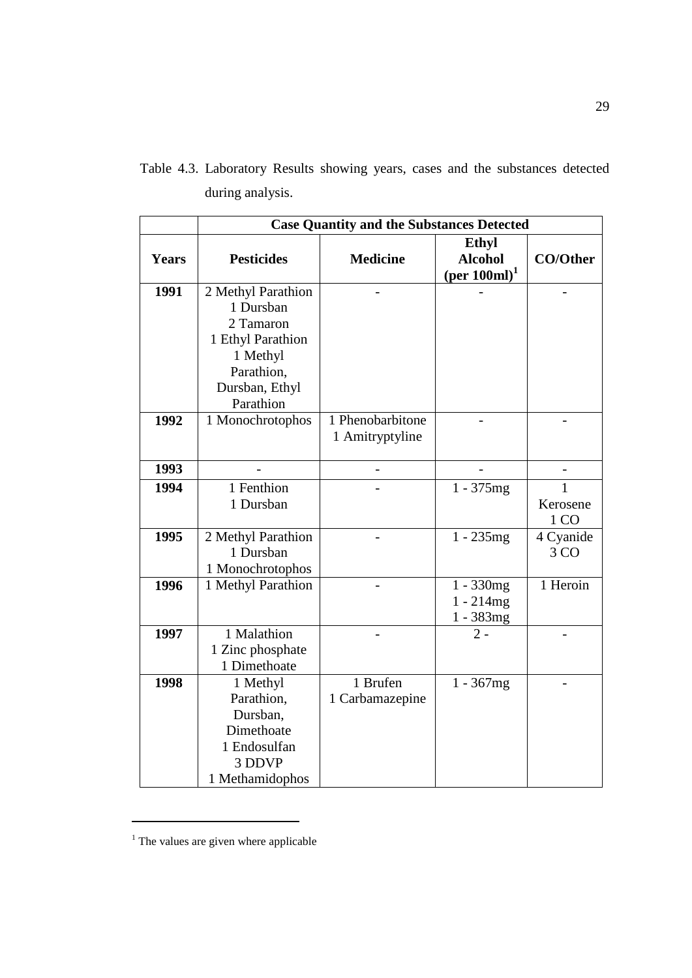|              | <b>Case Quantity and the Substances Detected</b> |                  |                                                                 |                  |  |
|--------------|--------------------------------------------------|------------------|-----------------------------------------------------------------|------------------|--|
| <b>Years</b> | <b>Pesticides</b>                                | <b>Medicine</b>  | <b>Ethyl</b><br><b>Alcohol</b><br>$(\text{per }100\text{ml})^1$ | <b>CO/Other</b>  |  |
| 1991         | 2 Methyl Parathion                               |                  |                                                                 |                  |  |
|              | 1 Dursban                                        |                  |                                                                 |                  |  |
|              | 2 Tamaron                                        |                  |                                                                 |                  |  |
|              | 1 Ethyl Parathion                                |                  |                                                                 |                  |  |
|              | 1 Methyl                                         |                  |                                                                 |                  |  |
|              | Parathion,                                       |                  |                                                                 |                  |  |
|              | Dursban, Ethyl                                   |                  |                                                                 |                  |  |
|              | Parathion                                        |                  |                                                                 |                  |  |
| 1992         | 1 Monochrotophos                                 | 1 Phenobarbitone |                                                                 |                  |  |
|              |                                                  | 1 Amitryptyline  |                                                                 |                  |  |
| 1993         |                                                  |                  |                                                                 |                  |  |
| 1994         | $\overline{1}$ Fenthion                          |                  | $1 - 375mg$                                                     | 1                |  |
|              | 1 Dursban                                        |                  |                                                                 | Kerosene<br>1 CO |  |
| 1995         | 2 Methyl Parathion                               |                  | $1 - 235mg$                                                     | 4 Cyanide        |  |
|              | 1 Dursban                                        |                  |                                                                 | 3 CO             |  |
|              | 1 Monochrotophos                                 |                  |                                                                 |                  |  |
| 1996         | 1 Methyl Parathion                               |                  | $1 - 330mg$                                                     | 1 Heroin         |  |
|              |                                                  |                  | $1 - 214mg$                                                     |                  |  |
|              |                                                  |                  | $1 - 383mg$                                                     |                  |  |
| 1997         | 1 Malathion                                      |                  | $2 -$                                                           |                  |  |
|              | 1 Zinc phosphate                                 |                  |                                                                 |                  |  |
|              | 1 Dimethoate                                     |                  |                                                                 |                  |  |
| 1998         | 1 Methyl                                         | 1 Brufen         | $1 - 367mg$                                                     |                  |  |
|              | Parathion,                                       | 1 Carbamazepine  |                                                                 |                  |  |
|              | Dursban,                                         |                  |                                                                 |                  |  |
|              | Dimethoate<br>1 Endosulfan                       |                  |                                                                 |                  |  |
|              | 3 DDVP                                           |                  |                                                                 |                  |  |
|              | 1 Methamidophos                                  |                  |                                                                 |                  |  |

Table 4.3. Laboratory Results showing years, cases and the substances detected during analysis.

 $\overline{a}$ 

<sup>&</sup>lt;sup>1</sup> The values are given where applicable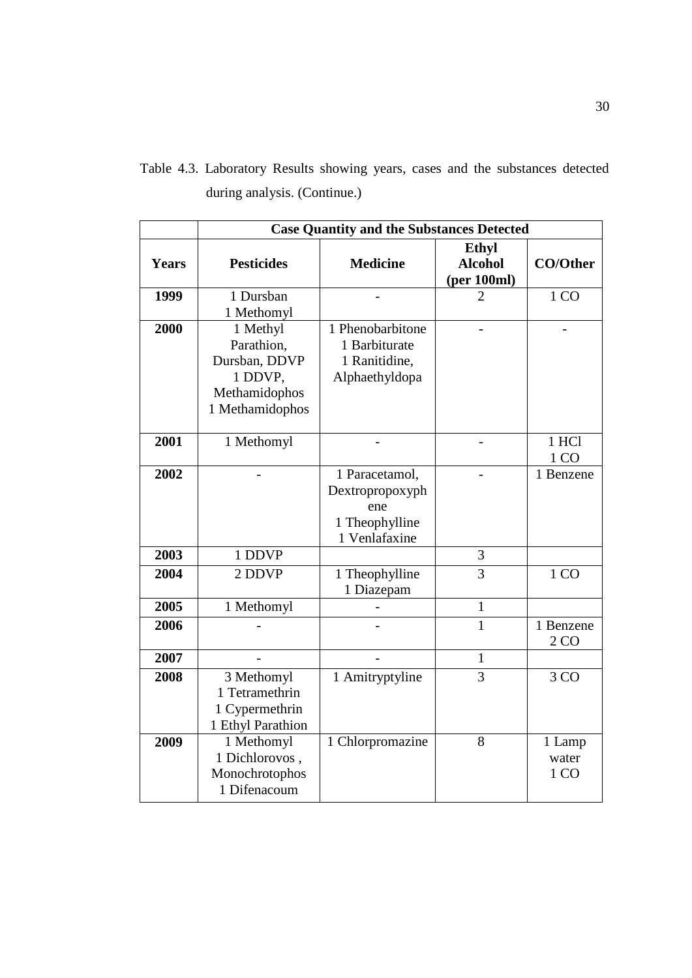|  |  |                              |  |  | Table 4.3. Laboratory Results showing years, cases and the substances detected |  |
|--|--|------------------------------|--|--|--------------------------------------------------------------------------------|--|
|  |  | during analysis. (Continue.) |  |  |                                                                                |  |

|       | <b>Case Quantity and the Substances Detected</b>                                       |                                                                             |                                               |                              |  |  |  |
|-------|----------------------------------------------------------------------------------------|-----------------------------------------------------------------------------|-----------------------------------------------|------------------------------|--|--|--|
| Years | <b>Pesticides</b>                                                                      | <b>Medicine</b>                                                             | <b>Ethyl</b><br><b>Alcohol</b><br>(per 100ml) | <b>CO/Other</b>              |  |  |  |
| 1999  | 1 Dursban<br>1 Methomyl                                                                |                                                                             | $\overline{2}$                                | 1 CO                         |  |  |  |
| 2000  | 1 Methyl<br>Parathion,<br>Dursban, DDVP<br>1 DDVP,<br>Methamidophos<br>1 Methamidophos | 1 Phenobarbitone<br>1 Barbiturate<br>1 Ranitidine,<br>Alphaethyldopa        |                                               |                              |  |  |  |
| 2001  | 1 Methomyl                                                                             | $\overline{a}$                                                              | $\overline{a}$                                | 1 HCl<br>1 CO                |  |  |  |
| 2002  |                                                                                        | 1 Paracetamol,<br>Dextropropoxyph<br>ene<br>1 Theophylline<br>1 Venlafaxine |                                               | 1 Benzene                    |  |  |  |
| 2003  | 1 DDVP                                                                                 |                                                                             | 3                                             |                              |  |  |  |
| 2004  | 2 DDVP                                                                                 | 1 Theophylline<br>1 Diazepam                                                | $\overline{3}$                                | 1 CO                         |  |  |  |
| 2005  | 1 Methomyl                                                                             |                                                                             | $\mathbf{1}$                                  |                              |  |  |  |
| 2006  |                                                                                        |                                                                             | 1                                             | 1 Benzene<br>2 <sub>CO</sub> |  |  |  |
| 2007  |                                                                                        |                                                                             | $\mathbf{1}$                                  |                              |  |  |  |
| 2008  | 3 Methomyl<br>1 Tetramethrin<br>1 Cypermethrin<br>1 Ethyl Parathion                    | 1 Amitryptyline                                                             | $\overline{3}$                                | 3 CO                         |  |  |  |
| 2009  | 1 Methomyl<br>1 Dichlorovos,<br>Monochrotophos<br>1 Difenacoum                         | 1 Chlorpromazine                                                            | 8                                             | 1 Lamp<br>water<br>1 CO      |  |  |  |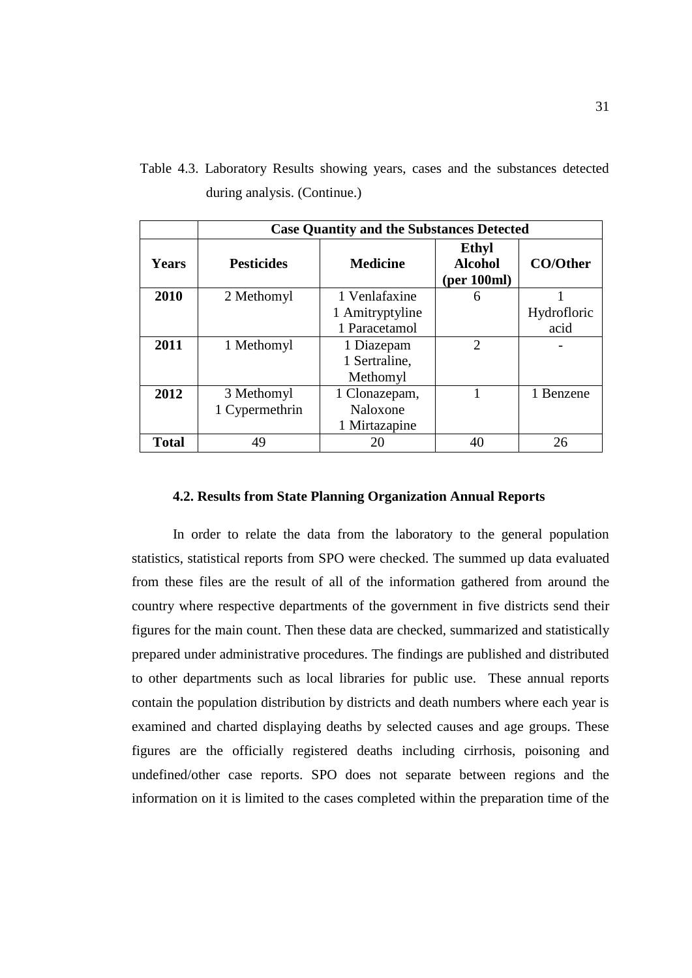Table 4.3. Laboratory Results showing years, cases and the substances detected during analysis. (Continue.)

|              | <b>Case Quantity and the Substances Detected</b> |                 |                                               |                 |  |
|--------------|--------------------------------------------------|-----------------|-----------------------------------------------|-----------------|--|
| <b>Years</b> | <b>Pesticides</b>                                | <b>Medicine</b> | <b>Ethyl</b><br><b>Alcohol</b><br>(per 100ml) | <b>CO/Other</b> |  |
| 2010         | 2 Methomyl                                       | 1 Venlafaxine   | 6                                             |                 |  |
|              |                                                  | 1 Amitryptyline |                                               | Hydrofloric     |  |
|              |                                                  | 1 Paracetamol   |                                               | acid            |  |
| 2011         | 1 Methomyl                                       | 1 Diazepam      | $\mathcal{D}_{\mathcal{L}}$                   |                 |  |
|              |                                                  | 1 Sertraline.   |                                               |                 |  |
|              |                                                  | Methomyl        |                                               |                 |  |
| 2012         | 3 Methomyl                                       | 1 Clonazepam,   |                                               | 1 Benzene       |  |
|              | 1 Cypermethrin                                   | Naloxone        |                                               |                 |  |
|              |                                                  | 1 Mirtazapine   |                                               |                 |  |
| <b>Total</b> | 49                                               | 20              | 40                                            | 26              |  |

## **4.2. Results from State Planning Organization Annual Reports**

In order to relate the data from the laboratory to the general population statistics, statistical reports from SPO were checked. The summed up data evaluated from these files are the result of all of the information gathered from around the country where respective departments of the government in five districts send their figures for the main count. Then these data are checked, summarized and statistically prepared under administrative procedures. The findings are published and distributed to other departments such as local libraries for public use. These annual reports contain the population distribution by districts and death numbers where each year is examined and charted displaying deaths by selected causes and age groups. These figures are the officially registered deaths including cirrhosis, poisoning and undefined/other case reports. SPO does not separate between regions and the information on it is limited to the cases completed within the preparation time of the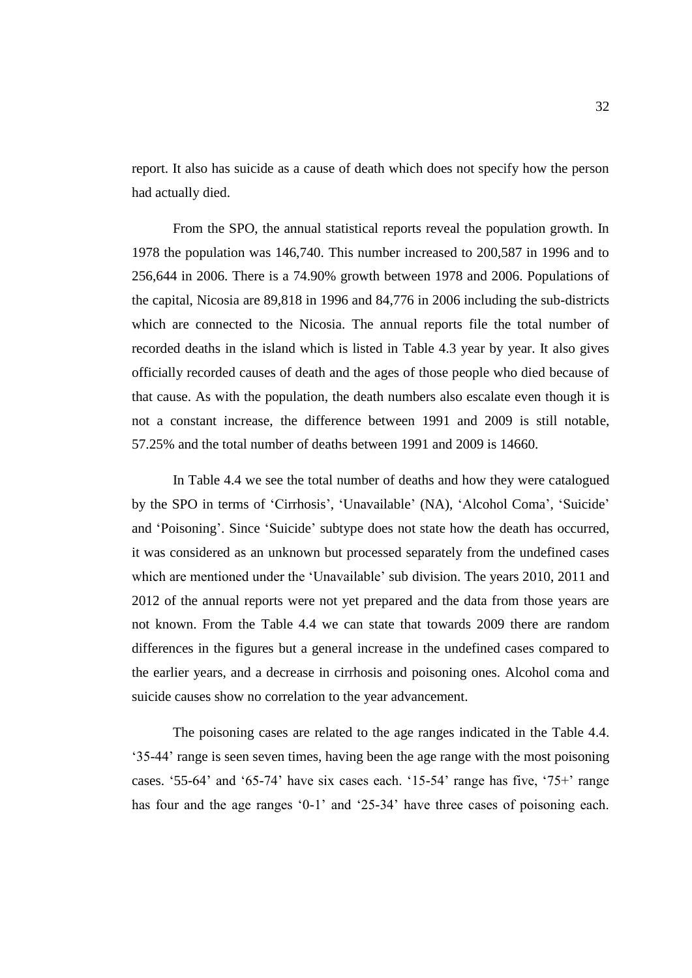report. It also has suicide as a cause of death which does not specify how the person had actually died.

From the SPO, the annual statistical reports reveal the population growth. In 1978 the population was 146,740. This number increased to 200,587 in 1996 and to 256,644 in 2006. There is a 74.90% growth between 1978 and 2006. Populations of the capital, Nicosia are 89,818 in 1996 and 84,776 in 2006 including the sub-districts which are connected to the Nicosia. The annual reports file the total number of recorded deaths in the island which is listed in Table 4.3 year by year. It also gives officially recorded causes of death and the ages of those people who died because of that cause. As with the population, the death numbers also escalate even though it is not a constant increase, the difference between 1991 and 2009 is still notable, 57.25% and the total number of deaths between 1991 and 2009 is 14660.

In Table 4.4 we see the total number of deaths and how they were catalogued by the SPO in terms of 'Cirrhosis', 'Unavailable' (NA), 'Alcohol Coma', 'Suicide' and 'Poisoning'. Since 'Suicide' subtype does not state how the death has occurred, it was considered as an unknown but processed separately from the undefined cases which are mentioned under the 'Unavailable' sub division. The years 2010, 2011 and 2012 of the annual reports were not yet prepared and the data from those years are not known. From the Table 4.4 we can state that towards 2009 there are random differences in the figures but a general increase in the undefined cases compared to the earlier years, and a decrease in cirrhosis and poisoning ones. Alcohol coma and suicide causes show no correlation to the year advancement.

The poisoning cases are related to the age ranges indicated in the Table 4.4. '35-44' range is seen seven times, having been the age range with the most poisoning cases. '55-64' and '65-74' have six cases each. '15-54' range has five, '75+' range has four and the age ranges '0-1' and '25-34' have three cases of poisoning each.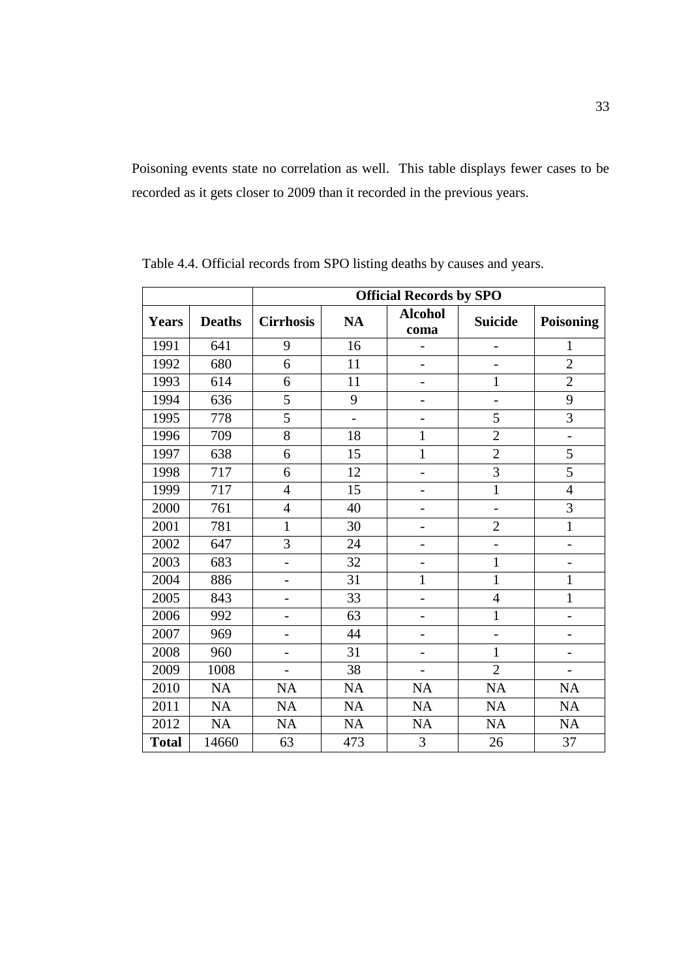Poisoning events state no correlation as well. This table displays fewer cases to be recorded as it gets closer to 2009 than it recorded in the previous years.

|              |               |                          |                | <b>Official Records by SPO</b> |                          |                          |
|--------------|---------------|--------------------------|----------------|--------------------------------|--------------------------|--------------------------|
| Years        | <b>Deaths</b> | <b>Cirrhosis</b>         | <b>NA</b>      | <b>Alcohol</b><br>coma         | <b>Suicide</b>           | <b>Poisoning</b>         |
| 1991         | 641           | 9                        | 16             |                                | $\overline{\phantom{0}}$ | 1                        |
| 1992         | 680           | 6                        | 11             | $\overline{\phantom{0}}$       | $\overline{a}$           | $\overline{2}$           |
| 1993         | 614           | 6                        | 11             |                                | 1                        | $\overline{2}$           |
| 1994         | 636           | 5                        | 9              | $\overline{\phantom{0}}$       | -                        | 9                        |
| 1995         | 778           | 5                        | $\overline{a}$ |                                | 5                        | 3                        |
| 1996         | 709           | 8                        | 18             | 1                              | $\overline{2}$           | $\overline{\phantom{0}}$ |
| 1997         | 638           | 6                        | 15             | $\mathbf 1$                    | $\overline{2}$           | $\overline{5}$           |
| 1998         | 717           | 6                        | 12             |                                | 3                        | 5                        |
| 1999         | 717           | $\overline{4}$           | 15             |                                | $\mathbf{1}$             | $\overline{4}$           |
| 2000         | 761           | $\overline{4}$           | 40             | -                              | $\overline{a}$           | 3                        |
| 2001         | 781           | 1                        | 30             | $\overline{\phantom{0}}$       | $\overline{2}$           | $\mathbf{1}$             |
| 2002         | 647           | 3                        | 24             | -                              | $\overline{a}$           |                          |
| 2003         | 683           | $\overline{a}$           | 32             | $\overline{\phantom{0}}$       | 1                        | $\overline{\phantom{0}}$ |
| 2004         | 886           |                          | 31             | $\mathbf{1}$                   | $\mathbf{1}$             | $\mathbf{1}$             |
| 2005         | 843           | -                        | 33             | $\overline{a}$                 | $\overline{4}$           | $\mathbf{1}$             |
| 2006         | 992           |                          | 63             |                                | 1                        |                          |
| 2007         | 969           | $\overline{\phantom{0}}$ | 44             | $\overline{\phantom{0}}$       | $\overline{a}$           | $\overline{\phantom{0}}$ |
| 2008         | 960           | $\overline{a}$           | 31             |                                | $\mathbf{1}$             |                          |
| 2009         | 1008          |                          | 38             |                                | $\overline{2}$           |                          |
| 2010         | <b>NA</b>     | NA                       | NA             | <b>NA</b>                      | NA                       | <b>NA</b>                |
| 2011         | NA            | NA                       | NA             | NA                             | NA                       | <b>NA</b>                |
| 2012         | <b>NA</b>     | <b>NA</b>                | NA             | <b>NA</b>                      | <b>NA</b>                | <b>NA</b>                |
| <b>Total</b> | 14660         | 63                       | 473            | 3                              | 26                       | 37                       |

Table 4.4. Official records from SPO listing deaths by causes and years.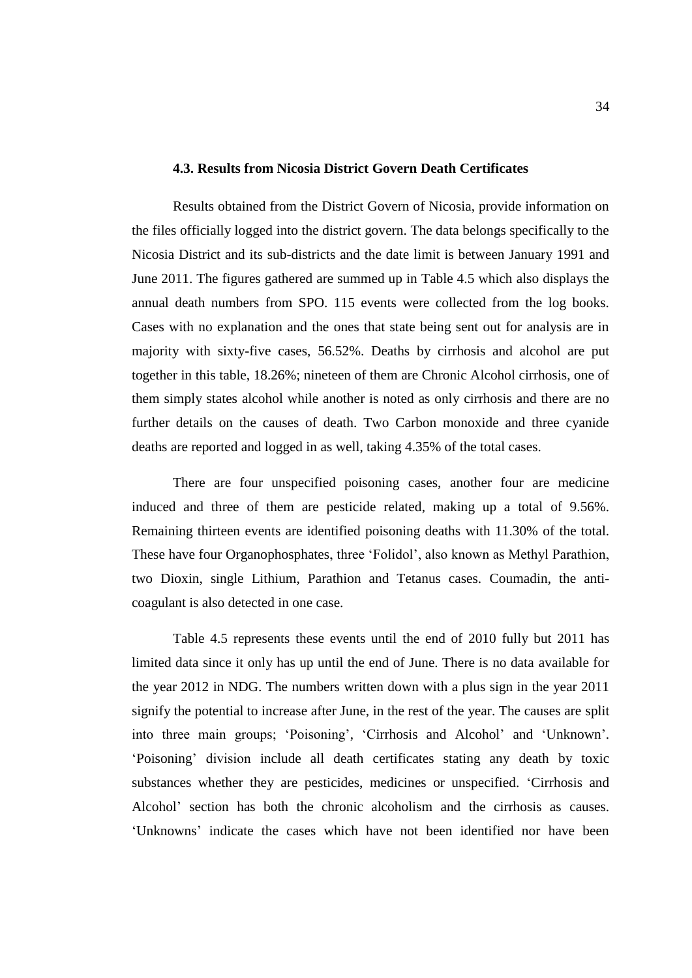## **4.3. Results from Nicosia District Govern Death Certificates**

Results obtained from the District Govern of Nicosia, provide information on the files officially logged into the district govern. The data belongs specifically to the Nicosia District and its sub-districts and the date limit is between January 1991 and June 2011. The figures gathered are summed up in Table 4.5 which also displays the annual death numbers from SPO. 115 events were collected from the log books. Cases with no explanation and the ones that state being sent out for analysis are in majority with sixty-five cases, 56.52%. Deaths by cirrhosis and alcohol are put together in this table, 18.26%; nineteen of them are Chronic Alcohol cirrhosis, one of them simply states alcohol while another is noted as only cirrhosis and there are no further details on the causes of death. Two Carbon monoxide and three cyanide deaths are reported and logged in as well, taking 4.35% of the total cases.

There are four unspecified poisoning cases, another four are medicine induced and three of them are pesticide related, making up a total of 9.56%. Remaining thirteen events are identified poisoning deaths with 11.30% of the total. These have four Organophosphates, three 'Folidol', also known as Methyl Parathion, two Dioxin, single Lithium, Parathion and Tetanus cases. Coumadin, the anticoagulant is also detected in one case.

Table 4.5 represents these events until the end of 2010 fully but 2011 has limited data since it only has up until the end of June. There is no data available for the year 2012 in NDG. The numbers written down with a plus sign in the year 2011 signify the potential to increase after June, in the rest of the year. The causes are split into three main groups; 'Poisoning', 'Cirrhosis and Alcohol' and 'Unknown'. 'Poisoning' division include all death certificates stating any death by toxic substances whether they are pesticides, medicines or unspecified. 'Cirrhosis and Alcohol' section has both the chronic alcoholism and the cirrhosis as causes. 'Unknowns' indicate the cases which have not been identified nor have been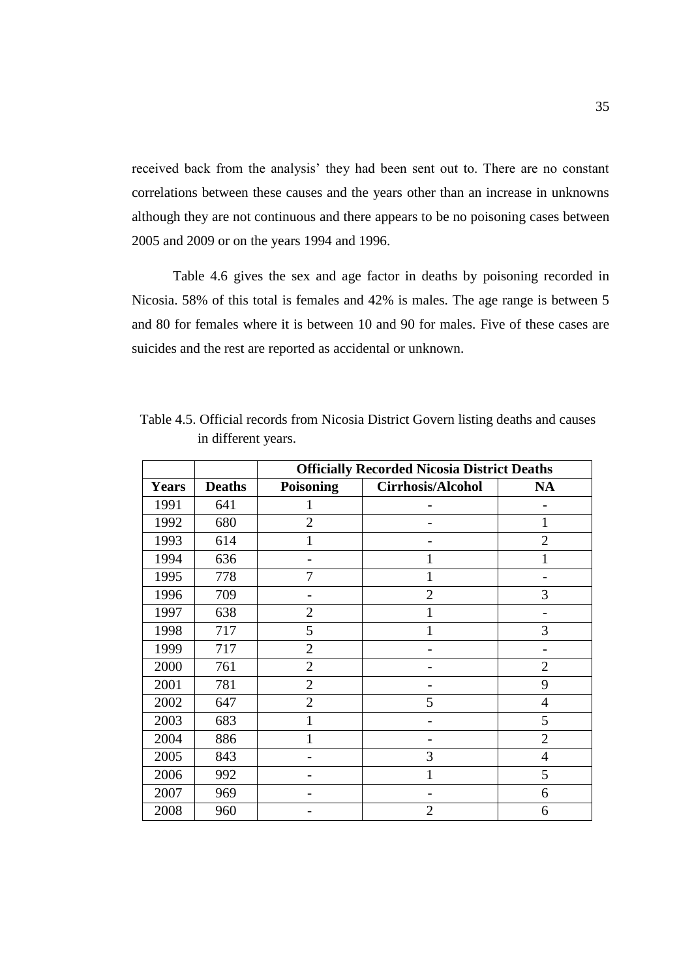received back from the analysis' they had been sent out to. There are no constant correlations between these causes and the years other than an increase in unknowns although they are not continuous and there appears to be no poisoning cases between 2005 and 2009 or on the years 1994 and 1996.

Table 4.6 gives the sex and age factor in deaths by poisoning recorded in Nicosia. 58% of this total is females and 42% is males. The age range is between 5 and 80 for females where it is between 10 and 90 for males. Five of these cases are suicides and the rest are reported as accidental or unknown.

|              |               | <b>Officially Recorded Nicosia District Deaths</b> |                          |                |  |  |
|--------------|---------------|----------------------------------------------------|--------------------------|----------------|--|--|
| <b>Years</b> | <b>Deaths</b> | Poisoning                                          | <b>Cirrhosis/Alcohol</b> | <b>NA</b>      |  |  |
| 1991         | 641           | 1                                                  |                          |                |  |  |
| 1992         | 680           | $\overline{2}$                                     |                          |                |  |  |
| 1993         | 614           |                                                    |                          | $\overline{2}$ |  |  |
| 1994         | 636           |                                                    | 1                        |                |  |  |
| 1995         | 778           | 7                                                  | 1                        |                |  |  |
| 1996         | 709           |                                                    | $\overline{2}$           | 3              |  |  |
| 1997         | 638           | $\overline{2}$                                     | 1                        |                |  |  |
| 1998         | 717           | 5                                                  | 1                        | 3              |  |  |
| 1999         | 717           | $\overline{2}$                                     |                          |                |  |  |
| 2000         | 761           | $\overline{2}$                                     |                          | $\overline{2}$ |  |  |
| 2001         | 781           | $\overline{2}$                                     |                          | 9              |  |  |
| 2002         | 647           | $\overline{2}$                                     | 5                        | $\overline{4}$ |  |  |
| 2003         | 683           | $\mathbf{1}$                                       |                          | 5              |  |  |
| 2004         | 886           | 1                                                  |                          | $\overline{2}$ |  |  |
| 2005         | 843           |                                                    | 3                        | $\overline{4}$ |  |  |
| 2006         | 992           |                                                    |                          | 5              |  |  |
| 2007         | 969           |                                                    |                          | 6              |  |  |
| 2008         | 960           |                                                    | $\overline{2}$           | 6              |  |  |

Table 4.5. Official records from Nicosia District Govern listing deaths and causes in different years.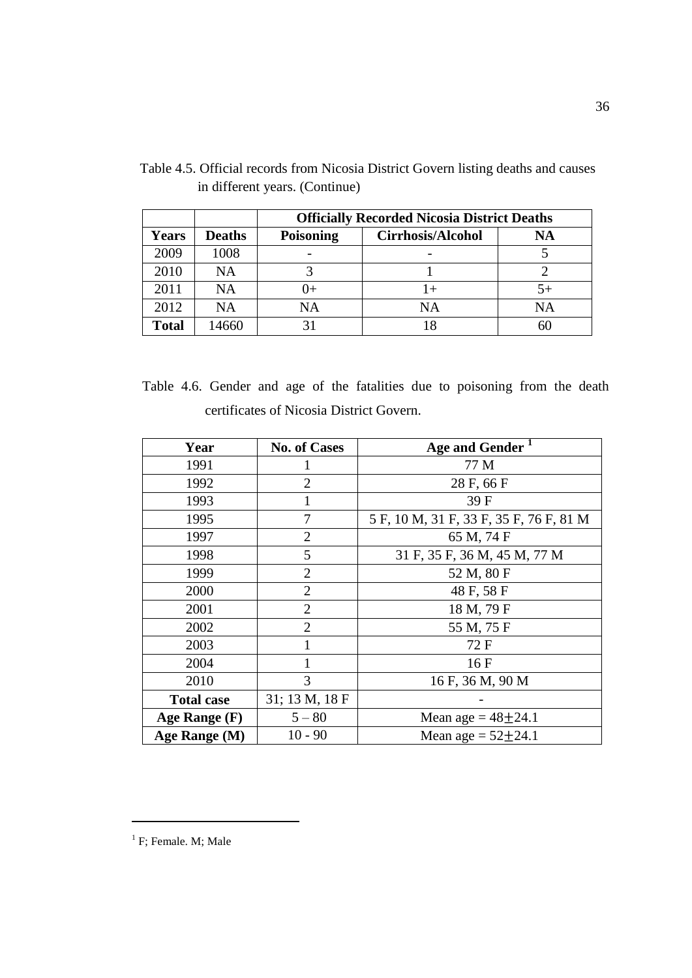|              |               | <b>Officially Recorded Nicosia District Deaths</b> |                          |    |  |  |
|--------------|---------------|----------------------------------------------------|--------------------------|----|--|--|
| <b>Years</b> | <b>Deaths</b> | <b>Poisoning</b>                                   | <b>Cirrhosis/Alcohol</b> | NA |  |  |
| 2009         | 1008          |                                                    |                          |    |  |  |
| 2010         | <b>NA</b>     |                                                    |                          |    |  |  |
| 2011         | <b>NA</b>     | U+                                                 | $+$                      |    |  |  |
| 2012         | <b>NA</b>     | NA                                                 | NA                       | NA |  |  |
| <b>Total</b> | 14660         |                                                    | 18                       |    |  |  |

Table 4.5. Official records from Nicosia District Govern listing deaths and causes in different years. (Continue)

Table 4.6. Gender and age of the fatalities due to poisoning from the death certificates of Nicosia District Govern.

| Year              | <b>No. of Cases</b> | Age and Gender <sup>1</sup>             |
|-------------------|---------------------|-----------------------------------------|
| 1991              |                     | 77 M                                    |
| 1992              | $\overline{2}$      | 28 F, 66 F                              |
| 1993              | 1                   | 39 F                                    |
| 1995              |                     | 5 F, 10 M, 31 F, 33 F, 35 F, 76 F, 81 M |
| 1997              | $\overline{2}$      | 65 M, 74 F                              |
| 1998              | 5                   | 31 F, 35 F, 36 M, 45 M, 77 M            |
| 1999              | $\overline{2}$      | 52 M, 80 F                              |
| 2000              | $\overline{2}$      | 48 F, 58 F                              |
| 2001              | $\overline{2}$      | 18 M, 79 F                              |
| 2002              | $\overline{2}$      | 55 M, 75 F                              |
| 2003              | 1                   | 72 F                                    |
| 2004              |                     | 16 F                                    |
| 2010              | 3                   | 16 F, 36 M, 90 M                        |
| <b>Total case</b> | 31; 13 M, 18 F      |                                         |
| Age Range $(F)$   | $5 - 80$            | Mean age = $48 + 24.1$                  |
| Age Range (M)     | $10 - 90$           | Mean age = $52 \pm 24.1$                |

 $\overline{a}$ 

<sup>&</sup>lt;sup>1</sup> F; Female. M; Male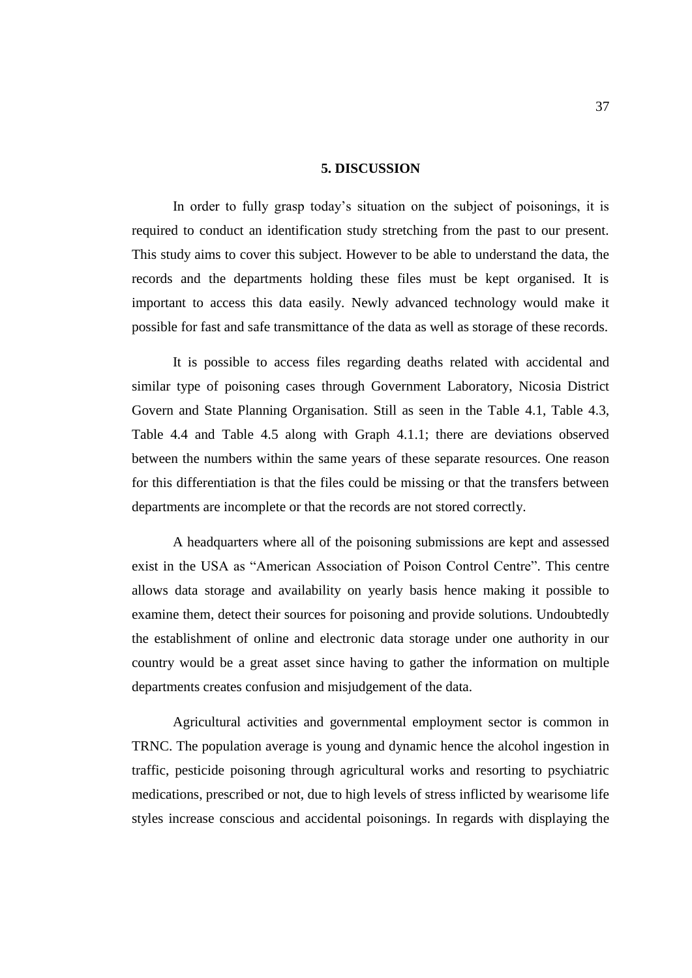## **5. DISCUSSION**

In order to fully grasp today's situation on the subject of poisonings, it is required to conduct an identification study stretching from the past to our present. This study aims to cover this subject. However to be able to understand the data, the records and the departments holding these files must be kept organised. It is important to access this data easily. Newly advanced technology would make it possible for fast and safe transmittance of the data as well as storage of these records.

It is possible to access files regarding deaths related with accidental and similar type of poisoning cases through Government Laboratory, Nicosia District Govern and State Planning Organisation. Still as seen in the Table 4.1, Table 4.3, Table 4.4 and Table 4.5 along with Graph 4.1.1; there are deviations observed between the numbers within the same years of these separate resources. One reason for this differentiation is that the files could be missing or that the transfers between departments are incomplete or that the records are not stored correctly.

A headquarters where all of the poisoning submissions are kept and assessed exist in the USA as "American Association of Poison Control Centre". This centre allows data storage and availability on yearly basis hence making it possible to examine them, detect their sources for poisoning and provide solutions. Undoubtedly the establishment of online and electronic data storage under one authority in our country would be a great asset since having to gather the information on multiple departments creates confusion and misjudgement of the data.

Agricultural activities and governmental employment sector is common in TRNC. The population average is young and dynamic hence the alcohol ingestion in traffic, pesticide poisoning through agricultural works and resorting to psychiatric medications, prescribed or not, due to high levels of stress inflicted by wearisome life styles increase conscious and accidental poisonings. In regards with displaying the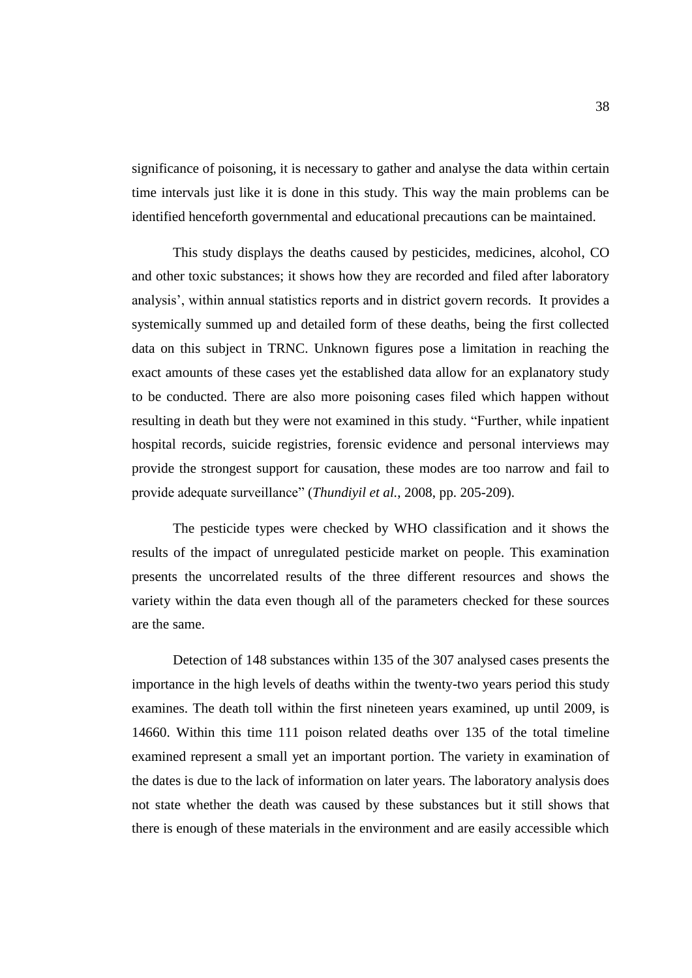significance of poisoning, it is necessary to gather and analyse the data within certain time intervals just like it is done in this study. This way the main problems can be identified henceforth governmental and educational precautions can be maintained.

This study displays the deaths caused by pesticides, medicines, alcohol, CO and other toxic substances; it shows how they are recorded and filed after laboratory analysis', within annual statistics reports and in district govern records. It provides a systemically summed up and detailed form of these deaths, being the first collected data on this subject in TRNC. Unknown figures pose a limitation in reaching the exact amounts of these cases yet the established data allow for an explanatory study to be conducted. There are also more poisoning cases filed which happen without resulting in death but they were not examined in this study. "Further, while inpatient hospital records, suicide registries, forensic evidence and personal interviews may provide the strongest support for causation, these modes are too narrow and fail to provide adequate surveillance" (*Thundiyil et al.*, 2008, pp. 205-209).

The pesticide types were checked by WHO classification and it shows the results of the impact of unregulated pesticide market on people. This examination presents the uncorrelated results of the three different resources and shows the variety within the data even though all of the parameters checked for these sources are the same.

Detection of 148 substances within 135 of the 307 analysed cases presents the importance in the high levels of deaths within the twenty-two years period this study examines. The death toll within the first nineteen years examined, up until 2009, is 14660. Within this time 111 poison related deaths over 135 of the total timeline examined represent a small yet an important portion. The variety in examination of the dates is due to the lack of information on later years. The laboratory analysis does not state whether the death was caused by these substances but it still shows that there is enough of these materials in the environment and are easily accessible which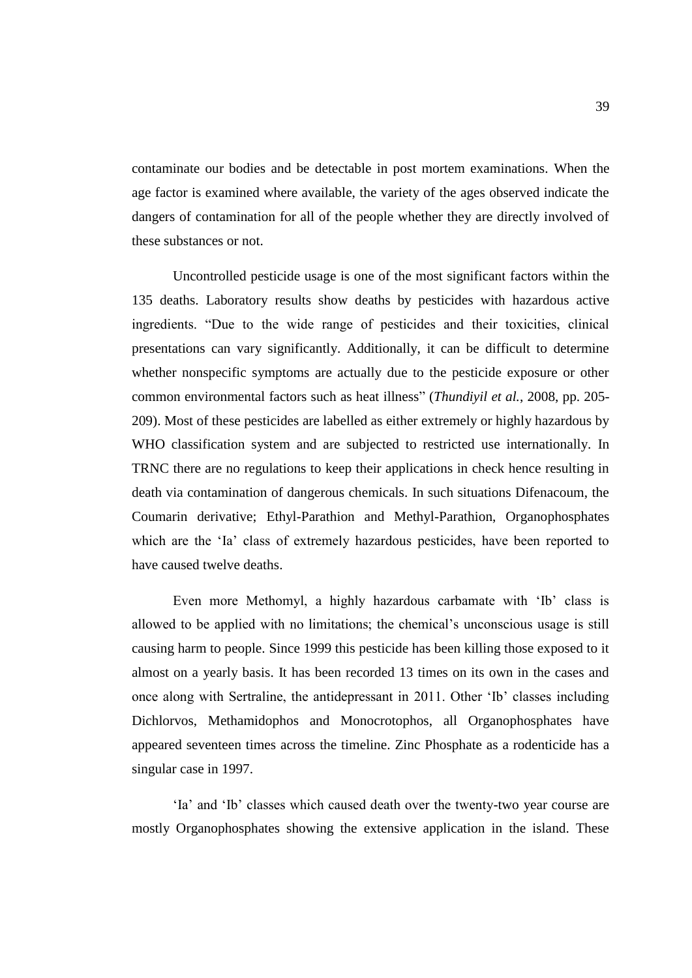contaminate our bodies and be detectable in post mortem examinations. When the age factor is examined where available, the variety of the ages observed indicate the dangers of contamination for all of the people whether they are directly involved of these substances or not.

Uncontrolled pesticide usage is one of the most significant factors within the 135 deaths. Laboratory results show deaths by pesticides with hazardous active ingredients. "Due to the wide range of pesticides and their toxicities, clinical presentations can vary significantly. Additionally, it can be difficult to determine whether nonspecific symptoms are actually due to the pesticide exposure or other common environmental factors such as heat illness" (*Thundiyil et al.*, 2008, pp. 205- 209). Most of these pesticides are labelled as either extremely or highly hazardous by WHO classification system and are subjected to restricted use internationally. In TRNC there are no regulations to keep their applications in check hence resulting in death via contamination of dangerous chemicals. In such situations Difenacoum, the Coumarin derivative; Ethyl-Parathion and Methyl-Parathion, Organophosphates which are the 'Ia' class of extremely hazardous pesticides, have been reported to have caused twelve deaths.

Even more Methomyl, a highly hazardous carbamate with 'Ib' class is allowed to be applied with no limitations; the chemical's unconscious usage is still causing harm to people. Since 1999 this pesticide has been killing those exposed to it almost on a yearly basis. It has been recorded 13 times on its own in the cases and once along with Sertraline, the antidepressant in 2011. Other 'Ib' classes including Dichlorvos, Methamidophos and Monocrotophos, all Organophosphates have appeared seventeen times across the timeline. Zinc Phosphate as a rodenticide has a singular case in 1997.

'Ia' and 'Ib' classes which caused death over the twenty-two year course are mostly Organophosphates showing the extensive application in the island. These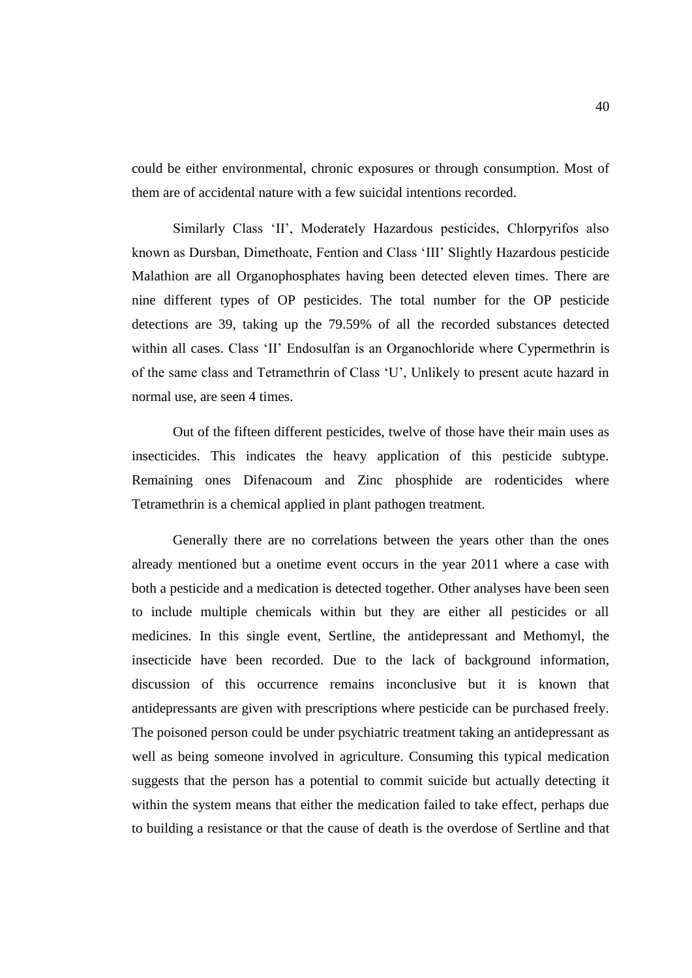could be either environmental, chronic exposures or through consumption. Most of them are of accidental nature with a few suicidal intentions recorded.

Similarly Class 'II', Moderately Hazardous pesticides, Chlorpyrifos also known as Dursban, Dimethoate, Fention and Class 'III' Slightly Hazardous pesticide Malathion are all Organophosphates having been detected eleven times. There are nine different types of OP pesticides. The total number for the OP pesticide detections are 39, taking up the 79.59% of all the recorded substances detected within all cases. Class 'II' Endosulfan is an Organochloride where Cypermethrin is of the same class and Tetramethrin of Class 'U', Unlikely to present acute hazard in normal use, are seen 4 times.

Out of the fifteen different pesticides, twelve of those have their main uses as insecticides. This indicates the heavy application of this pesticide subtype. Remaining ones Difenacoum and Zinc phosphide are rodenticides where Tetramethrin is a chemical applied in plant pathogen treatment.

Generally there are no correlations between the years other than the ones already mentioned but a onetime event occurs in the year 2011 where a case with both a pesticide and a medication is detected together. Other analyses have been seen to include multiple chemicals within but they are either all pesticides or all medicines. In this single event, Sertline, the antidepressant and Methomyl, the insecticide have been recorded. Due to the lack of background information, discussion of this occurrence remains inconclusive but it is known that antidepressants are given with prescriptions where pesticide can be purchased freely. The poisoned person could be under psychiatric treatment taking an antidepressant as well as being someone involved in agriculture. Consuming this typical medication suggests that the person has a potential to commit suicide but actually detecting it within the system means that either the medication failed to take effect, perhaps due to building a resistance or that the cause of death is the overdose of Sertline and that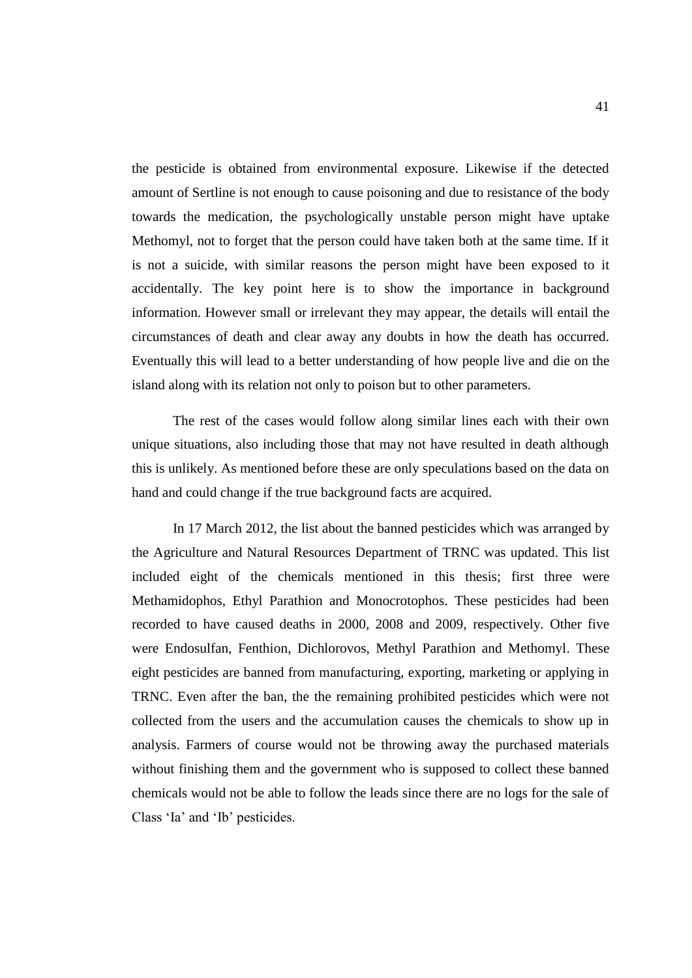the pesticide is obtained from environmental exposure. Likewise if the detected amount of Sertline is not enough to cause poisoning and due to resistance of the body towards the medication, the psychologically unstable person might have uptake Methomyl, not to forget that the person could have taken both at the same time. If it is not a suicide, with similar reasons the person might have been exposed to it accidentally. The key point here is to show the importance in background information. However small or irrelevant they may appear, the details will entail the circumstances of death and clear away any doubts in how the death has occurred. Eventually this will lead to a better understanding of how people live and die on the island along with its relation not only to poison but to other parameters.

The rest of the cases would follow along similar lines each with their own unique situations, also including those that may not have resulted in death although this is unlikely. As mentioned before these are only speculations based on the data on hand and could change if the true background facts are acquired.

In 17 March 2012, the list about the banned pesticides which was arranged by the Agriculture and Natural Resources Department of TRNC was updated. This list included eight of the chemicals mentioned in this thesis; first three were Methamidophos, Ethyl Parathion and Monocrotophos. These pesticides had been recorded to have caused deaths in 2000, 2008 and 2009, respectively. Other five were Endosulfan, Fenthion, Dichlorovos, Methyl Parathion and Methomyl. These eight pesticides are banned from manufacturing, exporting, marketing or applying in TRNC. Even after the ban, the the remaining prohibited pesticides which were not collected from the users and the accumulation causes the chemicals to show up in analysis. Farmers of course would not be throwing away the purchased materials without finishing them and the government who is supposed to collect these banned chemicals would not be able to follow the leads since there are no logs for the sale of Class 'Ia' and 'Ib' pesticides.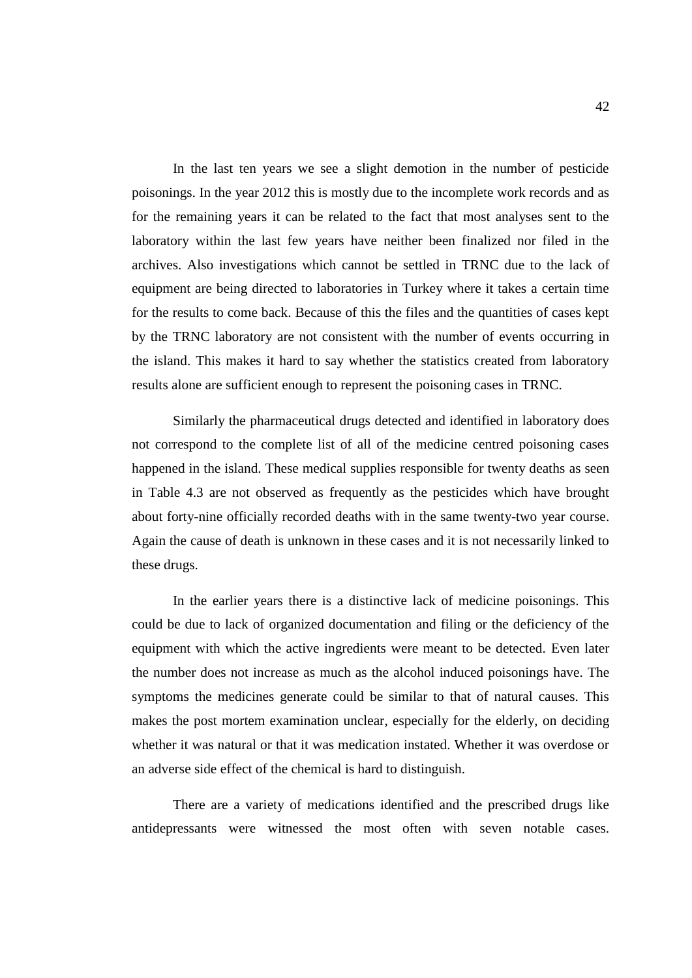In the last ten years we see a slight demotion in the number of pesticide poisonings. In the year 2012 this is mostly due to the incomplete work records and as for the remaining years it can be related to the fact that most analyses sent to the laboratory within the last few years have neither been finalized nor filed in the archives. Also investigations which cannot be settled in TRNC due to the lack of equipment are being directed to laboratories in Turkey where it takes a certain time for the results to come back. Because of this the files and the quantities of cases kept by the TRNC laboratory are not consistent with the number of events occurring in the island. This makes it hard to say whether the statistics created from laboratory results alone are sufficient enough to represent the poisoning cases in TRNC.

Similarly the pharmaceutical drugs detected and identified in laboratory does not correspond to the complete list of all of the medicine centred poisoning cases happened in the island. These medical supplies responsible for twenty deaths as seen in Table 4.3 are not observed as frequently as the pesticides which have brought about forty-nine officially recorded deaths with in the same twenty-two year course. Again the cause of death is unknown in these cases and it is not necessarily linked to these drugs.

In the earlier years there is a distinctive lack of medicine poisonings. This could be due to lack of organized documentation and filing or the deficiency of the equipment with which the active ingredients were meant to be detected. Even later the number does not increase as much as the alcohol induced poisonings have. The symptoms the medicines generate could be similar to that of natural causes. This makes the post mortem examination unclear, especially for the elderly, on deciding whether it was natural or that it was medication instated. Whether it was overdose or an adverse side effect of the chemical is hard to distinguish.

There are a variety of medications identified and the prescribed drugs like antidepressants were witnessed the most often with seven notable cases.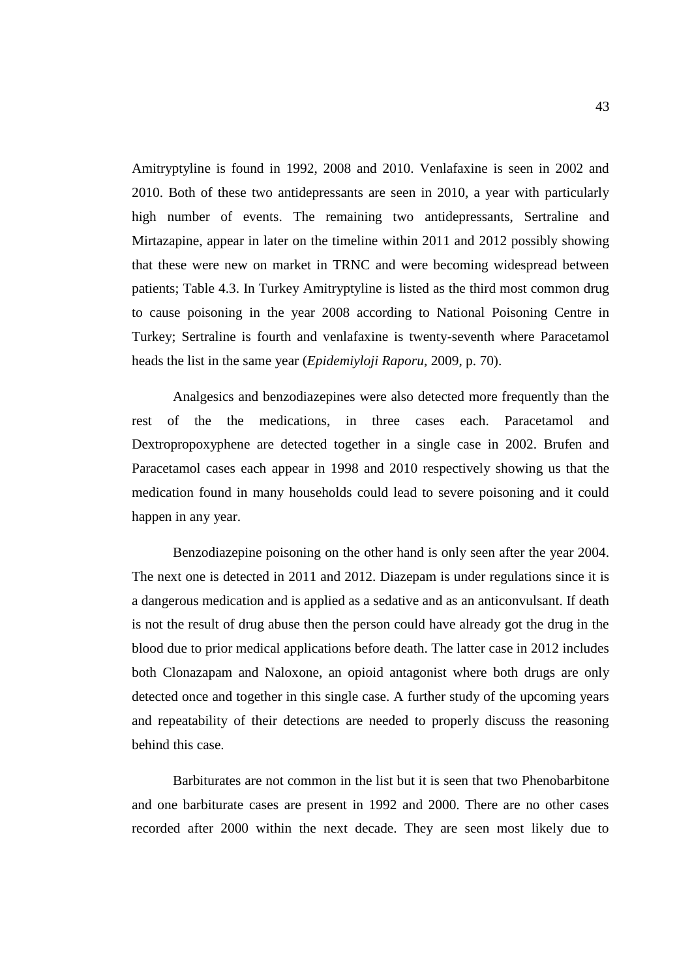Amitryptyline is found in 1992, 2008 and 2010. Venlafaxine is seen in 2002 and 2010. Both of these two antidepressants are seen in 2010, a year with particularly high number of events. The remaining two antidepressants, Sertraline and Mirtazapine, appear in later on the timeline within 2011 and 2012 possibly showing that these were new on market in TRNC and were becoming widespread between patients; Table 4.3. In Turkey Amitryptyline is listed as the third most common drug to cause poisoning in the year 2008 according to National Poisoning Centre in Turkey; Sertraline is fourth and venlafaxine is twenty-seventh where Paracetamol heads the list in the same year (*Epidemiyloji Raporu*, 2009, p. 70).

Analgesics and benzodiazepines were also detected more frequently than the rest of the the medications, in three cases each. Paracetamol and Dextropropoxyphene are detected together in a single case in 2002. Brufen and Paracetamol cases each appear in 1998 and 2010 respectively showing us that the medication found in many households could lead to severe poisoning and it could happen in any year.

Benzodiazepine poisoning on the other hand is only seen after the year 2004. The next one is detected in 2011 and 2012. Diazepam is under regulations since it is a dangerous medication and is applied as a sedative and as an anticonvulsant. If death is not the result of drug abuse then the person could have already got the drug in the blood due to prior medical applications before death. The latter case in 2012 includes both Clonazapam and Naloxone, an opioid antagonist where both drugs are only detected once and together in this single case. A further study of the upcoming years and repeatability of their detections are needed to properly discuss the reasoning behind this case.

Barbiturates are not common in the list but it is seen that two Phenobarbitone and one barbiturate cases are present in 1992 and 2000. There are no other cases recorded after 2000 within the next decade. They are seen most likely due to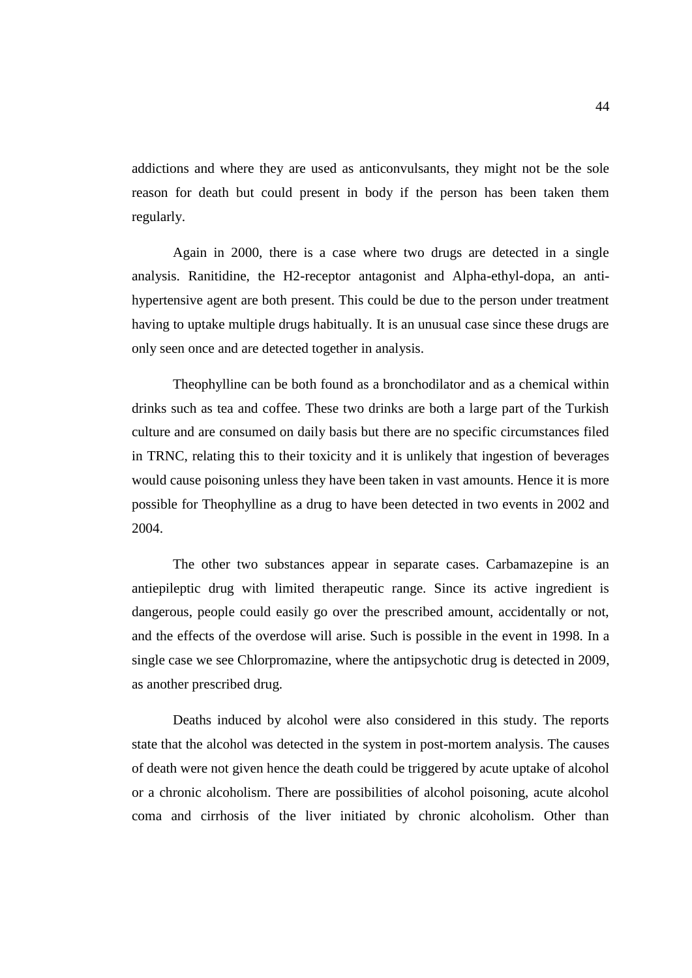addictions and where they are used as anticonvulsants, they might not be the sole reason for death but could present in body if the person has been taken them regularly.

Again in 2000, there is a case where two drugs are detected in a single analysis. Ranitidine, the H2-receptor antagonist and Alpha-ethyl-dopa, an antihypertensive agent are both present. This could be due to the person under treatment having to uptake multiple drugs habitually. It is an unusual case since these drugs are only seen once and are detected together in analysis.

Theophylline can be both found as a bronchodilator and as a chemical within drinks such as tea and coffee. These two drinks are both a large part of the Turkish culture and are consumed on daily basis but there are no specific circumstances filed in TRNC, relating this to their toxicity and it is unlikely that ingestion of beverages would cause poisoning unless they have been taken in vast amounts. Hence it is more possible for Theophylline as a drug to have been detected in two events in 2002 and 2004.

The other two substances appear in separate cases. Carbamazepine is an antiepileptic drug with limited therapeutic range. Since its active ingredient is dangerous, people could easily go over the prescribed amount, accidentally or not, and the effects of the overdose will arise. Such is possible in the event in 1998. In a single case we see Chlorpromazine, where the antipsychotic drug is detected in 2009, as another prescribed drug.

Deaths induced by alcohol were also considered in this study. The reports state that the alcohol was detected in the system in post-mortem analysis. The causes of death were not given hence the death could be triggered by acute uptake of alcohol or a chronic alcoholism. There are possibilities of alcohol poisoning, acute alcohol coma and cirrhosis of the liver initiated by chronic alcoholism. Other than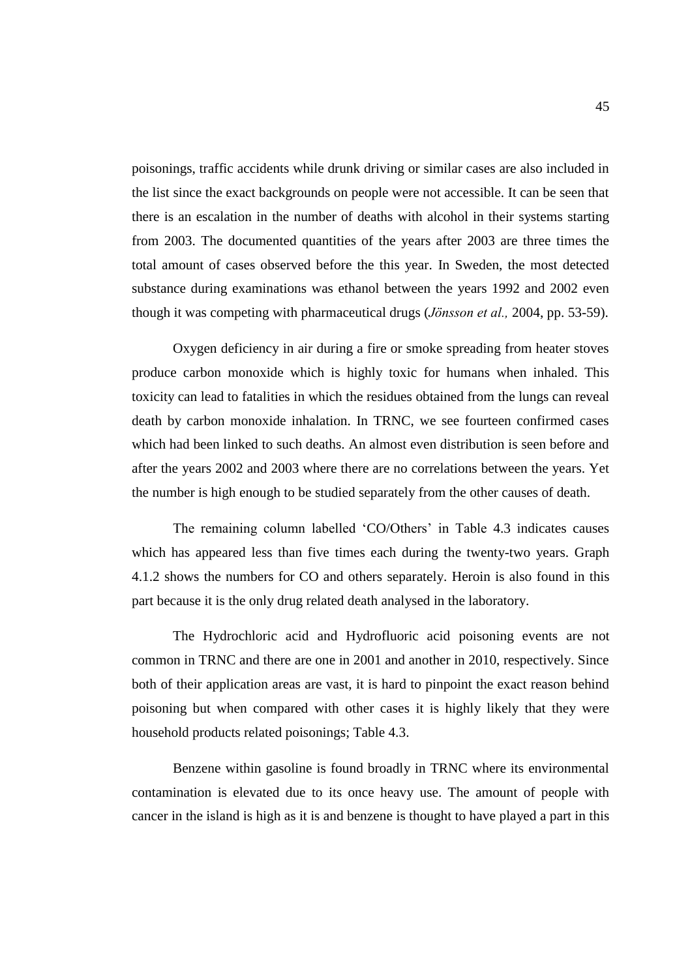poisonings, traffic accidents while drunk driving or similar cases are also included in the list since the exact backgrounds on people were not accessible. It can be seen that there is an escalation in the number of deaths with alcohol in their systems starting from 2003. The documented quantities of the years after 2003 are three times the total amount of cases observed before the this year. In Sweden, the most detected substance during examinations was ethanol between the years 1992 and 2002 even though it was competing with pharmaceutical drugs (*Jönsson et al.,* 2004, pp. 53-59).

Oxygen deficiency in air during a fire or smoke spreading from heater stoves produce carbon monoxide which is highly toxic for humans when inhaled. This toxicity can lead to fatalities in which the residues obtained from the lungs can reveal death by carbon monoxide inhalation. In TRNC, we see fourteen confirmed cases which had been linked to such deaths. An almost even distribution is seen before and after the years 2002 and 2003 where there are no correlations between the years. Yet the number is high enough to be studied separately from the other causes of death.

The remaining column labelled 'CO/Others' in Table 4.3 indicates causes which has appeared less than five times each during the twenty-two years. Graph 4.1.2 shows the numbers for CO and others separately. Heroin is also found in this part because it is the only drug related death analysed in the laboratory.

The Hydrochloric acid and Hydrofluoric acid poisoning events are not common in TRNC and there are one in 2001 and another in 2010, respectively. Since both of their application areas are vast, it is hard to pinpoint the exact reason behind poisoning but when compared with other cases it is highly likely that they were household products related poisonings; Table 4.3.

Benzene within gasoline is found broadly in TRNC where its environmental contamination is elevated due to its once heavy use. The amount of people with cancer in the island is high as it is and benzene is thought to have played a part in this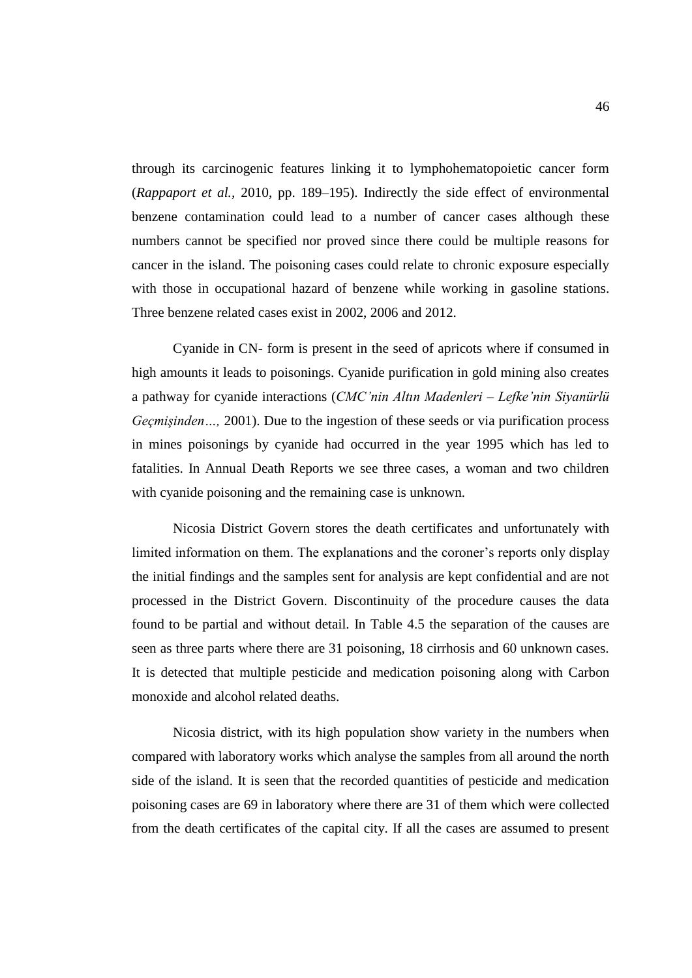through its carcinogenic features linking it to lymphohematopoietic cancer form (*Rappaport et al.,* 2010, pp. 189–195). Indirectly the side effect of environmental benzene contamination could lead to a number of cancer cases although these numbers cannot be specified nor proved since there could be multiple reasons for cancer in the island. The poisoning cases could relate to chronic exposure especially with those in occupational hazard of benzene while working in gasoline stations. Three benzene related cases exist in 2002, 2006 and 2012.

Cyanide in CN- form is present in the seed of apricots where if consumed in high amounts it leads to poisonings. Cyanide purification in gold mining also creates a pathway for cyanide interactions (*CMC'nin Altın Madenleri – Lefke'nin Siyanürlü Geçmişinden…,* 2001). Due to the ingestion of these seeds or via purification process in mines poisonings by cyanide had occurred in the year 1995 which has led to fatalities. In Annual Death Reports we see three cases, a woman and two children with cyanide poisoning and the remaining case is unknown.

Nicosia District Govern stores the death certificates and unfortunately with limited information on them. The explanations and the coroner's reports only display the initial findings and the samples sent for analysis are kept confidential and are not processed in the District Govern. Discontinuity of the procedure causes the data found to be partial and without detail. In Table 4.5 the separation of the causes are seen as three parts where there are 31 poisoning, 18 cirrhosis and 60 unknown cases. It is detected that multiple pesticide and medication poisoning along with Carbon monoxide and alcohol related deaths.

Nicosia district, with its high population show variety in the numbers when compared with laboratory works which analyse the samples from all around the north side of the island. It is seen that the recorded quantities of pesticide and medication poisoning cases are 69 in laboratory where there are 31 of them which were collected from the death certificates of the capital city. If all the cases are assumed to present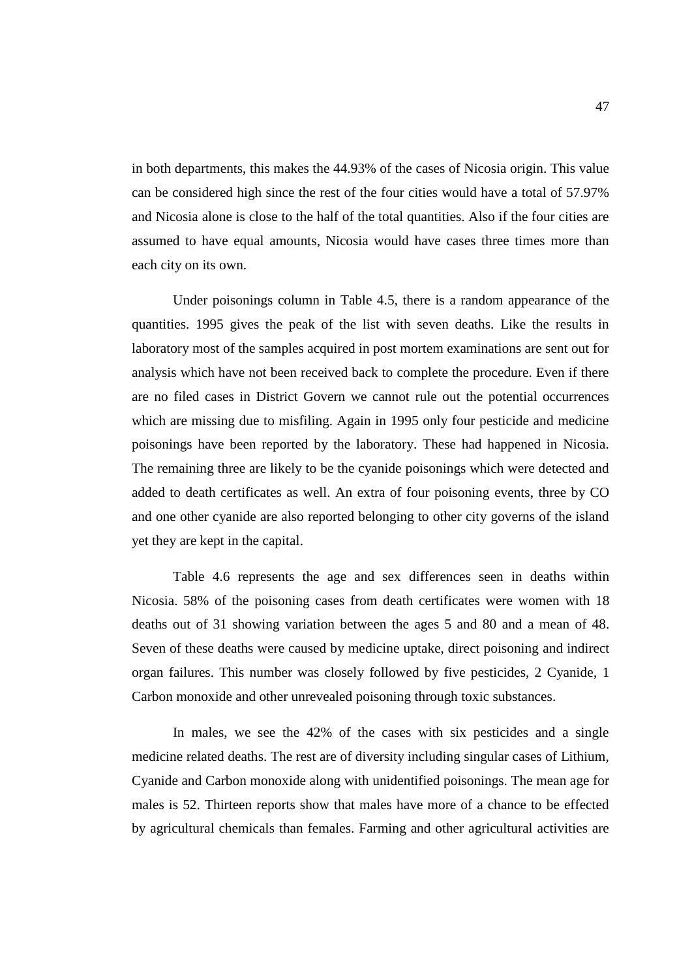in both departments, this makes the 44.93% of the cases of Nicosia origin. This value can be considered high since the rest of the four cities would have a total of 57.97% and Nicosia alone is close to the half of the total quantities. Also if the four cities are assumed to have equal amounts, Nicosia would have cases three times more than each city on its own.

Under poisonings column in Table 4.5, there is a random appearance of the quantities. 1995 gives the peak of the list with seven deaths. Like the results in laboratory most of the samples acquired in post mortem examinations are sent out for analysis which have not been received back to complete the procedure. Even if there are no filed cases in District Govern we cannot rule out the potential occurrences which are missing due to misfiling. Again in 1995 only four pesticide and medicine poisonings have been reported by the laboratory. These had happened in Nicosia. The remaining three are likely to be the cyanide poisonings which were detected and added to death certificates as well. An extra of four poisoning events, three by CO and one other cyanide are also reported belonging to other city governs of the island yet they are kept in the capital.

Table 4.6 represents the age and sex differences seen in deaths within Nicosia. 58% of the poisoning cases from death certificates were women with 18 deaths out of 31 showing variation between the ages 5 and 80 and a mean of 48. Seven of these deaths were caused by medicine uptake, direct poisoning and indirect organ failures. This number was closely followed by five pesticides, 2 Cyanide, 1 Carbon monoxide and other unrevealed poisoning through toxic substances.

In males, we see the 42% of the cases with six pesticides and a single medicine related deaths. The rest are of diversity including singular cases of Lithium, Cyanide and Carbon monoxide along with unidentified poisonings. The mean age for males is 52. Thirteen reports show that males have more of a chance to be effected by agricultural chemicals than females. Farming and other agricultural activities are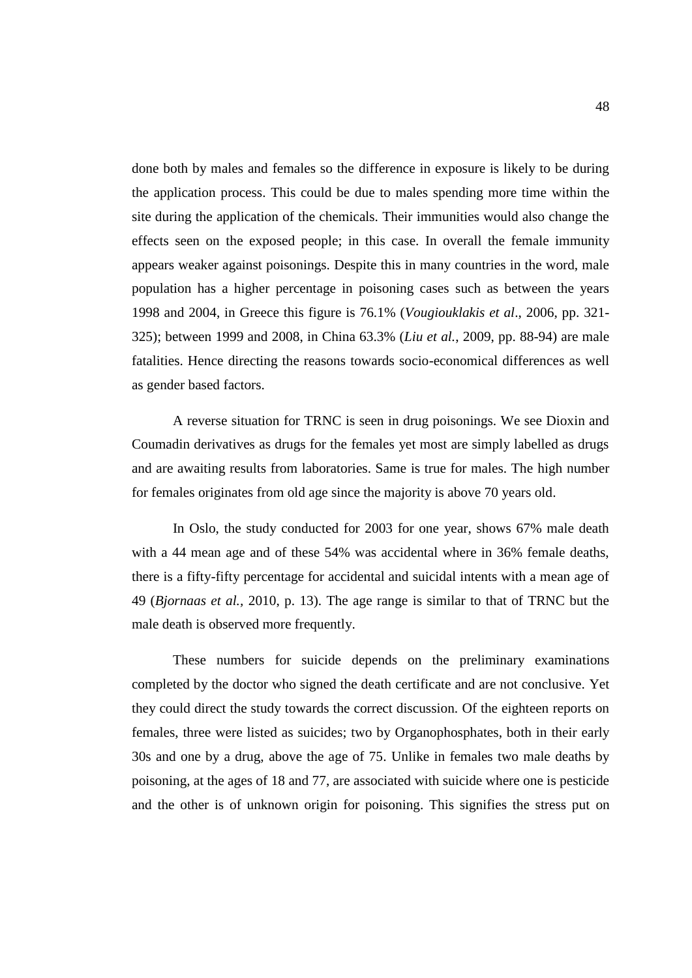done both by males and females so the difference in exposure is likely to be during the application process. This could be due to males spending more time within the site during the application of the chemicals. Their immunities would also change the effects seen on the exposed people; in this case. In overall the female immunity appears weaker against poisonings. Despite this in many countries in the word, male population has a higher percentage in poisoning cases such as between the years 1998 and 2004, in Greece this figure is 76.1% (*Vougiouklakis et al*., 2006, pp. 321- 325); between 1999 and 2008, in China 63.3% (*Liu et al.*, 2009, pp. 88-94) are male fatalities. Hence directing the reasons towards socio-economical differences as well as gender based factors.

A reverse situation for TRNC is seen in drug poisonings. We see Dioxin and Coumadin derivatives as drugs for the females yet most are simply labelled as drugs and are awaiting results from laboratories. Same is true for males. The high number for females originates from old age since the majority is above 70 years old.

In Oslo, the study conducted for 2003 for one year, shows 67% male death with a 44 mean age and of these 54% was accidental where in 36% female deaths, there is a fifty-fifty percentage for accidental and suicidal intents with a mean age of 49 (*Bjornaas et al.,* 2010, p. 13). The age range is similar to that of TRNC but the male death is observed more frequently.

These numbers for suicide depends on the preliminary examinations completed by the doctor who signed the death certificate and are not conclusive. Yet they could direct the study towards the correct discussion. Of the eighteen reports on females, three were listed as suicides; two by Organophosphates, both in their early 30s and one by a drug, above the age of 75. Unlike in females two male deaths by poisoning, at the ages of 18 and 77, are associated with suicide where one is pesticide and the other is of unknown origin for poisoning. This signifies the stress put on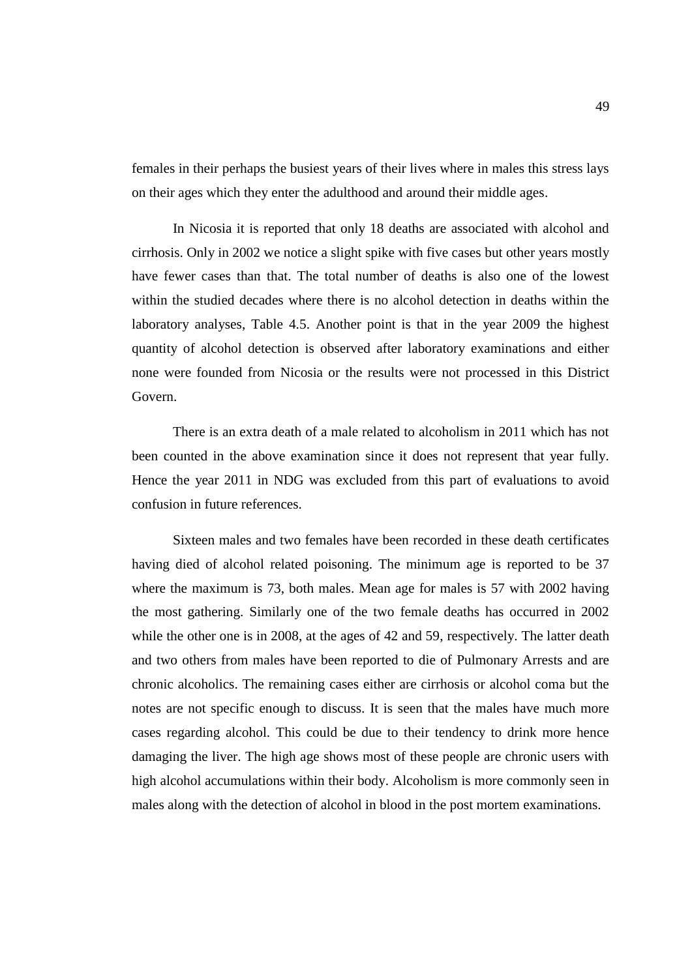females in their perhaps the busiest years of their lives where in males this stress lays on their ages which they enter the adulthood and around their middle ages.

In Nicosia it is reported that only 18 deaths are associated with alcohol and cirrhosis. Only in 2002 we notice a slight spike with five cases but other years mostly have fewer cases than that. The total number of deaths is also one of the lowest within the studied decades where there is no alcohol detection in deaths within the laboratory analyses, Table 4.5. Another point is that in the year 2009 the highest quantity of alcohol detection is observed after laboratory examinations and either none were founded from Nicosia or the results were not processed in this District Govern.

There is an extra death of a male related to alcoholism in 2011 which has not been counted in the above examination since it does not represent that year fully. Hence the year 2011 in NDG was excluded from this part of evaluations to avoid confusion in future references.

Sixteen males and two females have been recorded in these death certificates having died of alcohol related poisoning. The minimum age is reported to be 37 where the maximum is 73, both males. Mean age for males is 57 with 2002 having the most gathering. Similarly one of the two female deaths has occurred in 2002 while the other one is in 2008, at the ages of 42 and 59, respectively. The latter death and two others from males have been reported to die of Pulmonary Arrests and are chronic alcoholics. The remaining cases either are cirrhosis or alcohol coma but the notes are not specific enough to discuss. It is seen that the males have much more cases regarding alcohol. This could be due to their tendency to drink more hence damaging the liver. The high age shows most of these people are chronic users with high alcohol accumulations within their body. Alcoholism is more commonly seen in males along with the detection of alcohol in blood in the post mortem examinations.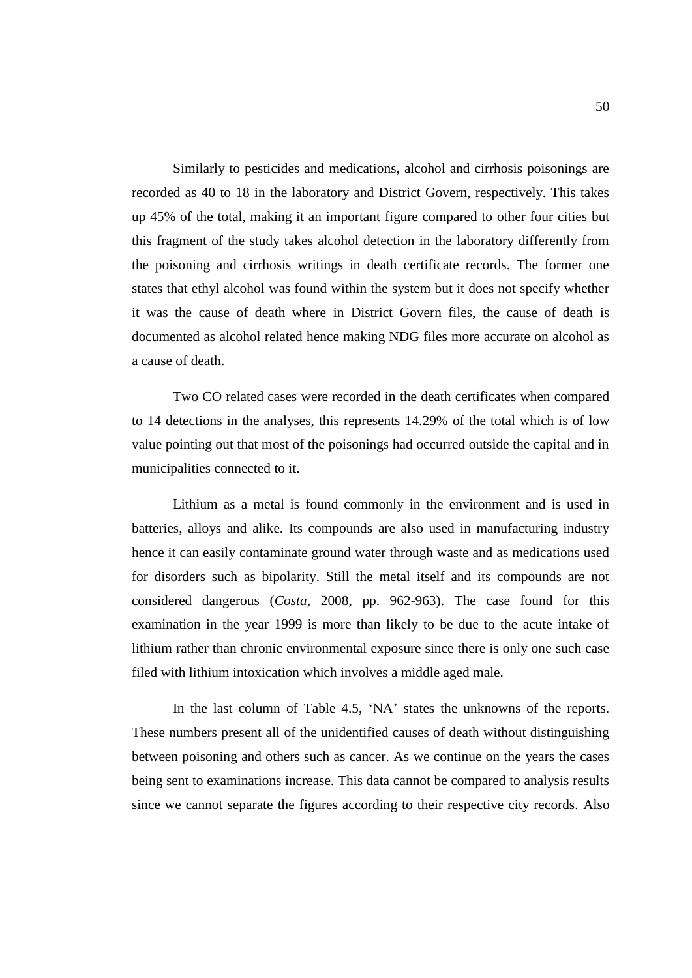Similarly to pesticides and medications, alcohol and cirrhosis poisonings are recorded as 40 to 18 in the laboratory and District Govern, respectively. This takes up 45% of the total, making it an important figure compared to other four cities but this fragment of the study takes alcohol detection in the laboratory differently from the poisoning and cirrhosis writings in death certificate records. The former one states that ethyl alcohol was found within the system but it does not specify whether it was the cause of death where in District Govern files, the cause of death is documented as alcohol related hence making NDG files more accurate on alcohol as a cause of death.

Two CO related cases were recorded in the death certificates when compared to 14 detections in the analyses, this represents 14.29% of the total which is of low value pointing out that most of the poisonings had occurred outside the capital and in municipalities connected to it.

Lithium as a metal is found commonly in the environment and is used in batteries, alloys and alike. Its compounds are also used in manufacturing industry hence it can easily contaminate ground water through waste and as medications used for disorders such as bipolarity. Still the metal itself and its compounds are not considered dangerous (*Costa*, 2008, pp. 962-963). The case found for this examination in the year 1999 is more than likely to be due to the acute intake of lithium rather than chronic environmental exposure since there is only one such case filed with lithium intoxication which involves a middle aged male.

In the last column of Table 4.5, 'NA' states the unknowns of the reports. These numbers present all of the unidentified causes of death without distinguishing between poisoning and others such as cancer. As we continue on the years the cases being sent to examinations increase. This data cannot be compared to analysis results since we cannot separate the figures according to their respective city records. Also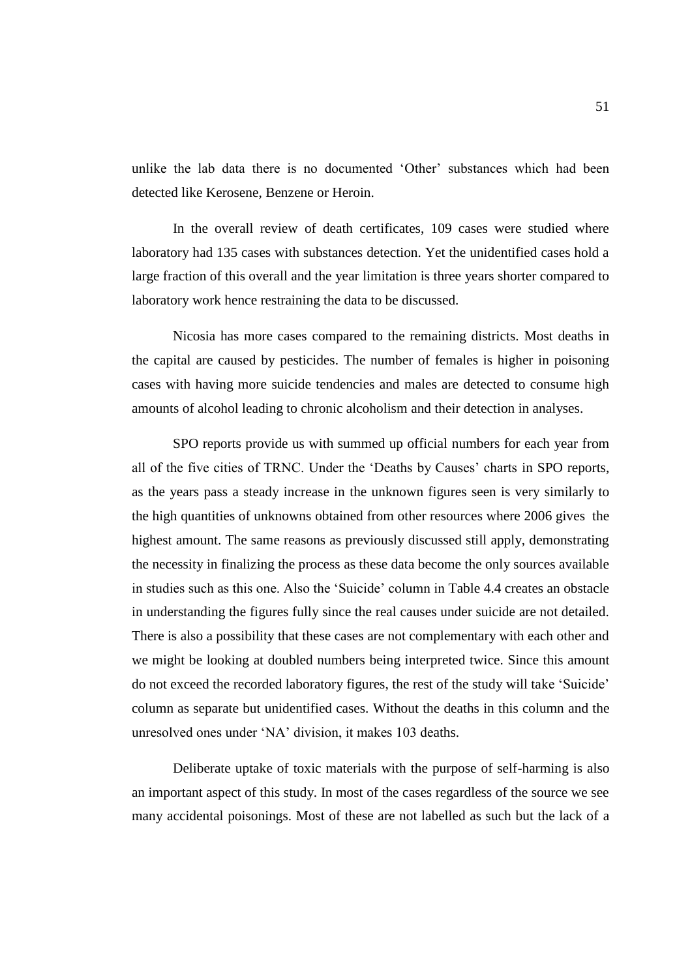unlike the lab data there is no documented 'Other' substances which had been detected like Kerosene, Benzene or Heroin.

In the overall review of death certificates, 109 cases were studied where laboratory had 135 cases with substances detection. Yet the unidentified cases hold a large fraction of this overall and the year limitation is three years shorter compared to laboratory work hence restraining the data to be discussed.

Nicosia has more cases compared to the remaining districts. Most deaths in the capital are caused by pesticides. The number of females is higher in poisoning cases with having more suicide tendencies and males are detected to consume high amounts of alcohol leading to chronic alcoholism and their detection in analyses.

SPO reports provide us with summed up official numbers for each year from all of the five cities of TRNC. Under the 'Deaths by Causes' charts in SPO reports, as the years pass a steady increase in the unknown figures seen is very similarly to the high quantities of unknowns obtained from other resources where 2006 gives the highest amount. The same reasons as previously discussed still apply, demonstrating the necessity in finalizing the process as these data become the only sources available in studies such as this one. Also the 'Suicide' column in Table 4.4 creates an obstacle in understanding the figures fully since the real causes under suicide are not detailed. There is also a possibility that these cases are not complementary with each other and we might be looking at doubled numbers being interpreted twice. Since this amount do not exceed the recorded laboratory figures, the rest of the study will take 'Suicide' column as separate but unidentified cases. Without the deaths in this column and the unresolved ones under 'NA' division, it makes 103 deaths.

Deliberate uptake of toxic materials with the purpose of self-harming is also an important aspect of this study. In most of the cases regardless of the source we see many accidental poisonings. Most of these are not labelled as such but the lack of a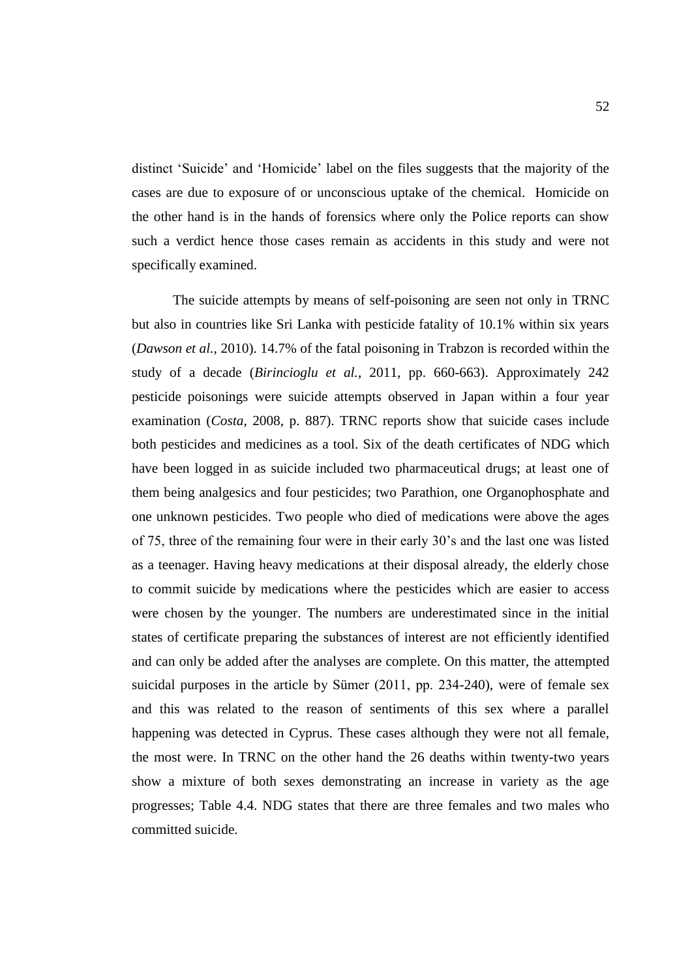distinct 'Suicide' and 'Homicide' label on the files suggests that the majority of the cases are due to exposure of or unconscious uptake of the chemical. Homicide on the other hand is in the hands of forensics where only the Police reports can show such a verdict hence those cases remain as accidents in this study and were not specifically examined.

The suicide attempts by means of self-poisoning are seen not only in TRNC but also in countries like Sri Lanka with pesticide fatality of 10.1% within six years (*Dawson et al.,* 2010). 14.7% of the fatal poisoning in Trabzon is recorded within the study of a decade (*Birincioglu et al.*, 2011, pp. 660-663). Approximately 242 pesticide poisonings were suicide attempts observed in Japan within a four year examination (*Costa*, 2008, p. 887). TRNC reports show that suicide cases include both pesticides and medicines as a tool. Six of the death certificates of NDG which have been logged in as suicide included two pharmaceutical drugs; at least one of them being analgesics and four pesticides; two Parathion, one Organophosphate and one unknown pesticides. Two people who died of medications were above the ages of 75, three of the remaining four were in their early 30's and the last one was listed as a teenager. Having heavy medications at their disposal already, the elderly chose to commit suicide by medications where the pesticides which are easier to access were chosen by the younger. The numbers are underestimated since in the initial states of certificate preparing the substances of interest are not efficiently identified and can only be added after the analyses are complete. On this matter, the attempted suicidal purposes in the article by Sümer (2011, pp. 234-240), were of female sex and this was related to the reason of sentiments of this sex where a parallel happening was detected in Cyprus. These cases although they were not all female, the most were. In TRNC on the other hand the 26 deaths within twenty-two years show a mixture of both sexes demonstrating an increase in variety as the age progresses; Table 4.4. NDG states that there are three females and two males who committed suicide.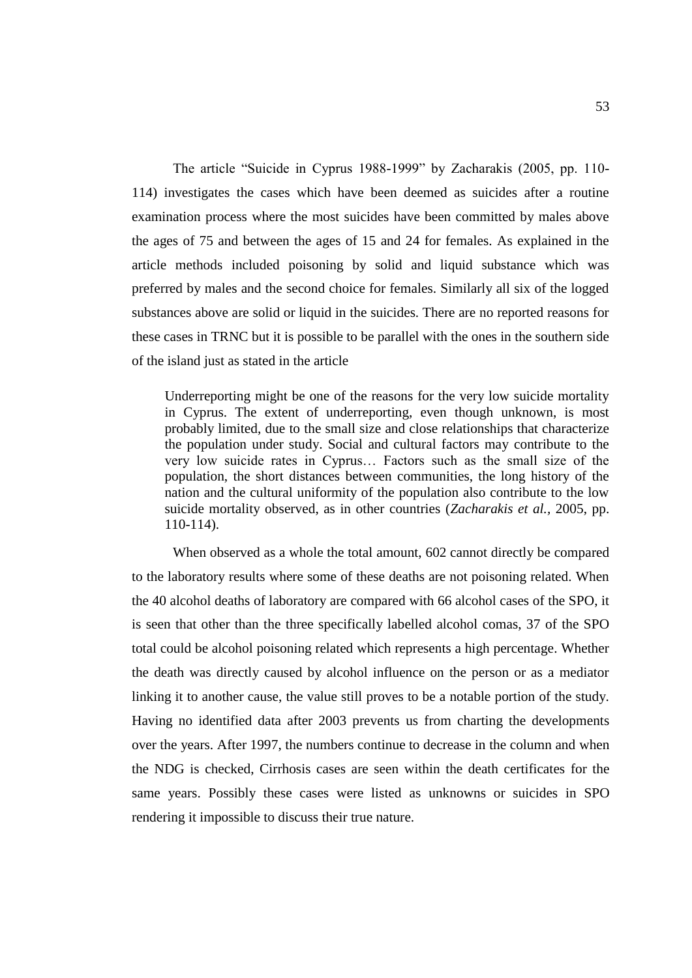The article "Suicide in Cyprus 1988-1999" by Zacharakis (2005, pp. 110- 114) investigates the cases which have been deemed as suicides after a routine examination process where the most suicides have been committed by males above the ages of 75 and between the ages of 15 and 24 for females. As explained in the article methods included poisoning by solid and liquid substance which was preferred by males and the second choice for females. Similarly all six of the logged substances above are solid or liquid in the suicides. There are no reported reasons for these cases in TRNC but it is possible to be parallel with the ones in the southern side of the island just as stated in the article

Underreporting might be one of the reasons for the very low suicide mortality in Cyprus. The extent of underreporting, even though unknown, is most probably limited, due to the small size and close relationships that characterize the population under study. Social and cultural factors may contribute to the very low suicide rates in Cyprus… Factors such as the small size of the population, the short distances between communities, the long history of the nation and the cultural uniformity of the population also contribute to the low suicide mortality observed, as in other countries (*Zacharakis et al.,* 2005, pp. 110-114).

When observed as a whole the total amount, 602 cannot directly be compared to the laboratory results where some of these deaths are not poisoning related. When the 40 alcohol deaths of laboratory are compared with 66 alcohol cases of the SPO, it is seen that other than the three specifically labelled alcohol comas, 37 of the SPO total could be alcohol poisoning related which represents a high percentage. Whether the death was directly caused by alcohol influence on the person or as a mediator linking it to another cause, the value still proves to be a notable portion of the study. Having no identified data after 2003 prevents us from charting the developments over the years. After 1997, the numbers continue to decrease in the column and when the NDG is checked, Cirrhosis cases are seen within the death certificates for the same years. Possibly these cases were listed as unknowns or suicides in SPO rendering it impossible to discuss their true nature.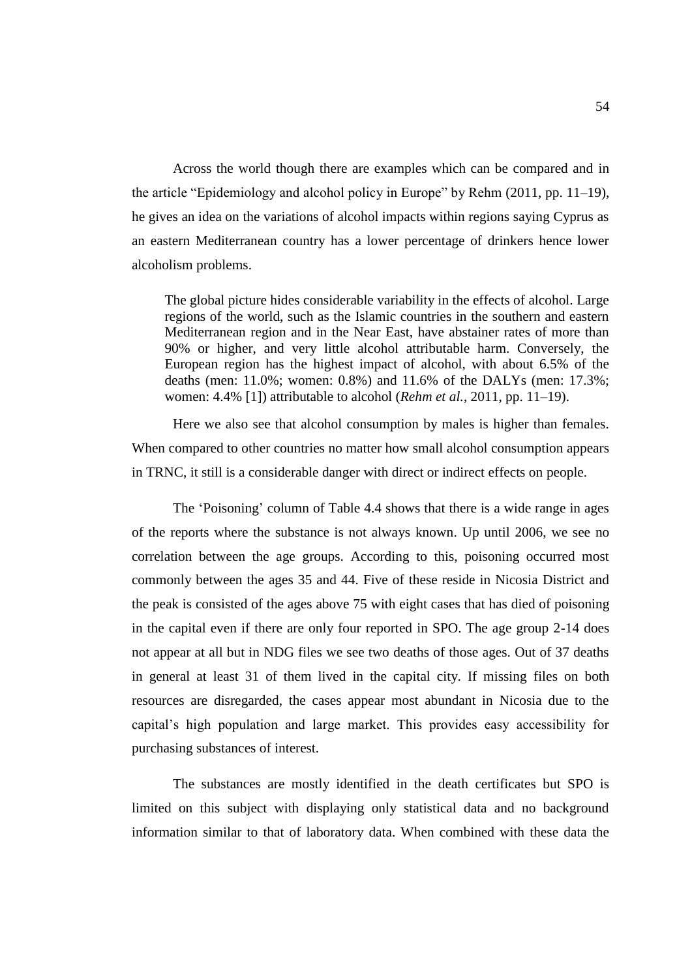Across the world though there are examples which can be compared and in the article "Epidemiology and alcohol policy in Europe" by Rehm (2011, pp. 11–19), he gives an idea on the variations of alcohol impacts within regions saying Cyprus as an eastern Mediterranean country has a lower percentage of drinkers hence lower alcoholism problems.

The global picture hides considerable variability in the effects of alcohol. Large regions of the world, such as the Islamic countries in the southern and eastern Mediterranean region and in the Near East, have abstainer rates of more than 90% or higher, and very little alcohol attributable harm. Conversely, the European region has the highest impact of alcohol, with about 6.5% of the deaths (men: 11.0%; women: 0.8%) and 11.6% of the DALYs (men: 17.3%; women: 4.4% [1]) attributable to alcohol (*Rehm et al.*, 2011, pp. 11–19).

Here we also see that alcohol consumption by males is higher than females. When compared to other countries no matter how small alcohol consumption appears in TRNC, it still is a considerable danger with direct or indirect effects on people.

The 'Poisoning' column of Table 4.4 shows that there is a wide range in ages of the reports where the substance is not always known. Up until 2006, we see no correlation between the age groups. According to this, poisoning occurred most commonly between the ages 35 and 44. Five of these reside in Nicosia District and the peak is consisted of the ages above 75 with eight cases that has died of poisoning in the capital even if there are only four reported in SPO. The age group 2-14 does not appear at all but in NDG files we see two deaths of those ages. Out of 37 deaths in general at least 31 of them lived in the capital city. If missing files on both resources are disregarded, the cases appear most abundant in Nicosia due to the capital's high population and large market. This provides easy accessibility for purchasing substances of interest.

The substances are mostly identified in the death certificates but SPO is limited on this subject with displaying only statistical data and no background information similar to that of laboratory data. When combined with these data the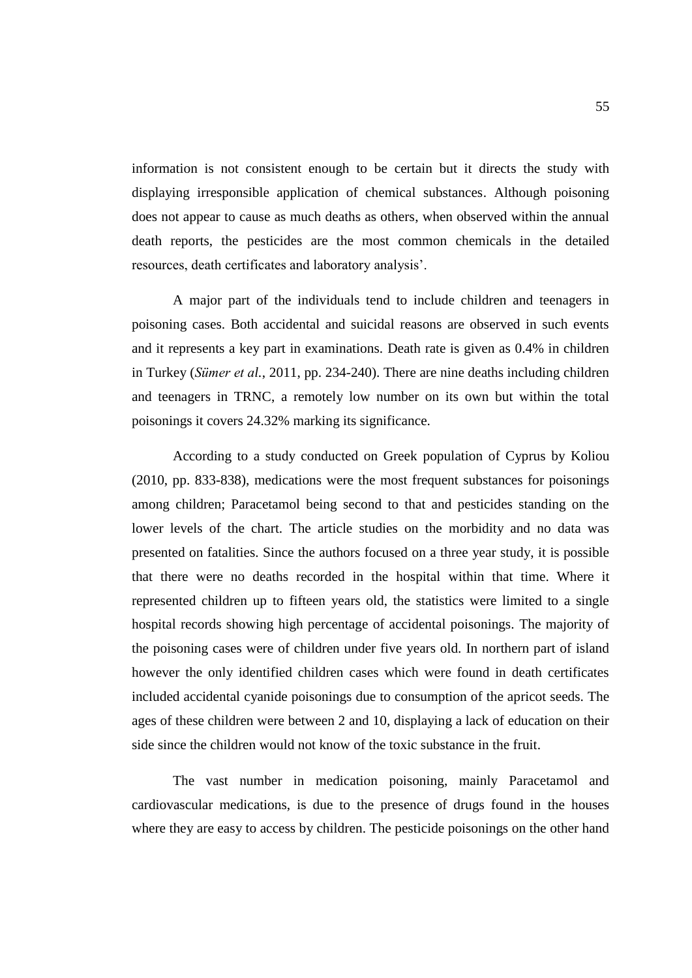information is not consistent enough to be certain but it directs the study with displaying irresponsible application of chemical substances. Although poisoning does not appear to cause as much deaths as others, when observed within the annual death reports, the pesticides are the most common chemicals in the detailed resources, death certificates and laboratory analysis'.

A major part of the individuals tend to include children and teenagers in poisoning cases. Both accidental and suicidal reasons are observed in such events and it represents a key part in examinations. Death rate is given as 0.4% in children in Turkey (*Sümer et al.*, 2011, pp. 234-240). There are nine deaths including children and teenagers in TRNC, a remotely low number on its own but within the total poisonings it covers 24.32% marking its significance.

According to a study conducted on Greek population of Cyprus by Koliou (2010, pp. 833-838), medications were the most frequent substances for poisonings among children; Paracetamol being second to that and pesticides standing on the lower levels of the chart. The article studies on the morbidity and no data was presented on fatalities. Since the authors focused on a three year study, it is possible that there were no deaths recorded in the hospital within that time. Where it represented children up to fifteen years old, the statistics were limited to a single hospital records showing high percentage of accidental poisonings. The majority of the poisoning cases were of children under five years old. In northern part of island however the only identified children cases which were found in death certificates included accidental cyanide poisonings due to consumption of the apricot seeds. The ages of these children were between 2 and 10, displaying a lack of education on their side since the children would not know of the toxic substance in the fruit.

The vast number in medication poisoning, mainly Paracetamol and cardiovascular medications, is due to the presence of drugs found in the houses where they are easy to access by children. The pesticide poisonings on the other hand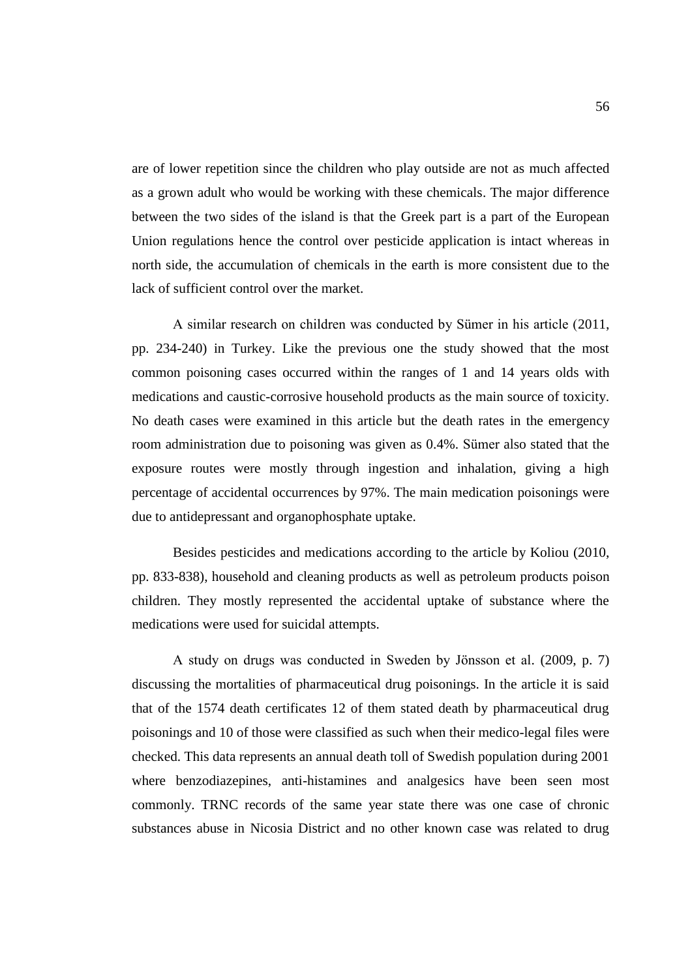are of lower repetition since the children who play outside are not as much affected as a grown adult who would be working with these chemicals. The major difference between the two sides of the island is that the Greek part is a part of the European Union regulations hence the control over pesticide application is intact whereas in north side, the accumulation of chemicals in the earth is more consistent due to the lack of sufficient control over the market.

A similar research on children was conducted by Sümer in his article (2011, pp. 234-240) in Turkey. Like the previous one the study showed that the most common poisoning cases occurred within the ranges of 1 and 14 years olds with medications and caustic-corrosive household products as the main source of toxicity. No death cases were examined in this article but the death rates in the emergency room administration due to poisoning was given as 0.4%. Sümer also stated that the exposure routes were mostly through ingestion and inhalation, giving a high percentage of accidental occurrences by 97%. The main medication poisonings were due to antidepressant and organophosphate uptake.

Besides pesticides and medications according to the article by Koliou (2010, pp. 833-838), household and cleaning products as well as petroleum products poison children. They mostly represented the accidental uptake of substance where the medications were used for suicidal attempts.

A study on drugs was conducted in Sweden by Jönsson et al. (2009, p. 7) discussing the mortalities of pharmaceutical drug poisonings. In the article it is said that of the 1574 death certificates 12 of them stated death by pharmaceutical drug poisonings and 10 of those were classified as such when their medico-legal files were checked. This data represents an annual death toll of Swedish population during 2001 where benzodiazepines, anti-histamines and analgesics have been seen most commonly. TRNC records of the same year state there was one case of chronic substances abuse in Nicosia District and no other known case was related to drug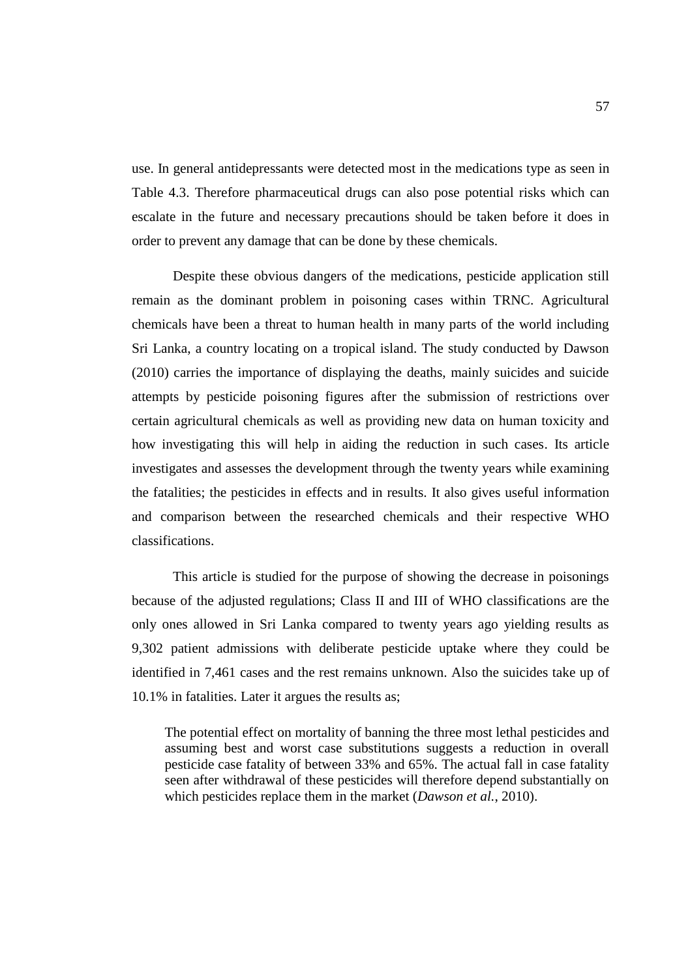use. In general antidepressants were detected most in the medications type as seen in Table 4.3. Therefore pharmaceutical drugs can also pose potential risks which can escalate in the future and necessary precautions should be taken before it does in order to prevent any damage that can be done by these chemicals.

Despite these obvious dangers of the medications, pesticide application still remain as the dominant problem in poisoning cases within TRNC. Agricultural chemicals have been a threat to human health in many parts of the world including Sri Lanka, a country locating on a tropical island. The study conducted by Dawson (2010) carries the importance of displaying the deaths, mainly suicides and suicide attempts by pesticide poisoning figures after the submission of restrictions over certain agricultural chemicals as well as providing new data on human toxicity and how investigating this will help in aiding the reduction in such cases. Its article investigates and assesses the development through the twenty years while examining the fatalities; the pesticides in effects and in results. It also gives useful information and comparison between the researched chemicals and their respective WHO classifications.

This article is studied for the purpose of showing the decrease in poisonings because of the adjusted regulations; Class II and III of WHO classifications are the only ones allowed in Sri Lanka compared to twenty years ago yielding results as 9,302 patient admissions with deliberate pesticide uptake where they could be identified in 7,461 cases and the rest remains unknown. Also the suicides take up of 10.1% in fatalities. Later it argues the results as;

The potential effect on mortality of banning the three most lethal pesticides and assuming best and worst case substitutions suggests a reduction in overall pesticide case fatality of between 33% and 65%. The actual fall in case fatality seen after withdrawal of these pesticides will therefore depend substantially on which pesticides replace them in the market (*Dawson et al.*, 2010).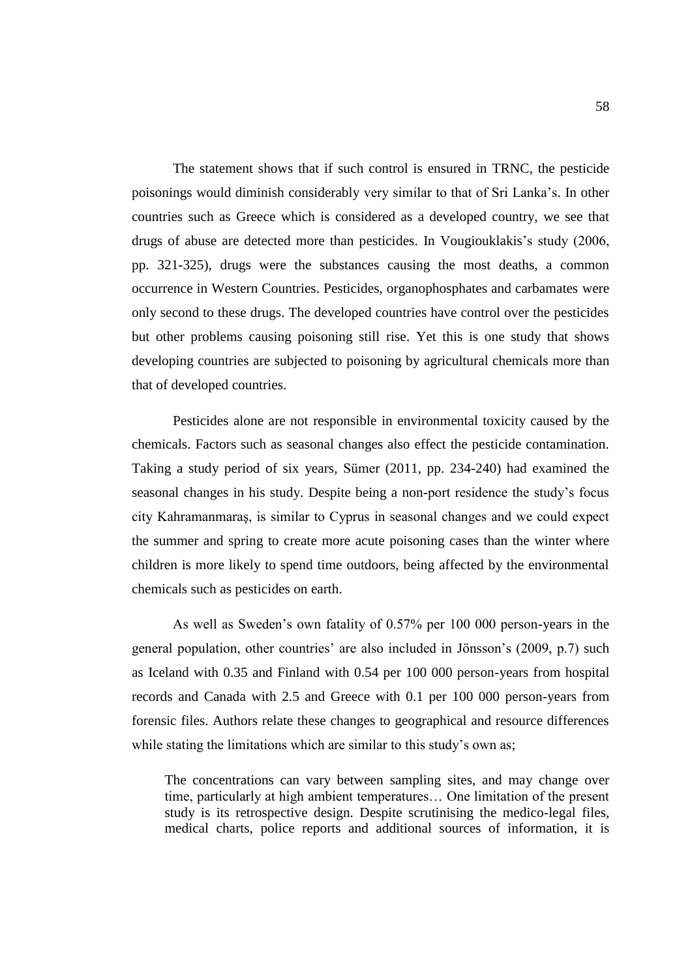The statement shows that if such control is ensured in TRNC, the pesticide poisonings would diminish considerably very similar to that of Sri Lanka's. In other countries such as Greece which is considered as a developed country, we see that drugs of abuse are detected more than pesticides. In Vougiouklakis's study (2006, pp. 321-325), drugs were the substances causing the most deaths, a common occurrence in Western Countries. Pesticides, organophosphates and carbamates were only second to these drugs. The developed countries have control over the pesticides but other problems causing poisoning still rise. Yet this is one study that shows developing countries are subjected to poisoning by agricultural chemicals more than that of developed countries.

Pesticides alone are not responsible in environmental toxicity caused by the chemicals. Factors such as seasonal changes also effect the pesticide contamination. Taking a study period of six years, Sümer (2011, pp. 234-240) had examined the seasonal changes in his study. Despite being a non-port residence the study's focus city Kahramanmaraş, is similar to Cyprus in seasonal changes and we could expect the summer and spring to create more acute poisoning cases than the winter where children is more likely to spend time outdoors, being affected by the environmental chemicals such as pesticides on earth.

As well as Sweden's own fatality of 0.57% per 100 000 person-years in the general population, other countries' are also included in Jönsson's (2009, p.7) such as Iceland with 0.35 and Finland with 0.54 per 100 000 person-years from hospital records and Canada with 2.5 and Greece with 0.1 per 100 000 person-years from forensic files. Authors relate these changes to geographical and resource differences while stating the limitations which are similar to this study's own as;

The concentrations can vary between sampling sites, and may change over time, particularly at high ambient temperatures… One limitation of the present study is its retrospective design. Despite scrutinising the medico-legal files, medical charts, police reports and additional sources of information, it is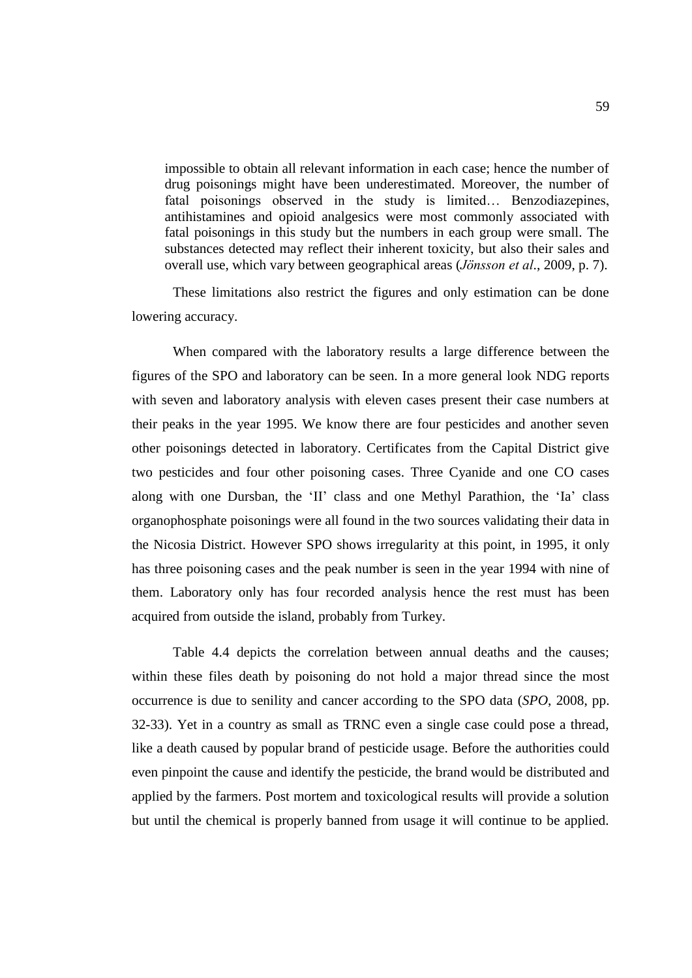impossible to obtain all relevant information in each case; hence the number of drug poisonings might have been underestimated. Moreover, the number of fatal poisonings observed in the study is limited… Benzodiazepines, antihistamines and opioid analgesics were most commonly associated with fatal poisonings in this study but the numbers in each group were small. The substances detected may reflect their inherent toxicity, but also their sales and overall use, which vary between geographical areas (*Jönsson et al*., 2009, p. 7).

These limitations also restrict the figures and only estimation can be done lowering accuracy.

When compared with the laboratory results a large difference between the figures of the SPO and laboratory can be seen. In a more general look NDG reports with seven and laboratory analysis with eleven cases present their case numbers at their peaks in the year 1995. We know there are four pesticides and another seven other poisonings detected in laboratory. Certificates from the Capital District give two pesticides and four other poisoning cases. Three Cyanide and one CO cases along with one Dursban, the 'II' class and one Methyl Parathion, the 'Ia' class organophosphate poisonings were all found in the two sources validating their data in the Nicosia District. However SPO shows irregularity at this point, in 1995, it only has three poisoning cases and the peak number is seen in the year 1994 with nine of them. Laboratory only has four recorded analysis hence the rest must has been acquired from outside the island, probably from Turkey.

Table 4.4 depicts the correlation between annual deaths and the causes; within these files death by poisoning do not hold a major thread since the most occurrence is due to senility and cancer according to the SPO data (*SPO*, 2008, pp. 32-33). Yet in a country as small as TRNC even a single case could pose a thread, like a death caused by popular brand of pesticide usage. Before the authorities could even pinpoint the cause and identify the pesticide, the brand would be distributed and applied by the farmers. Post mortem and toxicological results will provide a solution but until the chemical is properly banned from usage it will continue to be applied.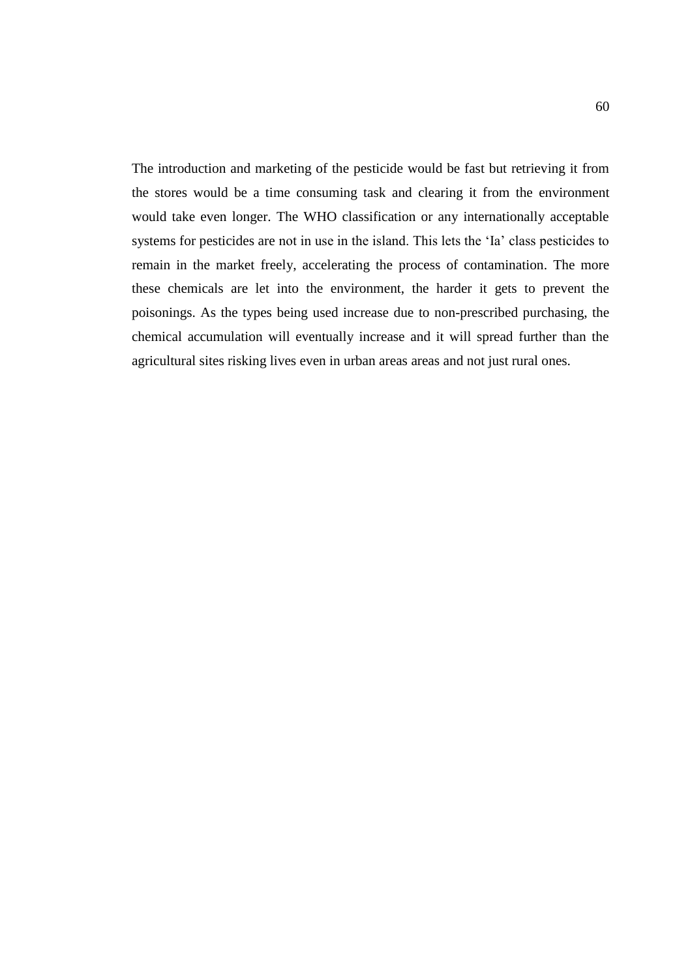The introduction and marketing of the pesticide would be fast but retrieving it from the stores would be a time consuming task and clearing it from the environment would take even longer. The WHO classification or any internationally acceptable systems for pesticides are not in use in the island. This lets the 'Ia' class pesticides to remain in the market freely, accelerating the process of contamination. The more these chemicals are let into the environment, the harder it gets to prevent the poisonings. As the types being used increase due to non-prescribed purchasing, the chemical accumulation will eventually increase and it will spread further than the agricultural sites risking lives even in urban areas areas and not just rural ones.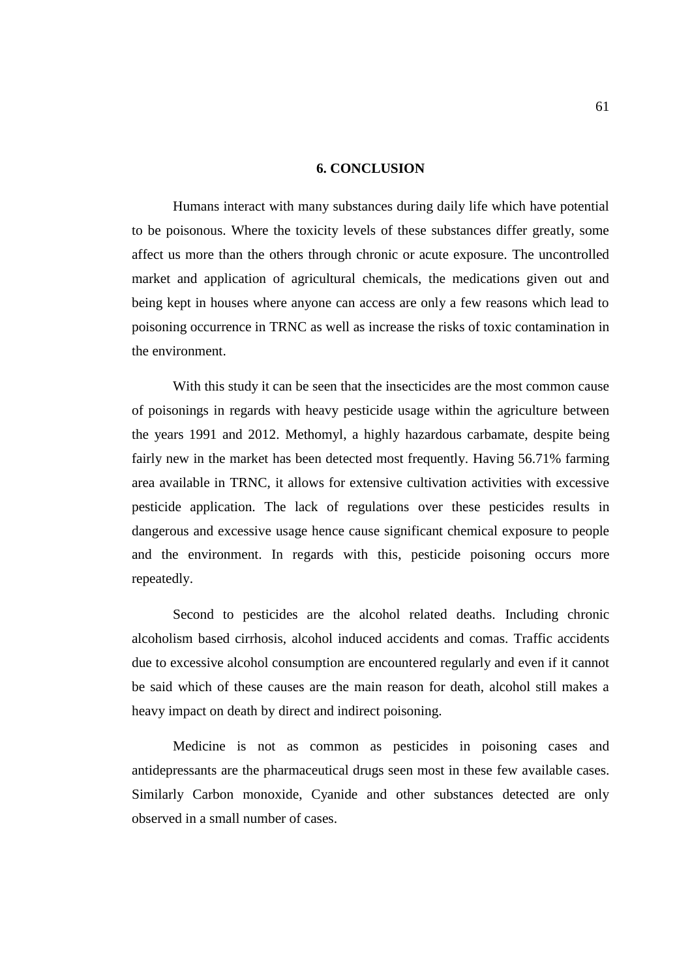## **6. CONCLUSION**

Humans interact with many substances during daily life which have potential to be poisonous. Where the toxicity levels of these substances differ greatly, some affect us more than the others through chronic or acute exposure. The uncontrolled market and application of agricultural chemicals, the medications given out and being kept in houses where anyone can access are only a few reasons which lead to poisoning occurrence in TRNC as well as increase the risks of toxic contamination in the environment.

With this study it can be seen that the insecticides are the most common cause of poisonings in regards with heavy pesticide usage within the agriculture between the years 1991 and 2012. Methomyl, a highly hazardous carbamate, despite being fairly new in the market has been detected most frequently. Having 56.71% farming area available in TRNC, it allows for extensive cultivation activities with excessive pesticide application. The lack of regulations over these pesticides results in dangerous and excessive usage hence cause significant chemical exposure to people and the environment. In regards with this, pesticide poisoning occurs more repeatedly.

Second to pesticides are the alcohol related deaths. Including chronic alcoholism based cirrhosis, alcohol induced accidents and comas. Traffic accidents due to excessive alcohol consumption are encountered regularly and even if it cannot be said which of these causes are the main reason for death, alcohol still makes a heavy impact on death by direct and indirect poisoning.

Medicine is not as common as pesticides in poisoning cases and antidepressants are the pharmaceutical drugs seen most in these few available cases. Similarly Carbon monoxide, Cyanide and other substances detected are only observed in a small number of cases.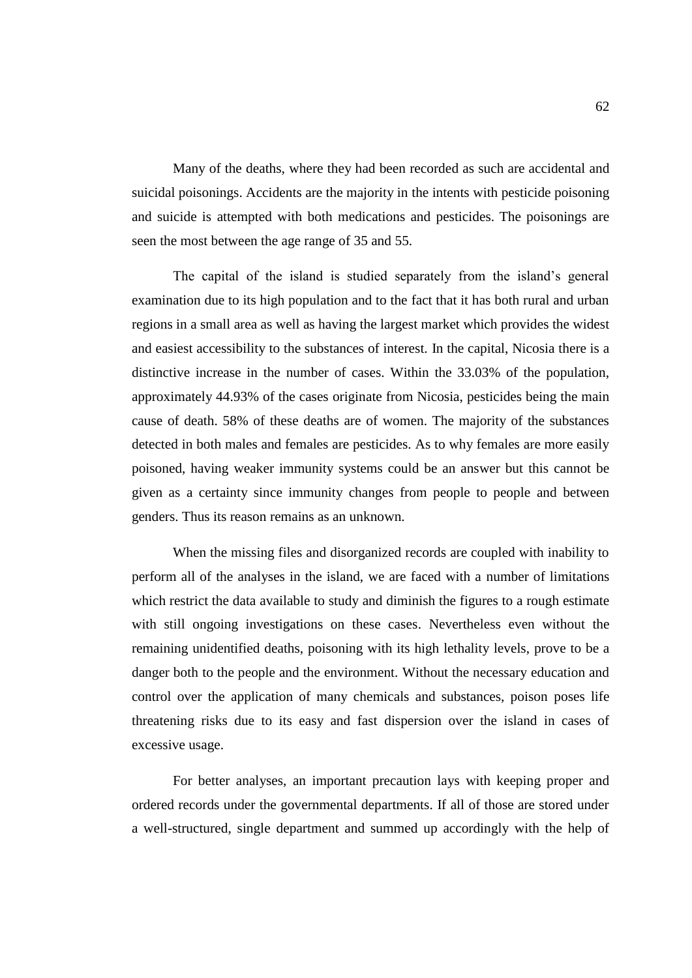Many of the deaths, where they had been recorded as such are accidental and suicidal poisonings. Accidents are the majority in the intents with pesticide poisoning and suicide is attempted with both medications and pesticides. The poisonings are seen the most between the age range of 35 and 55.

The capital of the island is studied separately from the island's general examination due to its high population and to the fact that it has both rural and urban regions in a small area as well as having the largest market which provides the widest and easiest accessibility to the substances of interest. In the capital, Nicosia there is a distinctive increase in the number of cases. Within the 33.03% of the population, approximately 44.93% of the cases originate from Nicosia, pesticides being the main cause of death. 58% of these deaths are of women. The majority of the substances detected in both males and females are pesticides. As to why females are more easily poisoned, having weaker immunity systems could be an answer but this cannot be given as a certainty since immunity changes from people to people and between genders. Thus its reason remains as an unknown.

When the missing files and disorganized records are coupled with inability to perform all of the analyses in the island, we are faced with a number of limitations which restrict the data available to study and diminish the figures to a rough estimate with still ongoing investigations on these cases. Nevertheless even without the remaining unidentified deaths, poisoning with its high lethality levels, prove to be a danger both to the people and the environment. Without the necessary education and control over the application of many chemicals and substances, poison poses life threatening risks due to its easy and fast dispersion over the island in cases of excessive usage.

For better analyses, an important precaution lays with keeping proper and ordered records under the governmental departments. If all of those are stored under a well-structured, single department and summed up accordingly with the help of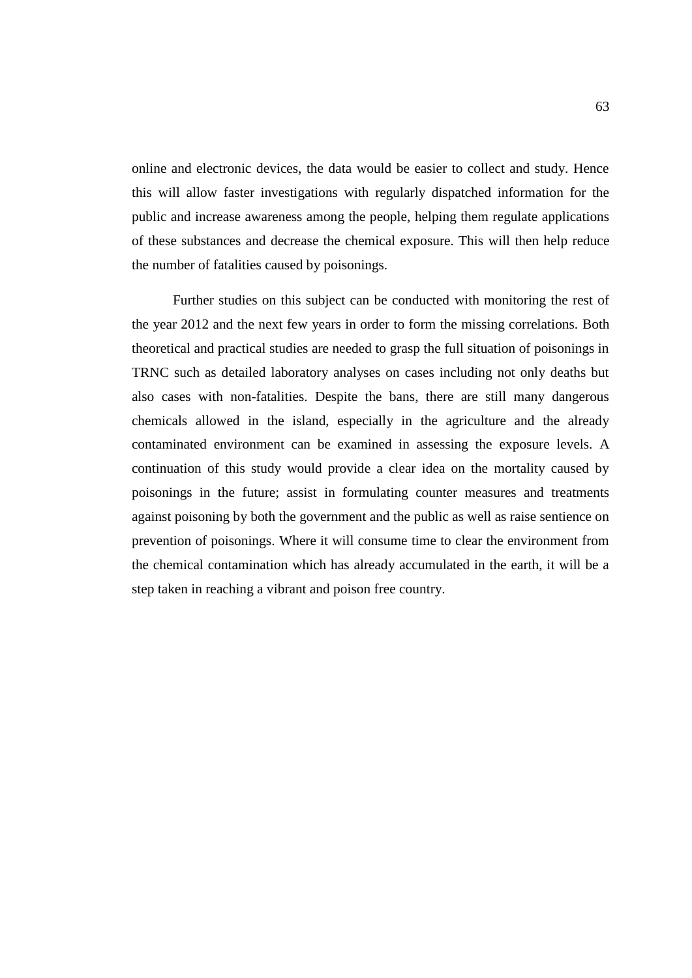online and electronic devices, the data would be easier to collect and study. Hence this will allow faster investigations with regularly dispatched information for the public and increase awareness among the people, helping them regulate applications of these substances and decrease the chemical exposure. This will then help reduce the number of fatalities caused by poisonings.

Further studies on this subject can be conducted with monitoring the rest of the year 2012 and the next few years in order to form the missing correlations. Both theoretical and practical studies are needed to grasp the full situation of poisonings in TRNC such as detailed laboratory analyses on cases including not only deaths but also cases with non-fatalities. Despite the bans, there are still many dangerous chemicals allowed in the island, especially in the agriculture and the already contaminated environment can be examined in assessing the exposure levels. A continuation of this study would provide a clear idea on the mortality caused by poisonings in the future; assist in formulating counter measures and treatments against poisoning by both the government and the public as well as raise sentience on prevention of poisonings. Where it will consume time to clear the environment from the chemical contamination which has already accumulated in the earth, it will be a step taken in reaching a vibrant and poison free country.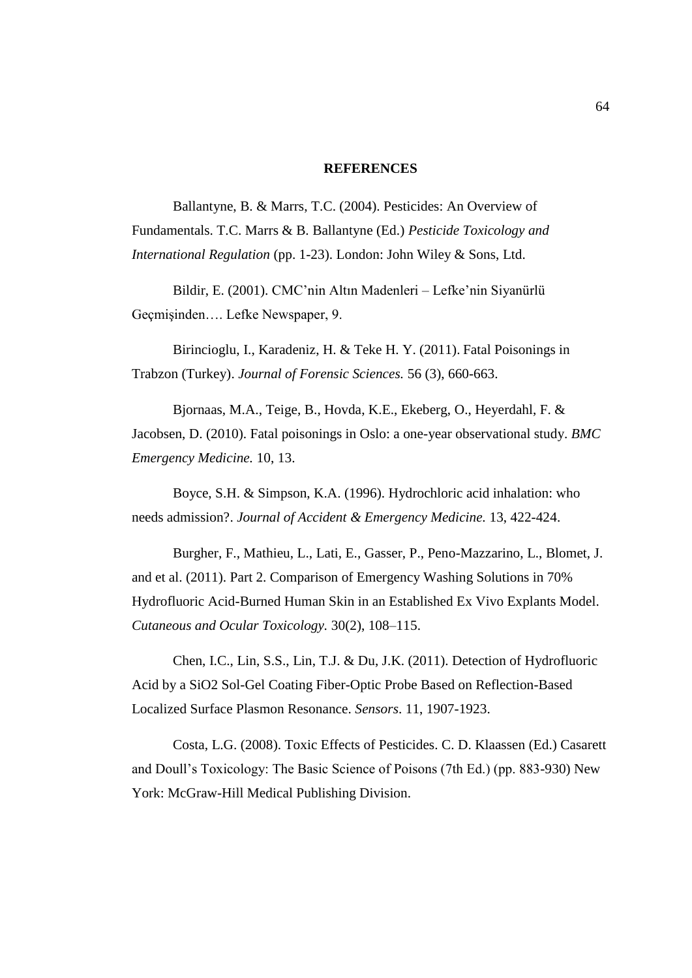## **REFERENCES**

Ballantyne, B. & Marrs, T.C. (2004). Pesticides: An Overview of Fundamentals. T.C. Marrs & B. Ballantyne (Ed.) *Pesticide Toxicology and International Regulation* (pp. 1-23). London: John Wiley & Sons, Ltd.

Bildir, E. (2001). CMC'nin Altın Madenleri – Lefke'nin Siyanürlü Geçmişinden…. Lefke Newspaper, 9.

Birincioglu, I., Karadeniz, H. & Teke H. Y. (2011). Fatal Poisonings in Trabzon (Turkey). *Journal of Forensic Sciences.* 56 (3), 660-663.

Bjornaas, M.A., Teige, B., Hovda, K.E., Ekeberg, O., Heyerdahl, F. & Jacobsen, D. (2010). Fatal poisonings in Oslo: a one-year observational study. *BMC Emergency Medicine.* 10, 13.

Boyce, S.H. & Simpson, K.A. (1996). Hydrochloric acid inhalation: who needs admission?. *Journal of Accident & Emergency Medicine.* 13, 422-424.

Burgher, F., Mathieu, L., Lati, E., Gasser, P., Peno-Mazzarino, L., Blomet, J. and et al. (2011). Part 2. Comparison of Emergency Washing Solutions in 70% Hydrofluoric Acid-Burned Human Skin in an Established Ex Vivo Explants Model. *Cutaneous and Ocular Toxicology.* 30(2), 108–115.

Chen, I.C., Lin, S.S., Lin, T.J. & Du, J.K. (2011). Detection of Hydrofluoric Acid by a SiO2 Sol-Gel Coating Fiber-Optic Probe Based on Reflection-Based Localized Surface Plasmon Resonance. *Sensors*. 11, 1907-1923.

Costa, L.G. (2008). Toxic Effects of Pesticides. C. D. Klaassen (Ed.) Casarett and Doull's Toxicology: The Basic Science of Poisons (7th Ed.) (pp. 883-930) New York: McGraw-Hill Medical Publishing Division.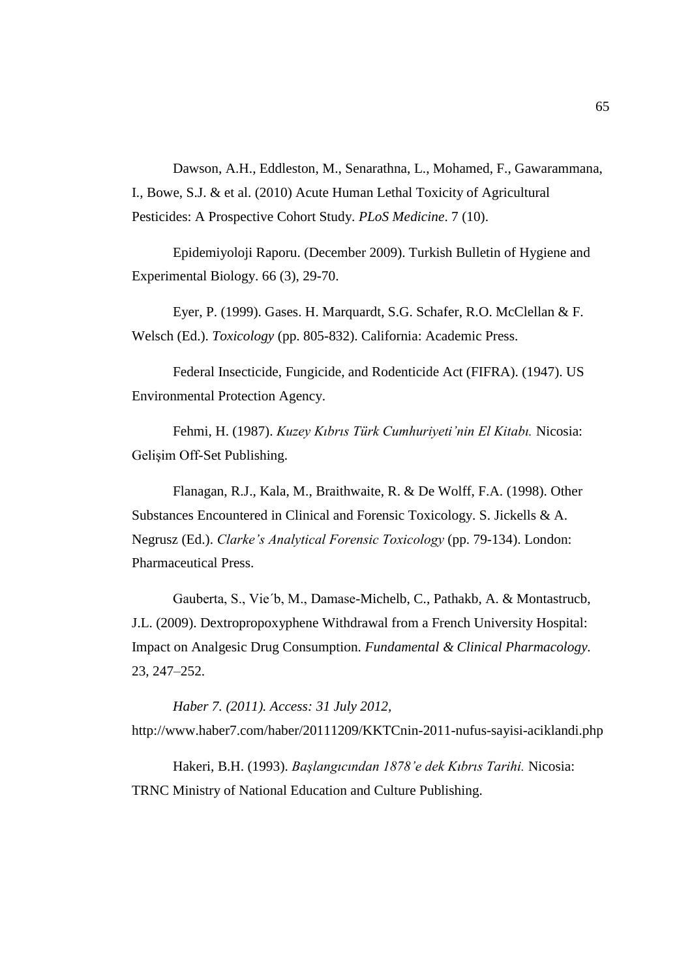Dawson, A.H., Eddleston, M., Senarathna, L., Mohamed, F., Gawarammana, I., Bowe, S.J. & et al. (2010) Acute Human Lethal Toxicity of Agricultural Pesticides: A Prospective Cohort Study. *PLoS Medicine*. 7 (10).

Epidemiyoloji Raporu. (December 2009). Turkish Bulletin of Hygiene and Experimental Biology. 66 (3), 29-70.

Eyer, P. (1999). Gases. H. Marquardt, S.G. Schafer, R.O. McClellan & F. Welsch (Ed.). *Toxicology* (pp. 805-832). California: Academic Press.

Federal Insecticide, Fungicide, and Rodenticide Act (FIFRA). (1947). US Environmental Protection Agency.

Fehmi, H. (1987). *Kuzey Kıbrıs Türk Cumhuriyeti'nin El Kitabı.* Nicosia: Gelişim Off-Set Publishing.

Flanagan, R.J., Kala, M., Braithwaite, R. & De Wolff, F.A. (1998). Other Substances Encountered in Clinical and Forensic Toxicology. S. Jickells & A. Negrusz (Ed.). *Clarke's Analytical Forensic Toxicology* (pp. 79-134). London: Pharmaceutical Press.

Gauberta, S., Vie´b, M., Damase-Michelb, C., Pathakb, A. & Montastrucb, J.L. (2009). Dextropropoxyphene Withdrawal from a French University Hospital: Impact on Analgesic Drug Consumption. *Fundamental & Clinical Pharmacology.* 23, 247–252.

*Haber 7. (2011). Access: 31 July 2012,* http://www.haber7.com/haber/20111209/KKTCnin-2011-nufus-sayisi-aciklandi.php

Hakeri, B.H. (1993). *Başlangıcından 1878'e dek Kıbrıs Tarihi.* Nicosia: TRNC Ministry of National Education and Culture Publishing.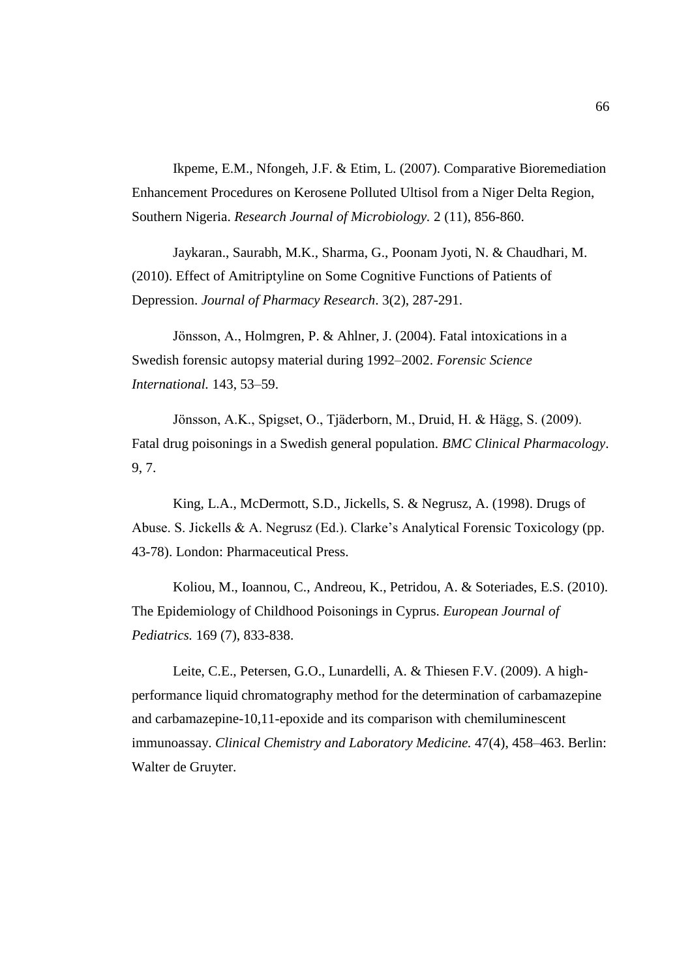Ikpeme, E.M., Nfongeh, J.F. & Etim, L. (2007). Comparative Bioremediation Enhancement Procedures on Kerosene Polluted Ultisol from a Niger Delta Region, Southern Nigeria. *Research Journal of Microbiology.* 2 (11), 856-860.

Jaykaran., Saurabh, M.K., Sharma, G., Poonam Jyoti, N. & Chaudhari, M. (2010). Effect of Amitriptyline on Some Cognitive Functions of Patients of Depression. *Journal of Pharmacy Research*. 3(2), 287-291.

Jönsson, A., Holmgren, P. & Ahlner, J. (2004). Fatal intoxications in a Swedish forensic autopsy material during 1992–2002. *Forensic Science International.* 143, 53–59.

Jönsson, A.K., Spigset, O., Tjäderborn, M., Druid, H. & Hägg, S. (2009). Fatal drug poisonings in a Swedish general population. *BMC Clinical Pharmacology*. 9, 7.

King, L.A., McDermott, S.D., Jickells, S. & Negrusz, A. (1998). Drugs of Abuse. S. Jickells & A. Negrusz (Ed.). Clarke's Analytical Forensic Toxicology (pp. 43-78). London: Pharmaceutical Press.

Koliou, M., Ioannou, C., Andreou, K., Petridou, A. & Soteriades, E.S. (2010). The Epidemiology of Childhood Poisonings in Cyprus. *European Journal of Pediatrics.* 169 (7), 833-838.

Leite, C.E., Petersen, G.O., Lunardelli, A. & Thiesen F.V. (2009). A highperformance liquid chromatography method for the determination of carbamazepine and carbamazepine-10,11-epoxide and its comparison with chemiluminescent immunoassay. *Clinical Chemistry and Laboratory Medicine.* 47(4), 458–463. Berlin: Walter de Gruyter.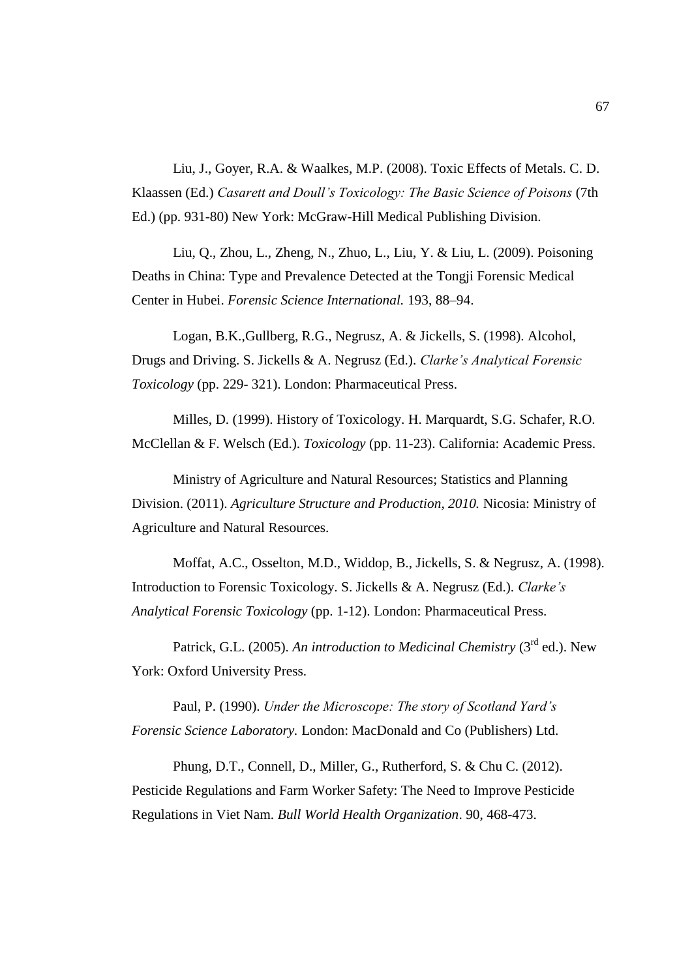Liu, J., Goyer, R.A. & Waalkes, M.P. (2008). Toxic Effects of Metals. C. D. Klaassen (Ed.) *Casarett and Doull's Toxicology: The Basic Science of Poisons* (7th Ed.) (pp. 931-80) New York: McGraw-Hill Medical Publishing Division.

Liu, Q., Zhou, L., Zheng, N., Zhuo, L., Liu, Y. & Liu, L. (2009). Poisoning Deaths in China: Type and Prevalence Detected at the Tongji Forensic Medical Center in Hubei. *Forensic Science International.* 193, 88–94.

Logan, B.K.,Gullberg, R.G., Negrusz, A. & Jickells, S. (1998). Alcohol, Drugs and Driving. S. Jickells & A. Negrusz (Ed.). *Clarke's Analytical Forensic Toxicology* (pp. 229- 321). London: Pharmaceutical Press.

Milles, D. (1999). History of Toxicology. H. Marquardt, S.G. Schafer, R.O. McClellan & F. Welsch (Ed.). *Toxicology* (pp. 11-23). California: Academic Press.

Ministry of Agriculture and Natural Resources; Statistics and Planning Division. (2011). *Agriculture Structure and Production, 2010.* Nicosia: Ministry of Agriculture and Natural Resources.

Moffat, A.C., Osselton, M.D., Widdop, B., Jickells, S. & Negrusz, A. (1998). Introduction to Forensic Toxicology. S. Jickells & A. Negrusz (Ed.). *Clarke's Analytical Forensic Toxicology* (pp. 1-12). London: Pharmaceutical Press.

Patrick, G.L. (2005). An introduction to Medicinal Chemistry (3<sup>rd</sup> ed.). New York: Oxford University Press.

Paul, P. (1990). *Under the Microscope: The story of Scotland Yard's Forensic Science Laboratory.* London: MacDonald and Co (Publishers) Ltd.

Phung, D.T., Connell, D., Miller, G., Rutherford, S. & Chu C. (2012). Pesticide Regulations and Farm Worker Safety: The Need to Improve Pesticide Regulations in Viet Nam. *Bull World Health Organization*. 90, 468-473.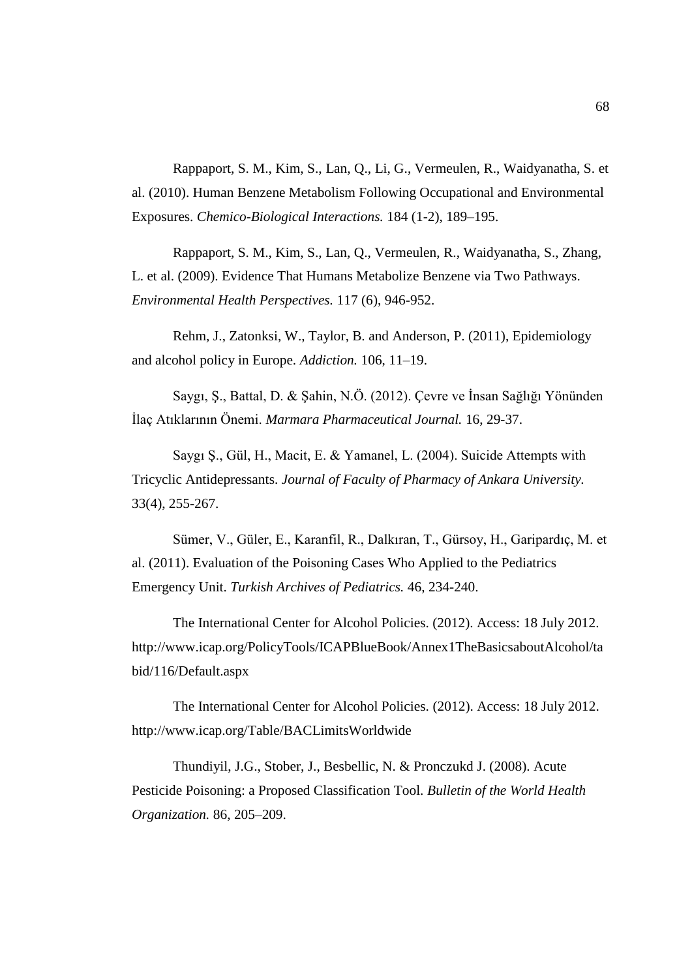Rappaport, S. M., Kim, S., Lan, Q., Li, G., Vermeulen, R., Waidyanatha, S. et al. (2010). Human Benzene Metabolism Following Occupational and Environmental Exposures. *Chemico-Biological Interactions.* 184 (1-2), 189–195.

Rappaport, S. M., Kim, S., Lan, Q., Vermeulen, R., Waidyanatha, S., Zhang, L. et al. (2009). Evidence That Humans Metabolize Benzene via Two Pathways. *Environmental Health Perspectives.* 117 (6), 946-952.

Rehm, J., Zatonksi, W., Taylor, B. and Anderson, P. (2011), Epidemiology and alcohol policy in Europe. *Addiction.* 106, 11–19.

Saygı, Ş., Battal, D. & Şahin, N.Ö. (2012). Çevre ve İnsan Sağlığı Yönünden İlaç Atıklarının Önemi. *Marmara Pharmaceutical Journal.* 16, 29-37.

Saygı Ş., Gül, H., Macit, E. & Yamanel, L. (2004). Suicide Attempts with Tricyclic Antidepressants. *Journal of Faculty of Pharmacy of Ankara University.* 33(4), 255-267.

Sümer, V., Güler, E., Karanfil, R., Dalkıran, T., Gürsoy, H., Garipardıç, M. et al. (2011). Evaluation of the Poisoning Cases Who Applied to the Pediatrics Emergency Unit. *Turkish Archives of Pediatrics.* 46, 234-240.

The International Center for Alcohol Policies. (2012). Access: 18 July 2012. http://www.icap.org/PolicyTools/ICAPBlueBook/Annex1TheBasicsaboutAlcohol/ta bid/116/Default.aspx

The International Center for Alcohol Policies. (2012). Access: 18 July 2012. http://www.icap.org/Table/BACLimitsWorldwide

Thundiyil, J.G., Stober, J., Besbellic, N. & Pronczukd J. (2008). Acute Pesticide Poisoning: a Proposed Classification Tool. *Bulletin of the World Health Organization.* 86, 205–209.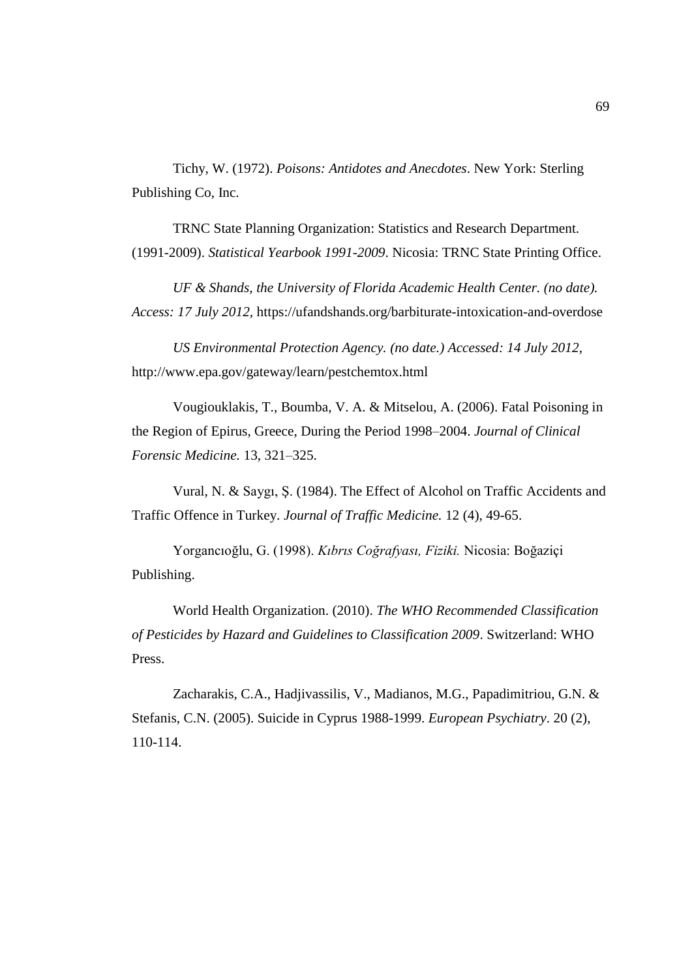Tichy, W. (1972). *Poisons: Antidotes and Anecdotes*. New York: Sterling Publishing Co, Inc.

TRNC State Planning Organization: Statistics and Research Department. (1991-2009). *Statistical Yearbook 1991-2009*. Nicosia: TRNC State Printing Office.

*UF & Shands, the University of Florida Academic Health Center. (no date). Access: 17 July 2012,* <https://ufandshands.org/barbiturate-intoxication-and-overdose>

*US Environmental Protection Agency. (no date.) Accessed: 14 July 2012,*  <http://www.epa.gov/gateway/learn/pestchemtox.html>

Vougiouklakis, T., Boumba, V. A. & Mitselou, A. (2006). Fatal Poisoning in the Region of Epirus, Greece, During the Period 1998–2004. *Journal of Clinical Forensic Medicine.* 13, 321–325.

Vural, N. & Saygı, Ş. (1984). The Effect of Alcohol on Traffic Accidents and Traffic Offence in Turkey. *Journal of Traffic Medicine.* 12 (4), 49-65.

Yorgancıoğlu, G. (1998). *Kıbrıs Coğrafyası, Fiziki.* Nicosia: Boğaziçi Publishing.

World Health Organization. (2010). *The WHO Recommended Classification of Pesticides by Hazard and Guidelines to Classification 2009*. Switzerland: WHO Press.

Zacharakis, C.A., Hadjivassilis, V., Madianos, M.G., Papadimitriou, G.N. & Stefanis, C.N. (2005). Suicide in Cyprus 1988-1999. *European Psychiatry*. 20 (2), 110-114.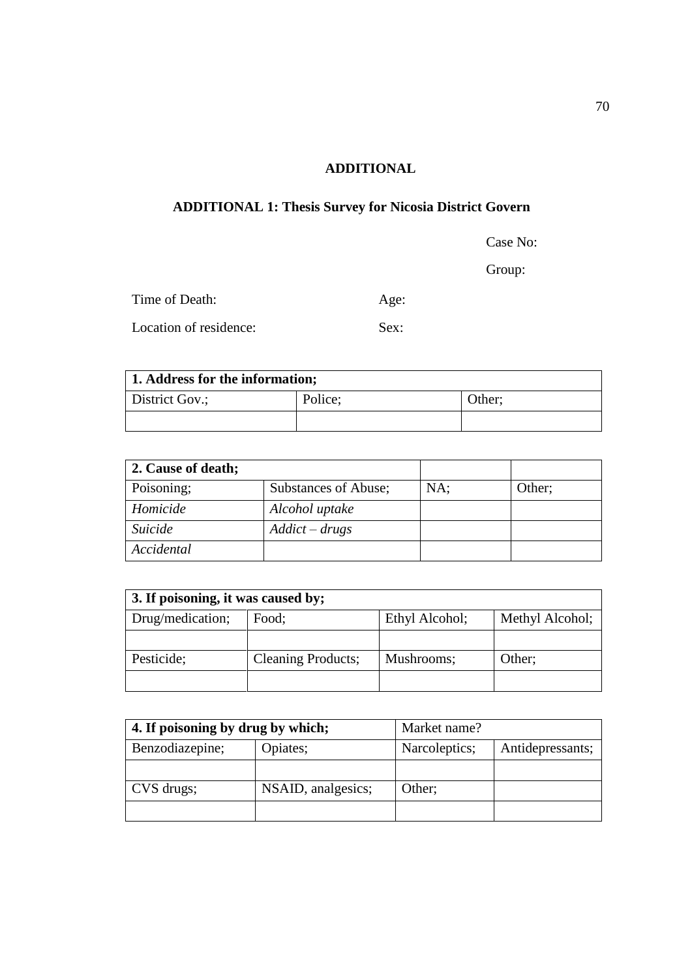## **ADDITIONAL**

## **ADDITIONAL 1: Thesis Survey for Nicosia District Govern**

Case No:

Group:

| Time of Death:         | Age: |
|------------------------|------|
| Location of residence: | Sex: |

| 1. Address for the information; |                   |  |  |
|---------------------------------|-------------------|--|--|
| District Gov.;                  | Police;<br>Other; |  |  |
|                                 |                   |  |  |

| 2. Cause of death; |                      |     |        |
|--------------------|----------------------|-----|--------|
| Poisoning;         | Substances of Abuse; | NA: | Other; |
| Homicide           | Alcohol uptake       |     |        |
| Suicide            | $Addict - drugs$     |     |        |
| Accidental         |                      |     |        |

| 3. If poisoning, it was caused by; |                           |                |                 |
|------------------------------------|---------------------------|----------------|-----------------|
| Drug/medication;                   | Food;                     | Ethyl Alcohol; | Methyl Alcohol; |
|                                    |                           |                |                 |
| Pesticide;                         | <b>Cleaning Products;</b> | Mushrooms;     | Other;          |
|                                    |                           |                |                 |

| 4. If poisoning by drug by which; |                    | Market name?  |                  |
|-----------------------------------|--------------------|---------------|------------------|
| Benzodiazepine;                   | Opiates;           | Narcoleptics; | Antidepressants; |
|                                   |                    |               |                  |
| CVS drugs;                        | NSAID, analgesics; | Other;        |                  |
|                                   |                    |               |                  |